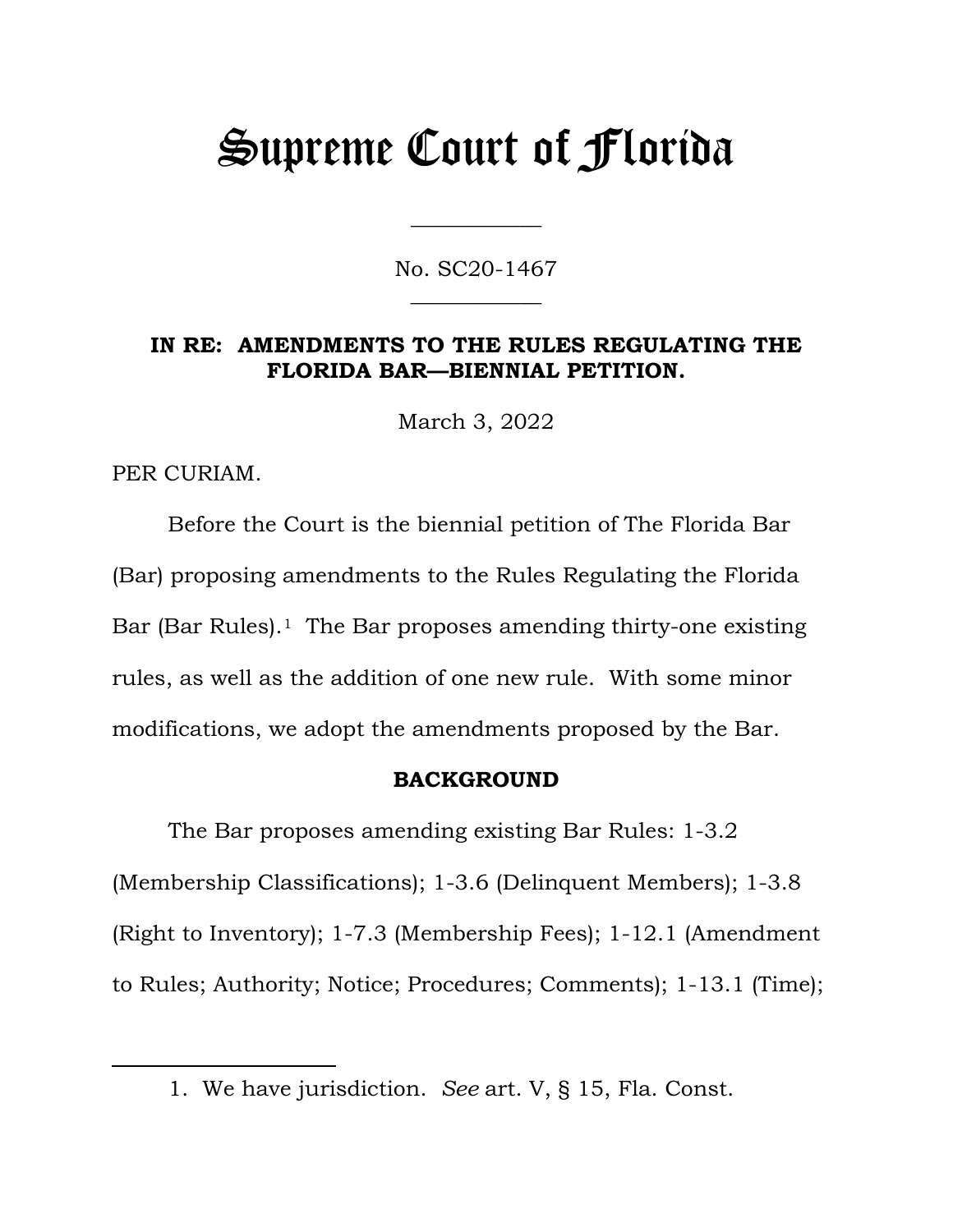# Supreme Court of Florida

No. SC20-1467  $\overline{\phantom{a}}$ 

 $\overline{\phantom{a}}$ 

#### **IN RE: AMENDMENTS TO THE RULES REGULATING THE FLORIDA BAR—BIENNIAL PETITION.**

March 3, 2022

PER CURIAM.

Before the Court is the biennial petition of The Florida Bar (Bar) proposing amendments to the Rules Regulating the Florida Bar (Bar Rules).<sup>1</sup> The Bar proposes amending thirty-one existing rules, as well as the addition of one new rule. With some minor modifications, we adopt the amendments proposed by the Bar.

#### **BACKGROUND**

The Bar proposes amending existing Bar Rules: 1-3.2 (Membership Classifications); 1-3.6 (Delinquent Members); 1-3.8 (Right to Inventory); 1-7.3 (Membership Fees); 1-12.1 (Amendment to Rules; Authority; Notice; Procedures; Comments); 1-13.1 (Time);

<span id="page-0-0"></span><sup>1.</sup> We have jurisdiction. *See* art. V, § 15, Fla. Const.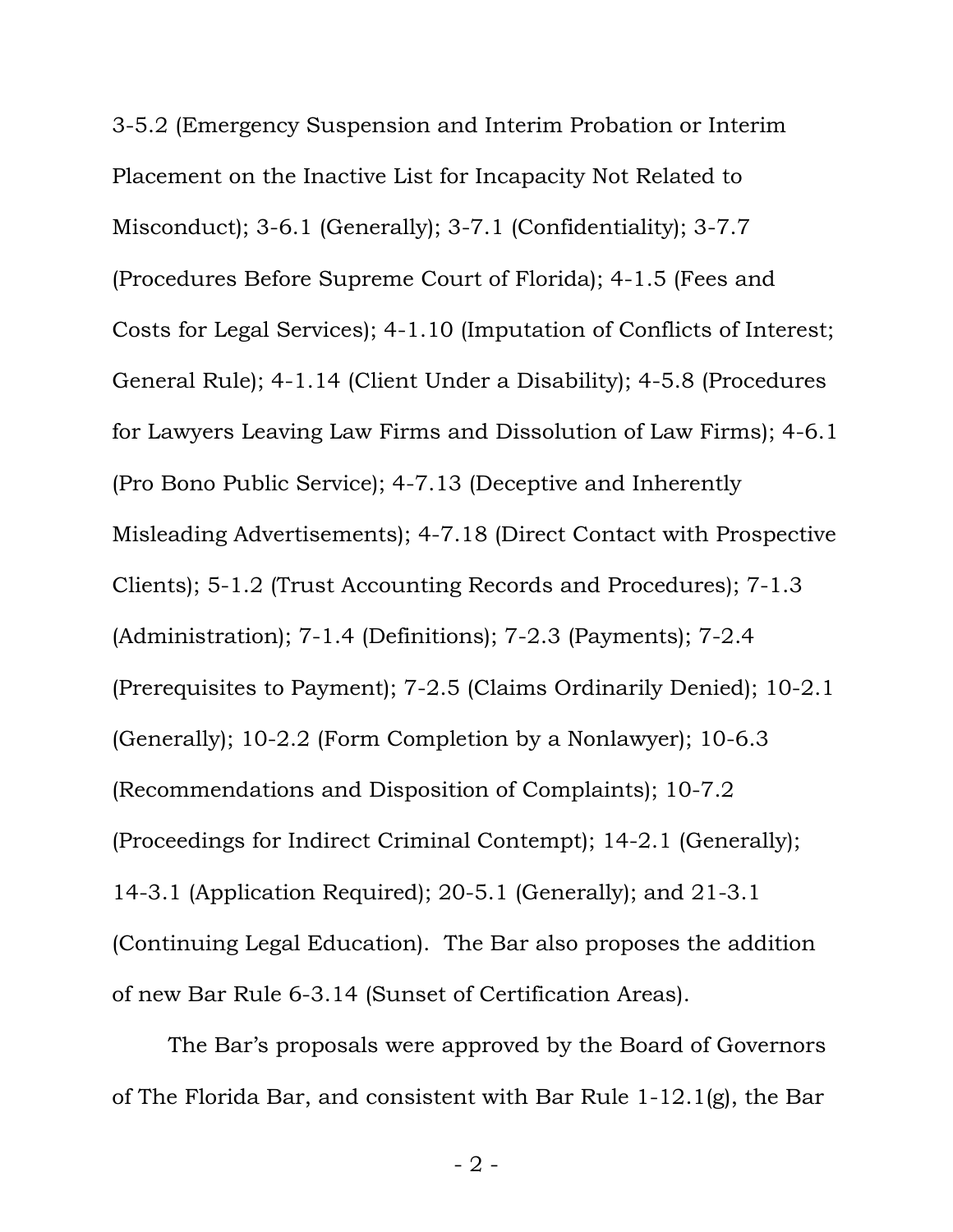3-5.2 (Emergency Suspension and Interim Probation or Interim Placement on the Inactive List for Incapacity Not Related to Misconduct); 3-6.1 (Generally); 3-7.1 (Confidentiality); 3-7.7 (Procedures Before Supreme Court of Florida); 4-1.5 (Fees and Costs for Legal Services); 4-1.10 (Imputation of Conflicts of Interest; General Rule); 4-1.14 (Client Under a Disability); 4-5.8 (Procedures for Lawyers Leaving Law Firms and Dissolution of Law Firms); 4-6.1 (Pro Bono Public Service); 4-7.13 (Deceptive and Inherently Misleading Advertisements); 4-7.18 (Direct Contact with Prospective Clients); 5-1.2 (Trust Accounting Records and Procedures); 7-1.3 (Administration); 7-1.4 (Definitions); 7-2.3 (Payments); 7-2.4 (Prerequisites to Payment); 7-2.5 (Claims Ordinarily Denied); 10-2.1 (Generally); 10-2.2 (Form Completion by a Nonlawyer); 10-6.3 (Recommendations and Disposition of Complaints); 10-7.2 (Proceedings for Indirect Criminal Contempt); 14-2.1 (Generally); 14-3.1 (Application Required); 20-5.1 (Generally); and 21-3.1 (Continuing Legal Education). The Bar also proposes the addition of new Bar Rule 6-3.14 (Sunset of Certification Areas).

The Bar's proposals were approved by the Board of Governors of The Florida Bar, and consistent with Bar Rule 1-12.1(g), the Bar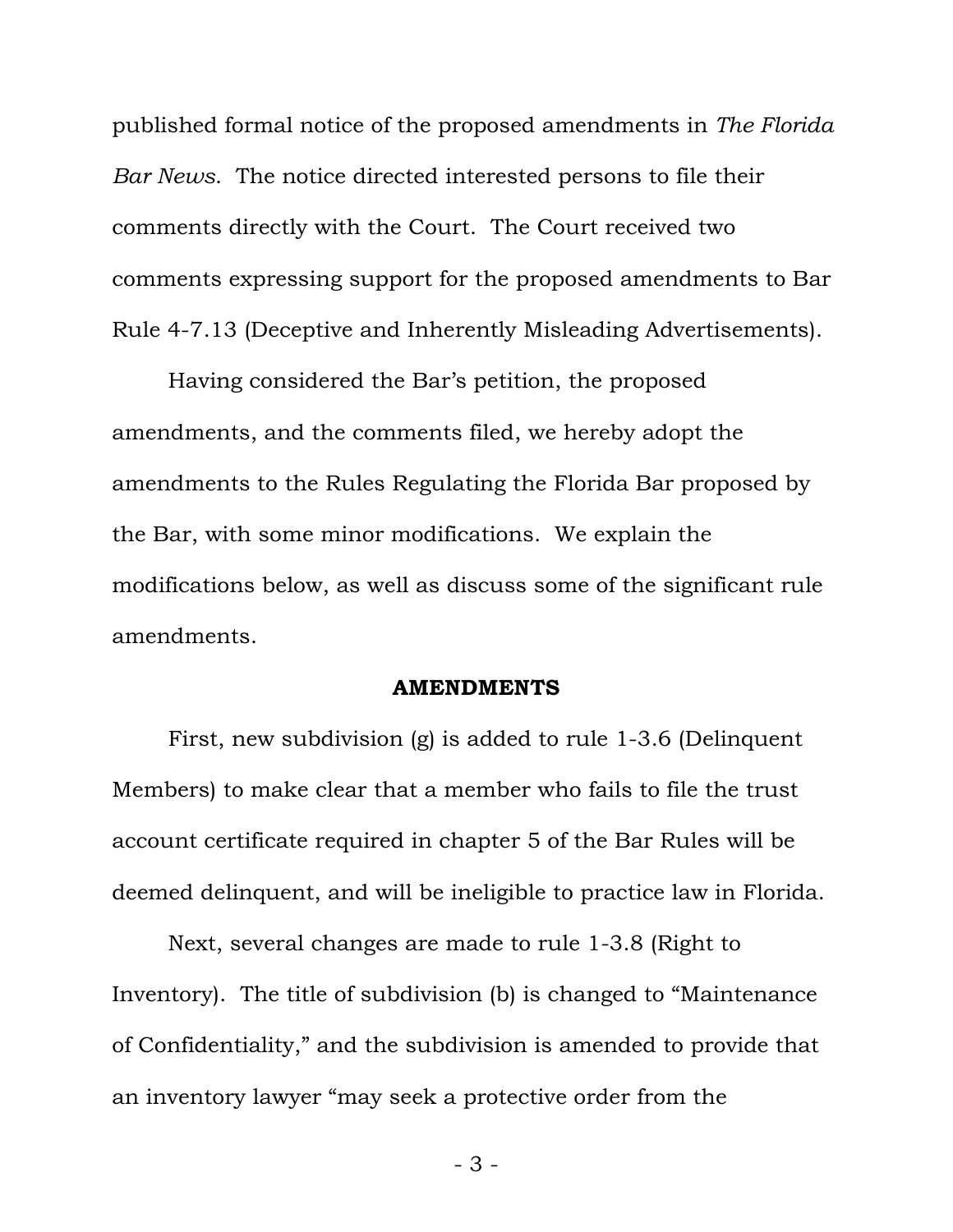published formal notice of the proposed amendments in *The Florida Bar News*. The notice directed interested persons to file their comments directly with the Court. The Court received two comments expressing support for the proposed amendments to Bar Rule 4-7.13 (Deceptive and Inherently Misleading Advertisements).

Having considered the Bar's petition, the proposed amendments, and the comments filed, we hereby adopt the amendments to the Rules Regulating the Florida Bar proposed by the Bar, with some minor modifications. We explain the modifications below, as well as discuss some of the significant rule amendments.

#### **AMENDMENTS**

First, new subdivision (g) is added to rule 1-3.6 (Delinquent Members) to make clear that a member who fails to file the trust account certificate required in chapter 5 of the Bar Rules will be deemed delinquent, and will be ineligible to practice law in Florida.

Next, several changes are made to rule 1-3.8 (Right to Inventory). The title of subdivision (b) is changed to "Maintenance of Confidentiality," and the subdivision is amended to provide that an inventory lawyer "may seek a protective order from the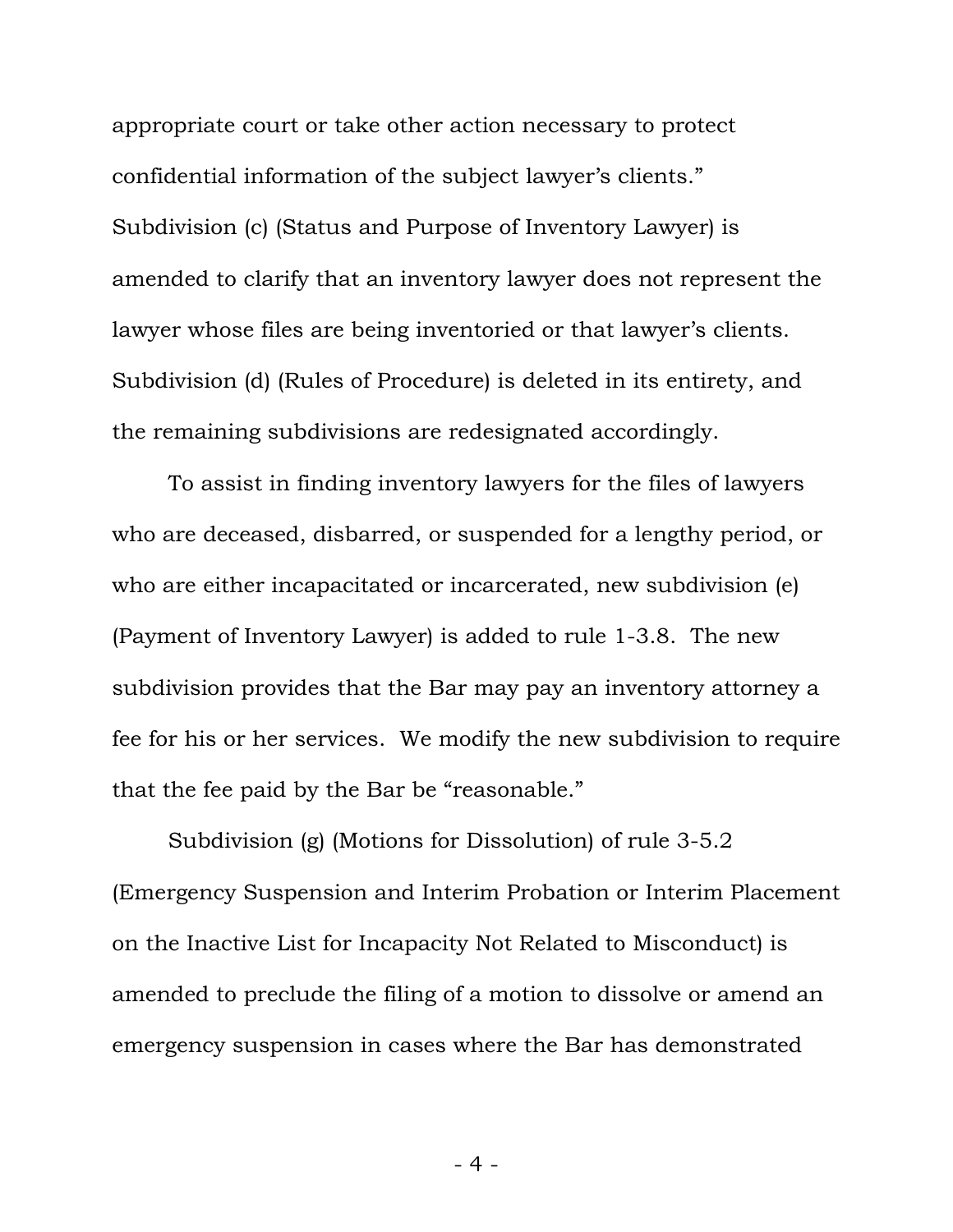appropriate court or take other action necessary to protect confidential information of the subject lawyer's clients." Subdivision (c) (Status and Purpose of Inventory Lawyer) is amended to clarify that an inventory lawyer does not represent the lawyer whose files are being inventoried or that lawyer's clients. Subdivision (d) (Rules of Procedure) is deleted in its entirety, and the remaining subdivisions are redesignated accordingly.

To assist in finding inventory lawyers for the files of lawyers who are deceased, disbarred, or suspended for a lengthy period, or who are either incapacitated or incarcerated, new subdivision (e) (Payment of Inventory Lawyer) is added to rule 1-3.8. The new subdivision provides that the Bar may pay an inventory attorney a fee for his or her services. We modify the new subdivision to require that the fee paid by the Bar be "reasonable."

Subdivision (g) (Motions for Dissolution) of rule 3-5.2 (Emergency Suspension and Interim Probation or Interim Placement on the Inactive List for Incapacity Not Related to Misconduct) is amended to preclude the filing of a motion to dissolve or amend an emergency suspension in cases where the Bar has demonstrated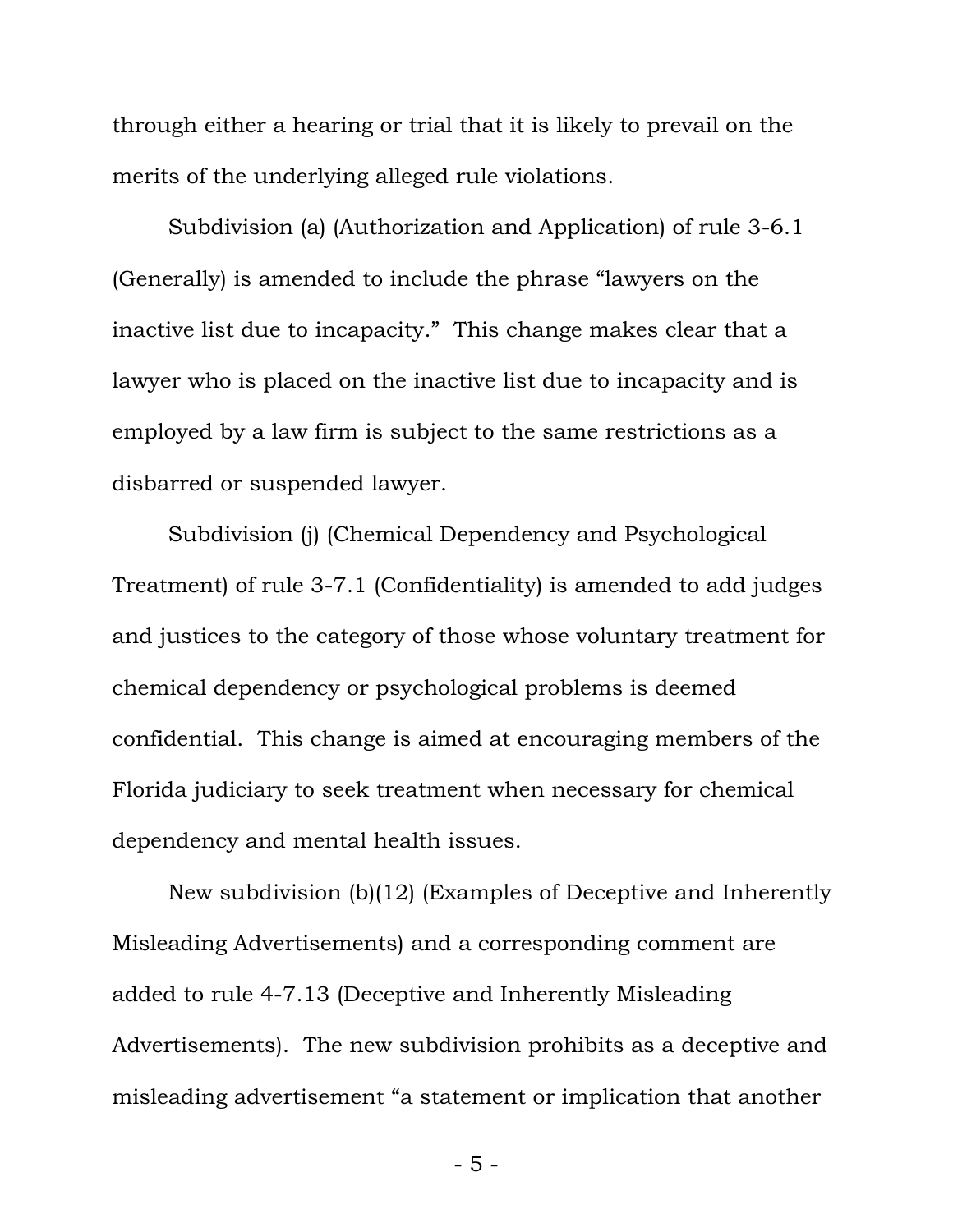through either a hearing or trial that it is likely to prevail on the merits of the underlying alleged rule violations.

Subdivision (a) (Authorization and Application) of rule 3-6.1 (Generally) is amended to include the phrase "lawyers on the inactive list due to incapacity." This change makes clear that a lawyer who is placed on the inactive list due to incapacity and is employed by a law firm is subject to the same restrictions as a disbarred or suspended lawyer.

Subdivision (j) (Chemical Dependency and Psychological Treatment) of rule 3-7.1 (Confidentiality) is amended to add judges and justices to the category of those whose voluntary treatment for chemical dependency or psychological problems is deemed confidential. This change is aimed at encouraging members of the Florida judiciary to seek treatment when necessary for chemical dependency and mental health issues.

New subdivision (b)(12) (Examples of Deceptive and Inherently Misleading Advertisements) and a corresponding comment are added to rule 4-7.13 (Deceptive and Inherently Misleading Advertisements). The new subdivision prohibits as a deceptive and misleading advertisement "a statement or implication that another

- 5 -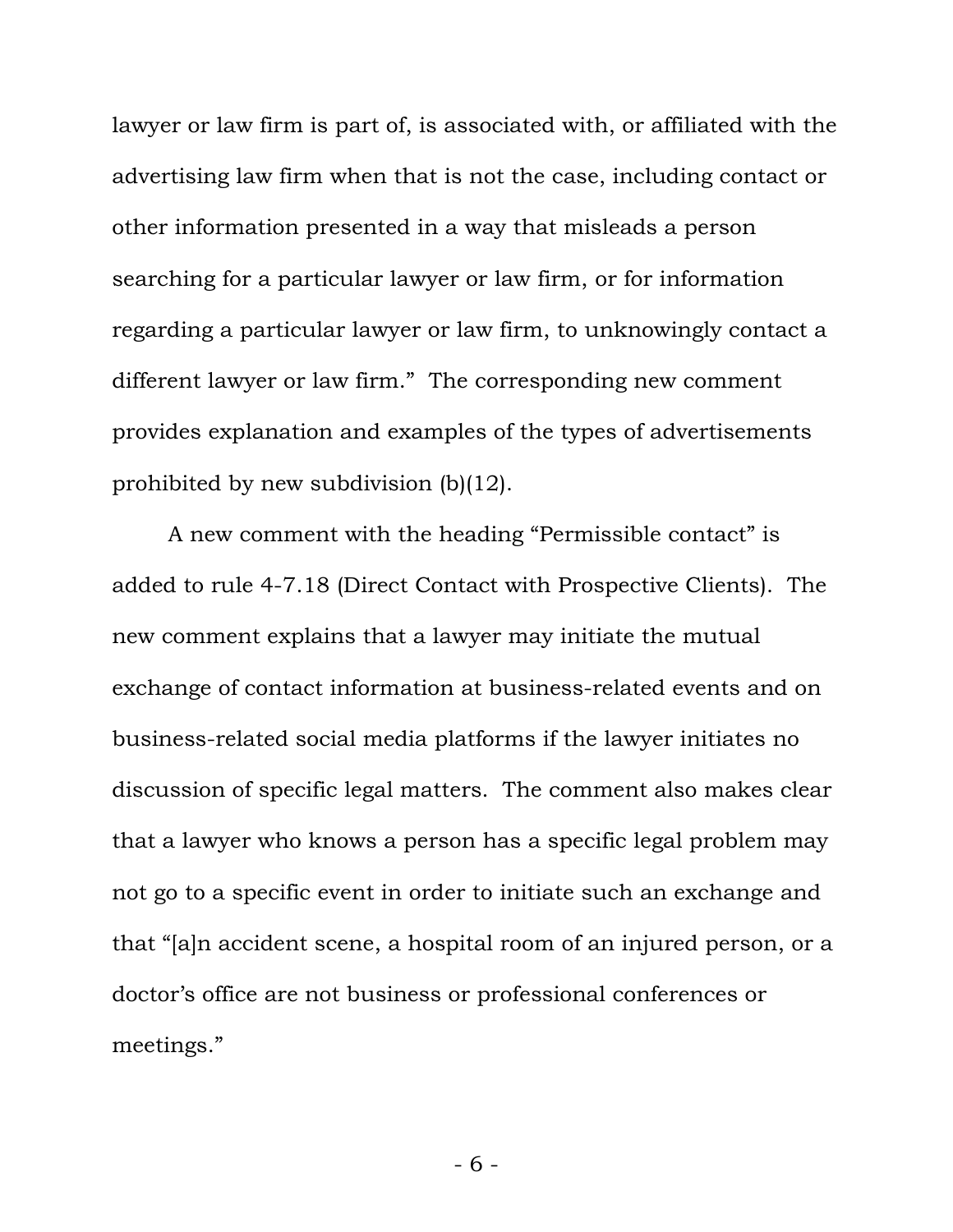lawyer or law firm is part of, is associated with, or affiliated with the advertising law firm when that is not the case, including contact or other information presented in a way that misleads a person searching for a particular lawyer or law firm, or for information regarding a particular lawyer or law firm, to unknowingly contact a different lawyer or law firm." The corresponding new comment provides explanation and examples of the types of advertisements prohibited by new subdivision (b)(12).

A new comment with the heading "Permissible contact" is added to rule 4-7.18 (Direct Contact with Prospective Clients). The new comment explains that a lawyer may initiate the mutual exchange of contact information at business-related events and on business-related social media platforms if the lawyer initiates no discussion of specific legal matters. The comment also makes clear that a lawyer who knows a person has a specific legal problem may not go to a specific event in order to initiate such an exchange and that "[a]n accident scene, a hospital room of an injured person, or a doctor's office are not business or professional conferences or meetings."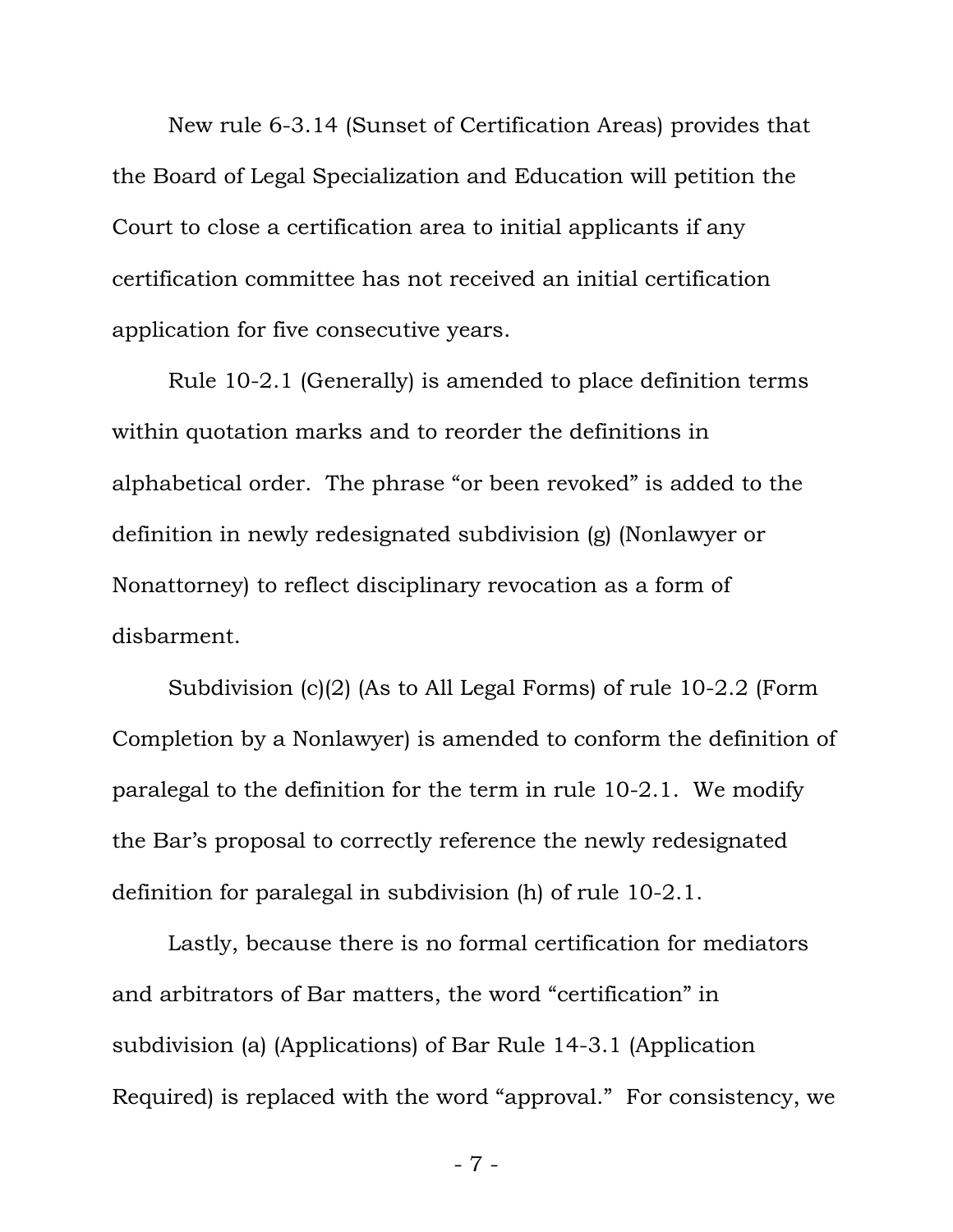New rule 6-3.14 (Sunset of Certification Areas) provides that the Board of Legal Specialization and Education will petition the Court to close a certification area to initial applicants if any certification committee has not received an initial certification application for five consecutive years.

Rule 10-2.1 (Generally) is amended to place definition terms within quotation marks and to reorder the definitions in alphabetical order. The phrase "or been revoked" is added to the definition in newly redesignated subdivision (g) (Nonlawyer or Nonattorney) to reflect disciplinary revocation as a form of disbarment.

Subdivision (c)(2) (As to All Legal Forms) of rule 10-2.2 (Form Completion by a Nonlawyer) is amended to conform the definition of paralegal to the definition for the term in rule 10-2.1. We modify the Bar's proposal to correctly reference the newly redesignated definition for paralegal in subdivision (h) of rule 10-2.1.

Lastly, because there is no formal certification for mediators and arbitrators of Bar matters, the word "certification" in subdivision (a) (Applications) of Bar Rule 14-3.1 (Application Required) is replaced with the word "approval." For consistency, we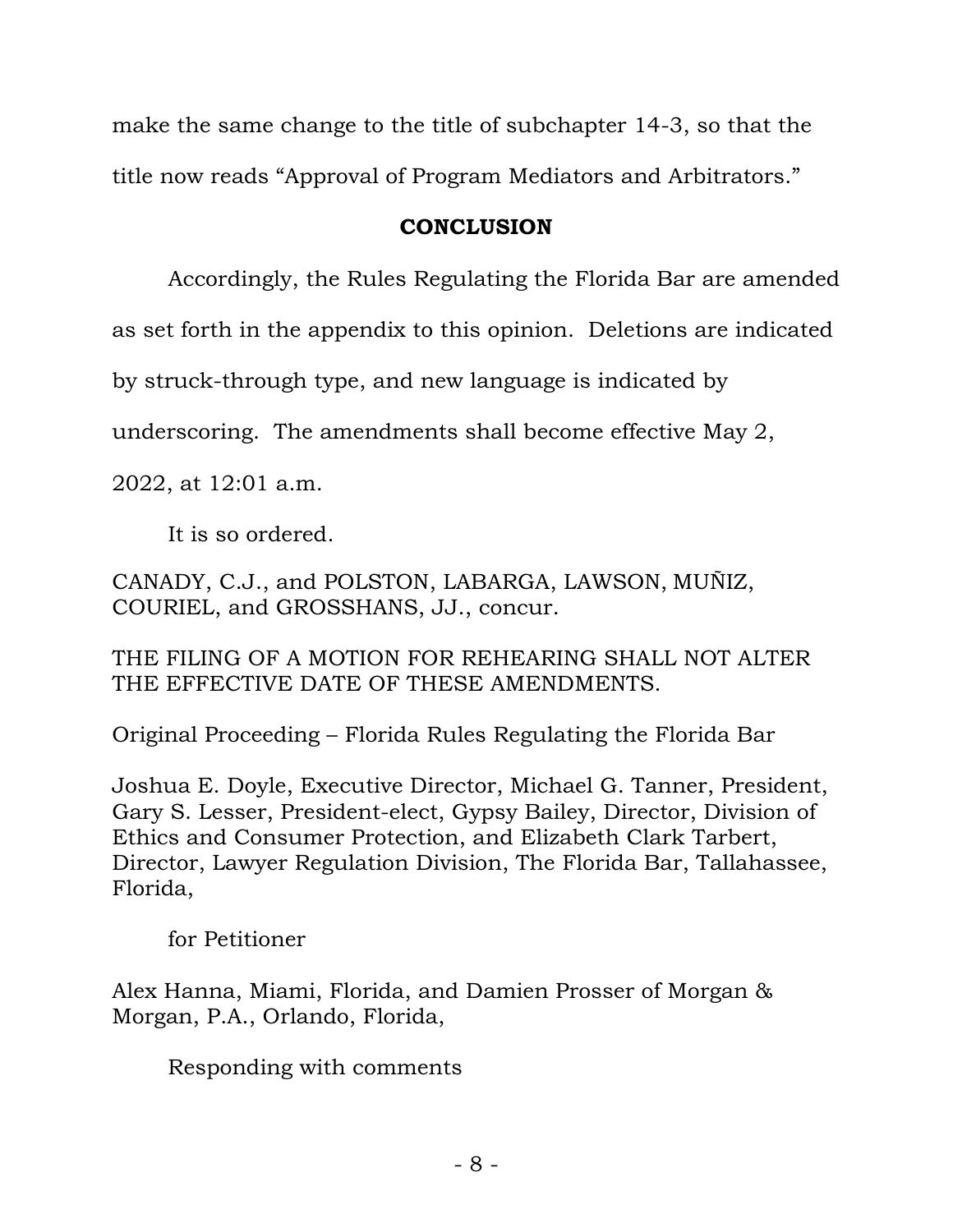make the same change to the title of subchapter 14-3, so that the title now reads "Approval of Program Mediators and Arbitrators."

#### **CONCLUSION**

Accordingly, the Rules Regulating the Florida Bar are amended

as set forth in the appendix to this opinion. Deletions are indicated

by struck-through type, and new language is indicated by

underscoring. The amendments shall become effective May 2,

2022, at 12:01 a.m.

It is so ordered.

CANADY, C.J., and POLSTON, LABARGA, LAWSON, MUÑIZ, COURIEL, and GROSSHANS, JJ., concur.

THE FILING OF A MOTION FOR REHEARING SHALL NOT ALTER THE EFFECTIVE DATE OF THESE AMENDMENTS.

Original Proceeding – Florida Rules Regulating the Florida Bar

Joshua E. Doyle, Executive Director, Michael G. Tanner, President, Gary S. Lesser, President-elect, Gypsy Bailey, Director, Division of Ethics and Consumer Protection, and Elizabeth Clark Tarbert, Director, Lawyer Regulation Division, The Florida Bar, Tallahassee, Florida,

for Petitioner

Alex Hanna, Miami, Florida, and Damien Prosser of Morgan & Morgan, P.A., Orlando, Florida,

Responding with comments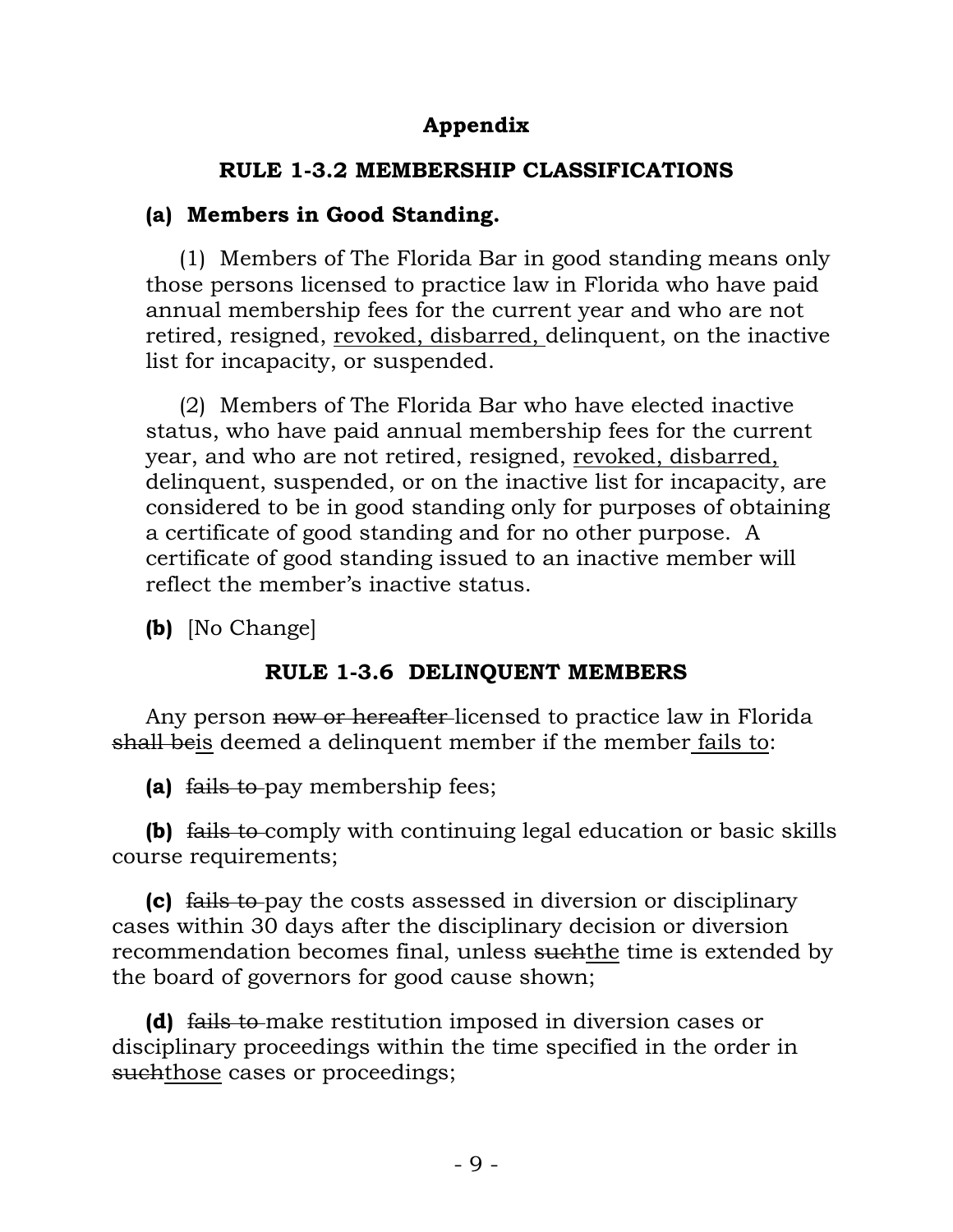## **Appendix**

## **RULE 1-3.2 MEMBERSHIP CLASSIFICATIONS**

#### **(a) Members in Good Standing.**

(1) Members of The Florida Bar in good standing means only those persons licensed to practice law in Florida who have paid annual membership fees for the current year and who are not retired, resigned, revoked, disbarred, delinquent, on the inactive list for incapacity, or suspended.

(2) Members of The Florida Bar who have elected inactive status, who have paid annual membership fees for the current year, and who are not retired, resigned, revoked, disbarred, delinquent, suspended, or on the inactive list for incapacity, are considered to be in good standing only for purposes of obtaining a certificate of good standing and for no other purpose. A certificate of good standing issued to an inactive member will reflect the member's inactive status.

**(b)** [No Change]

## **RULE 1-3.6 DELINQUENT MEMBERS**

Any person now or hereafter-licensed to practice law in Florida shall beis deemed a delinquent member if the member fails to:

**(a)** fails to pay membership fees;

**(b)** fails to comply with continuing legal education or basic skills course requirements;

**(c)** fails to pay the costs assessed in diversion or disciplinary cases within 30 days after the disciplinary decision or diversion recommendation becomes final, unless suchthe time is extended by the board of governors for good cause shown;

**(d)** fails to make restitution imposed in diversion cases or disciplinary proceedings within the time specified in the order in such those cases or proceedings;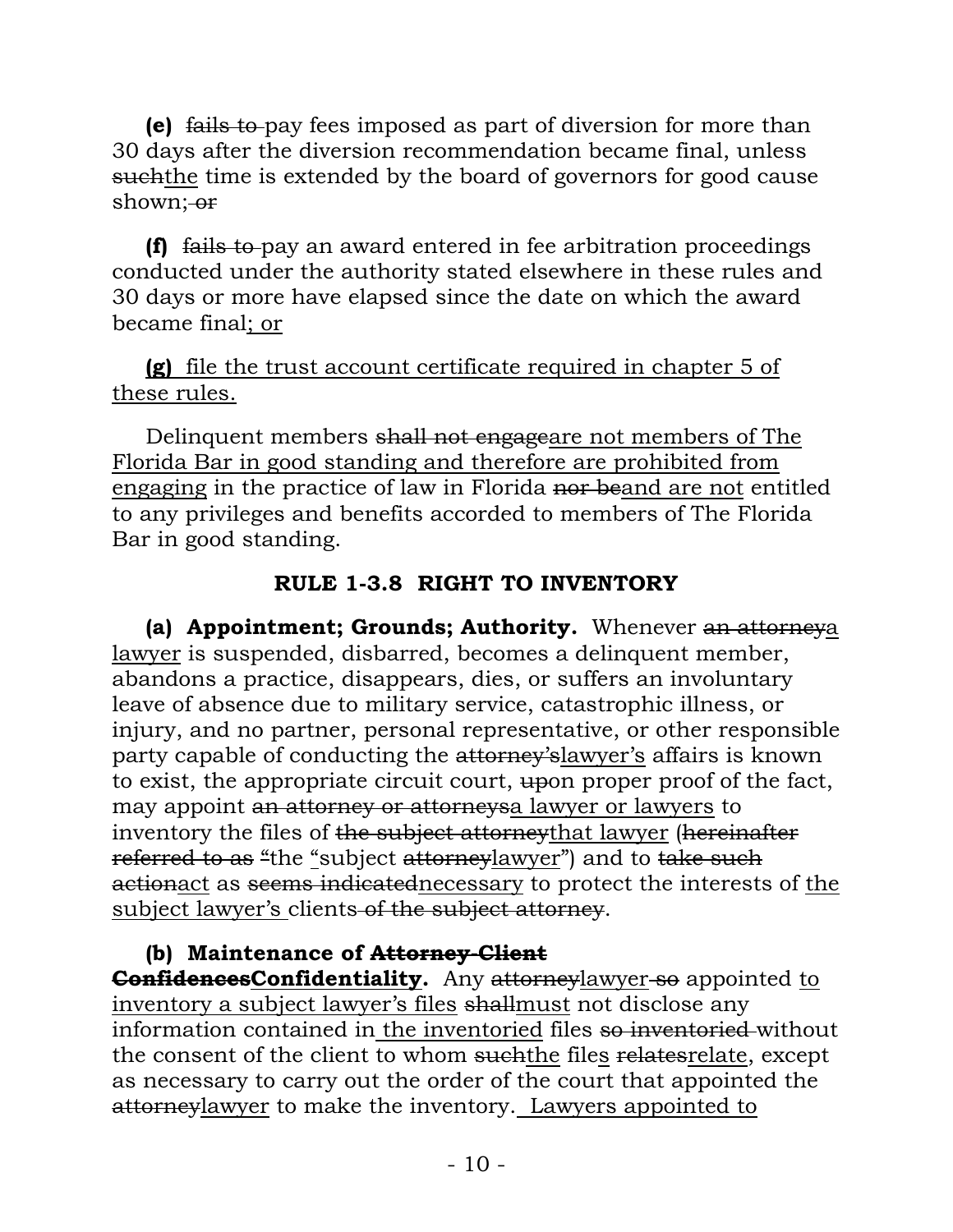**(e)** fails to pay fees imposed as part of diversion for more than 30 days after the diversion recommendation became final, unless suchthe time is extended by the board of governors for good cause shown; or

**(f)** fails to pay an award entered in fee arbitration proceedings conducted under the authority stated elsewhere in these rules and 30 days or more have elapsed since the date on which the award became final; or

#### **(g)** file the trust account certificate required in chapter 5 of these rules.

Delinquent members shall not engageare not members of The Florida Bar in good standing and therefore are prohibited from engaging in the practice of law in Florida nor beand are not entitled to any privileges and benefits accorded to members of The Florida Bar in good standing.

## **RULE 1-3.8 RIGHT TO INVENTORY**

**(a) Appointment; Grounds; Authority.** Whenever an attorneya lawyer is suspended, disbarred, becomes a delinquent member, abandons a practice, disappears, dies, or suffers an involuntary leave of absence due to military service, catastrophic illness, or injury, and no partner, personal representative, or other responsible party capable of conducting the attorney'slawyer's affairs is known to exist, the appropriate circuit court, upon proper proof of the fact, may appoint an attorney or attorneys a lawyer or lawyers to inventory the files of the subject attorneythat lawyer (hereinafter referred to as "the "subject attorneylawyer") and to take such actionact as seems indicatednecessary to protect the interests of the subject lawyer's clients of the subject attorney.

#### **(b) Maintenance of Attorney-Client**

**ConfidencesConfidentiality.** Any attorneylawyer-so appointed to inventory a subject lawyer's files shallmust not disclose any information contained in the inventoried files so inventoried without the consent of the client to whom suchthe files relatesrelate, except as necessary to carry out the order of the court that appointed the attorneylawyer to make the inventory. Lawyers appointed to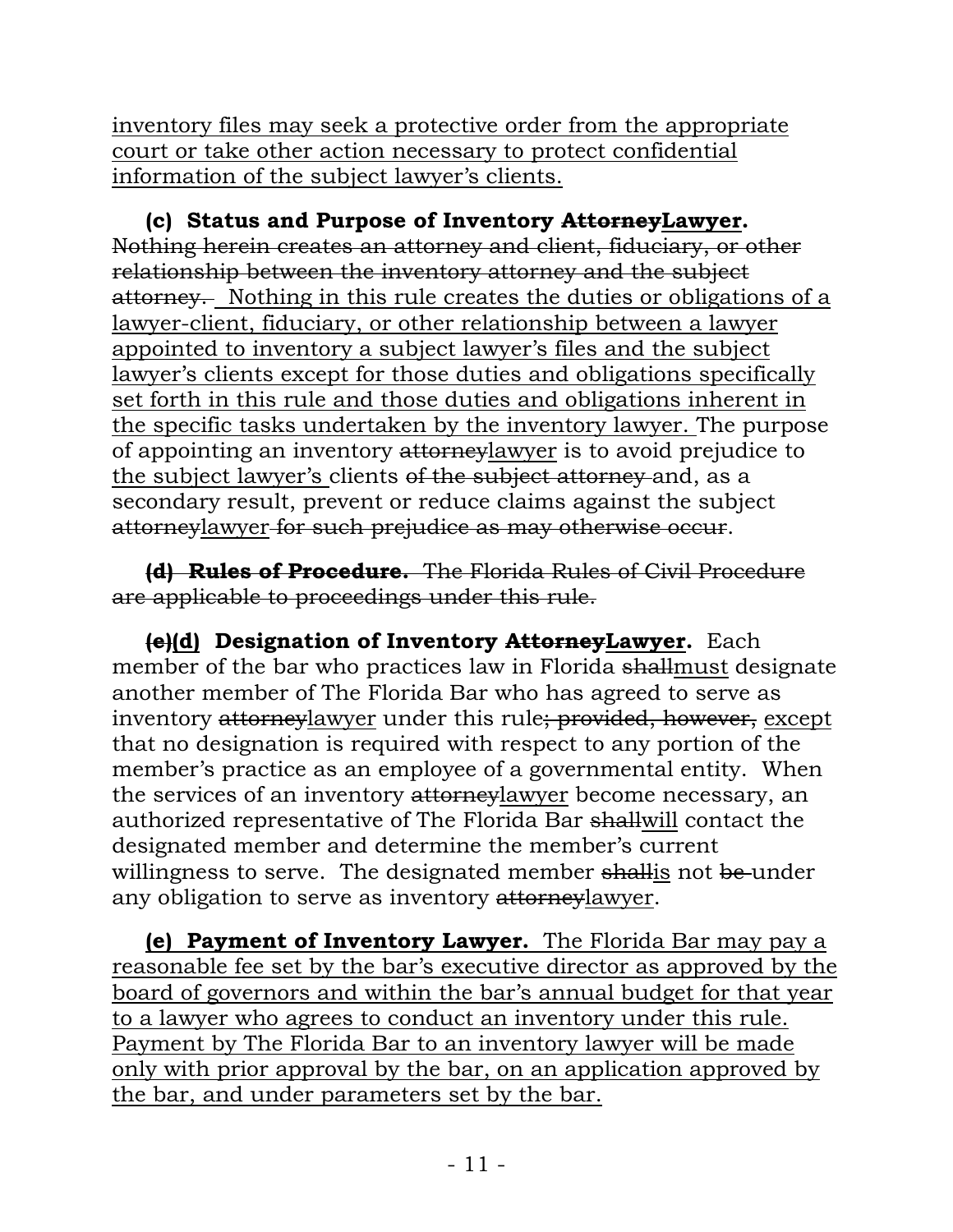inventory files may seek a protective order from the appropriate court or take other action necessary to protect confidential information of the subject lawyer's clients.

**(c) Status and Purpose of Inventory AttorneyLawyer.** Nothing herein creates an attorney and client, fiduciary, or other relationship between the inventory attorney and the subject attorney. Nothing in this rule creates the duties or obligations of a lawyer-client, fiduciary, or other relationship between a lawyer appointed to inventory a subject lawyer's files and the subject lawyer's clients except for those duties and obligations specifically set forth in this rule and those duties and obligations inherent in the specific tasks undertaken by the inventory lawyer. The purpose of appointing an inventory attorneylawyer is to avoid prejudice to the subject lawyer's clients of the subject attorney and, as a secondary result, prevent or reduce claims against the subject attorneylawyer for such prejudice as may otherwise occur.

**(d) Rules of Procedure.** The Florida Rules of Civil Procedure are applicable to proceedings under this rule.

**(e)(d) Designation of Inventory AttorneyLawyer.** Each member of the bar who practices law in Florida shallmust designate another member of The Florida Bar who has agreed to serve as inventory attorneylawyer under this rule; provided, however, except that no designation is required with respect to any portion of the member's practice as an employee of a governmental entity. When the services of an inventory attorneylawyer become necessary, an authorized representative of The Florida Bar shallwill contact the designated member and determine the member's current willingness to serve. The designated member shall is not be under any obligation to serve as inventory attorneylawyer.

**(e) Payment of Inventory Lawyer.** The Florida Bar may pay a reasonable fee set by the bar's executive director as approved by the board of governors and within the bar's annual budget for that year to a lawyer who agrees to conduct an inventory under this rule. Payment by The Florida Bar to an inventory lawyer will be made only with prior approval by the bar, on an application approved by the bar, and under parameters set by the bar.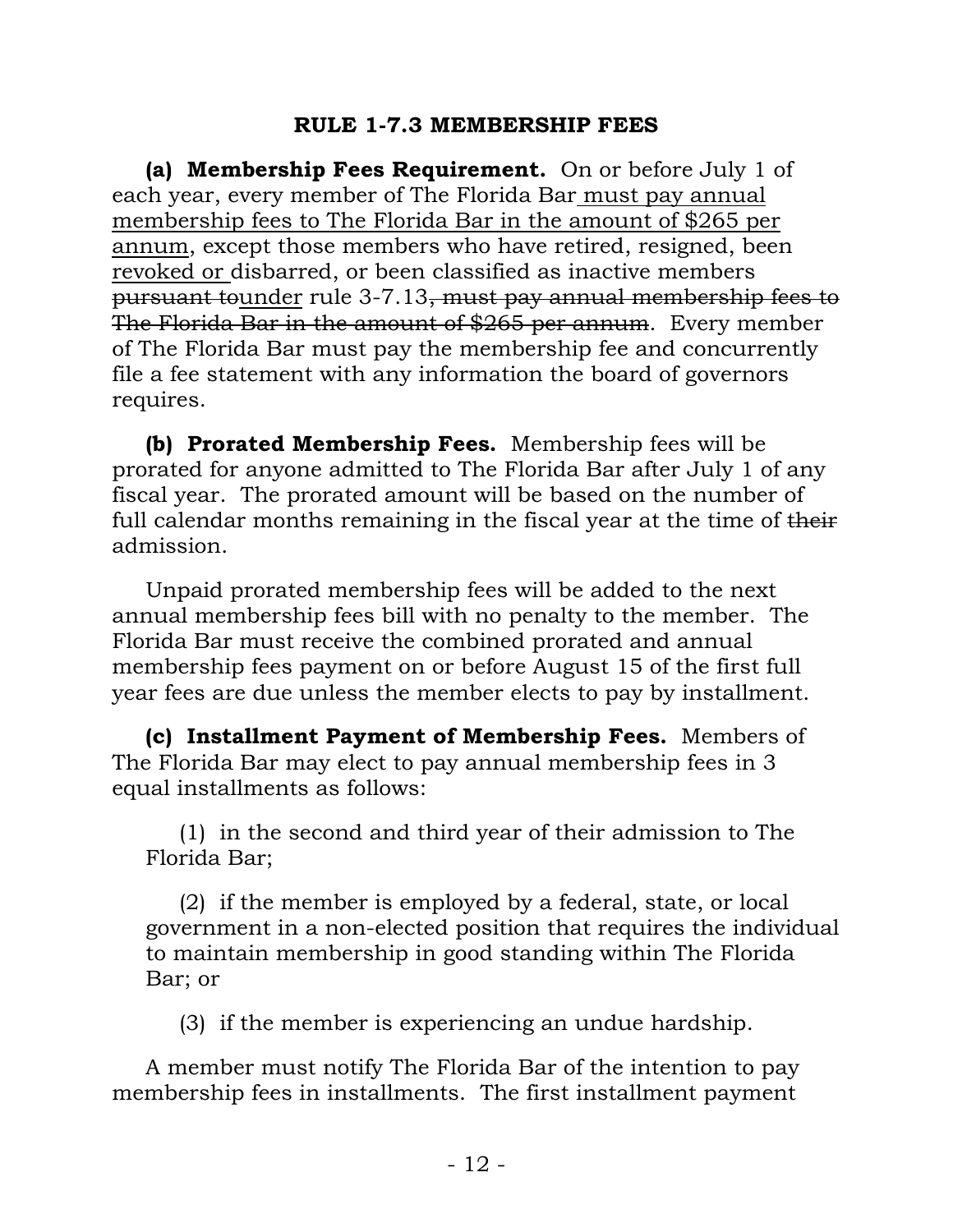#### **RULE 1-7.3 MEMBERSHIP FEES**

**(a) Membership Fees Requirement.** On or before July 1 of each year, every member of The Florida Bar must pay annual membership fees to The Florida Bar in the amount of \$265 per annum, except those members who have retired, resigned, been revoked or disbarred, or been classified as inactive members pursuant tounder rule 3-7.13, must pay annual membership fees to The Florida Bar in the amount of \$265 per annum. Every member of The Florida Bar must pay the membership fee and concurrently file a fee statement with any information the board of governors requires.

**(b) Prorated Membership Fees.** Membership fees will be prorated for anyone admitted to The Florida Bar after July 1 of any fiscal year. The prorated amount will be based on the number of full calendar months remaining in the fiscal year at the time of their admission.

Unpaid prorated membership fees will be added to the next annual membership fees bill with no penalty to the member. The Florida Bar must receive the combined prorated and annual membership fees payment on or before August 15 of the first full year fees are due unless the member elects to pay by installment.

**(c) Installment Payment of Membership Fees.** Members of The Florida Bar may elect to pay annual membership fees in 3 equal installments as follows:

(1) in the second and third year of their admission to The Florida Bar;

(2) if the member is employed by a federal, state, or local government in a non-elected position that requires the individual to maintain membership in good standing within The Florida Bar; or

(3) if the member is experiencing an undue hardship.

A member must notify The Florida Bar of the intention to pay membership fees in installments. The first installment payment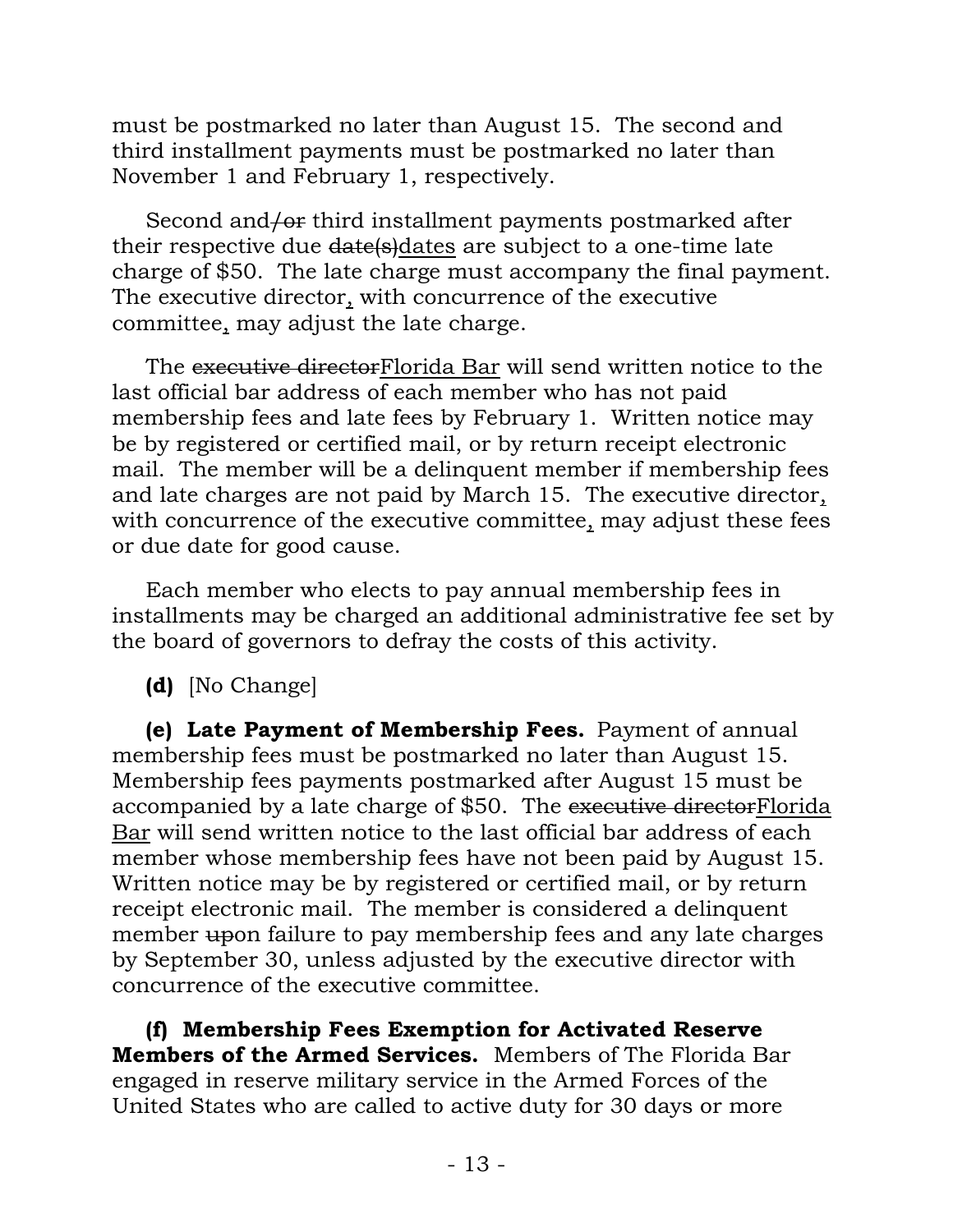must be postmarked no later than August 15. The second and third installment payments must be postmarked no later than November 1 and February 1, respectively.

Second and for third installment payments postmarked after their respective due date(s)dates are subject to a one-time late charge of \$50. The late charge must accompany the final payment. The executive director, with concurrence of the executive committee, may adjust the late charge.

The executive director Florida Bar will send written notice to the last official bar address of each member who has not paid membership fees and late fees by February 1. Written notice may be by registered or certified mail, or by return receipt electronic mail. The member will be a delinquent member if membership fees and late charges are not paid by March 15. The executive director, with concurrence of the executive committee, may adjust these fees or due date for good cause.

Each member who elects to pay annual membership fees in installments may be charged an additional administrative fee set by the board of governors to defray the costs of this activity.

**(d)** [No Change]

**(e) Late Payment of Membership Fees.** Payment of annual membership fees must be postmarked no later than August 15. Membership fees payments postmarked after August 15 must be accompanied by a late charge of \$50. The executive directorFlorida Bar will send written notice to the last official bar address of each member whose membership fees have not been paid by August 15. Written notice may be by registered or certified mail, or by return receipt electronic mail. The member is considered a delinquent member upon failure to pay membership fees and any late charges by September 30, unless adjusted by the executive director with concurrence of the executive committee.

**(f) Membership Fees Exemption for Activated Reserve Members of the Armed Services.** Members of The Florida Bar engaged in reserve military service in the Armed Forces of the United States who are called to active duty for 30 days or more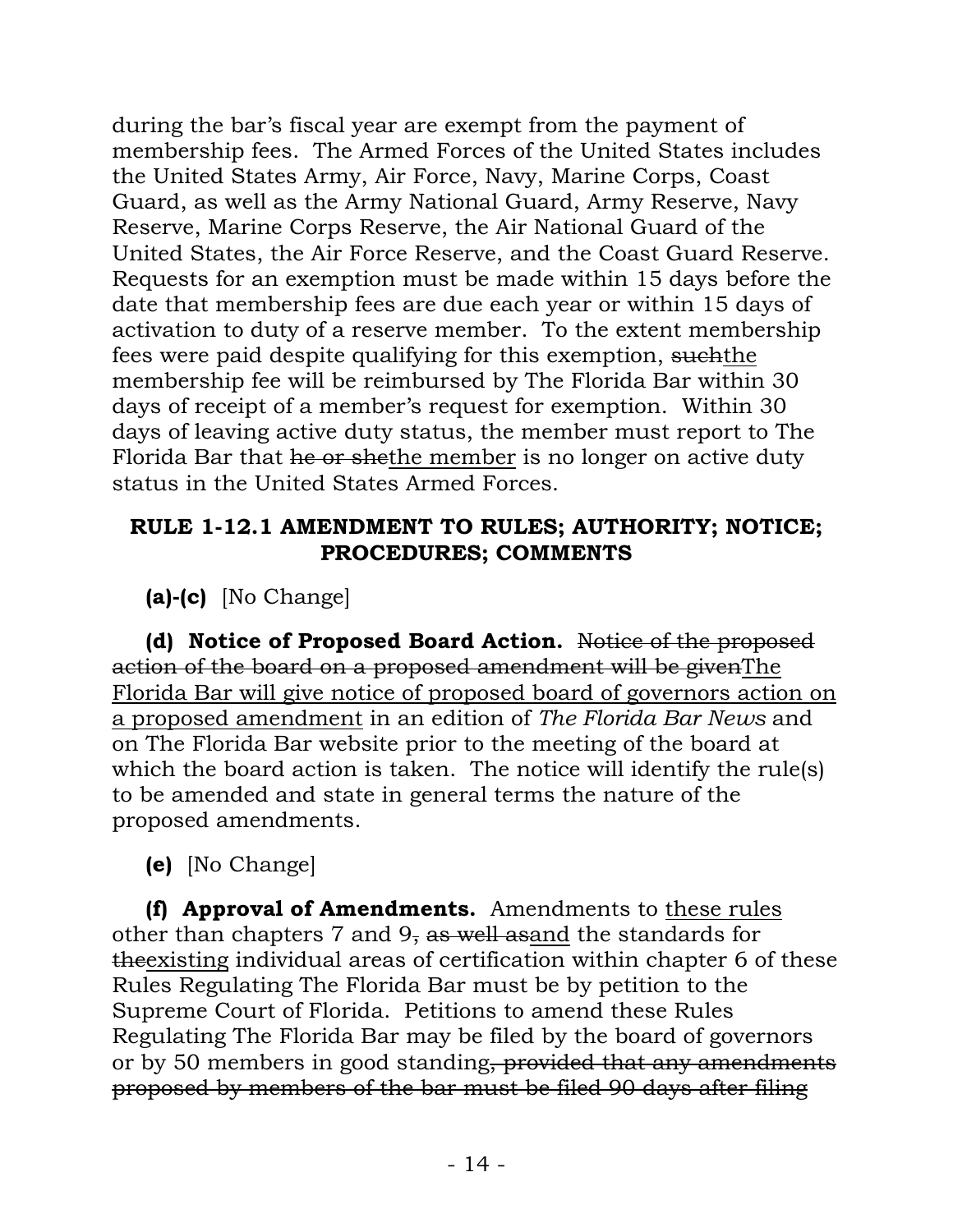during the bar's fiscal year are exempt from the payment of membership fees. The Armed Forces of the United States includes the United States Army, Air Force, Navy, Marine Corps, Coast Guard, as well as the Army National Guard, Army Reserve, Navy Reserve, Marine Corps Reserve, the Air National Guard of the United States, the Air Force Reserve, and the Coast Guard Reserve. Requests for an exemption must be made within 15 days before the date that membership fees are due each year or within 15 days of activation to duty of a reserve member. To the extent membership fees were paid despite qualifying for this exemption, suchthe membership fee will be reimbursed by The Florida Bar within 30 days of receipt of a member's request for exemption. Within 30 days of leaving active duty status, the member must report to The Florida Bar that he or shethe member is no longer on active duty status in the United States Armed Forces.

#### **RULE 1-12.1 AMENDMENT TO RULES; AUTHORITY; NOTICE; PROCEDURES; COMMENTS**

**(a)-(c)** [No Change]

**(d) Notice of Proposed Board Action.** Notice of the proposed action of the board on a proposed amendment will be givenThe Florida Bar will give notice of proposed board of governors action on a proposed amendment in an edition of *The Florida Bar News* and on The Florida Bar website prior to the meeting of the board at which the board action is taken. The notice will identify the rule(s) to be amended and state in general terms the nature of the proposed amendments.

**(e)** [No Change]

**(f) Approval of Amendments.** Amendments to these rules other than chapters  $7$  and  $9$ , as well as and the standards for theexisting individual areas of certification within chapter 6 of these Rules Regulating The Florida Bar must be by petition to the Supreme Court of Florida. Petitions to amend these Rules Regulating The Florida Bar may be filed by the board of governors or by 50 members in good standing, provided that any amendments proposed by members of the bar must be filed 90 days after filing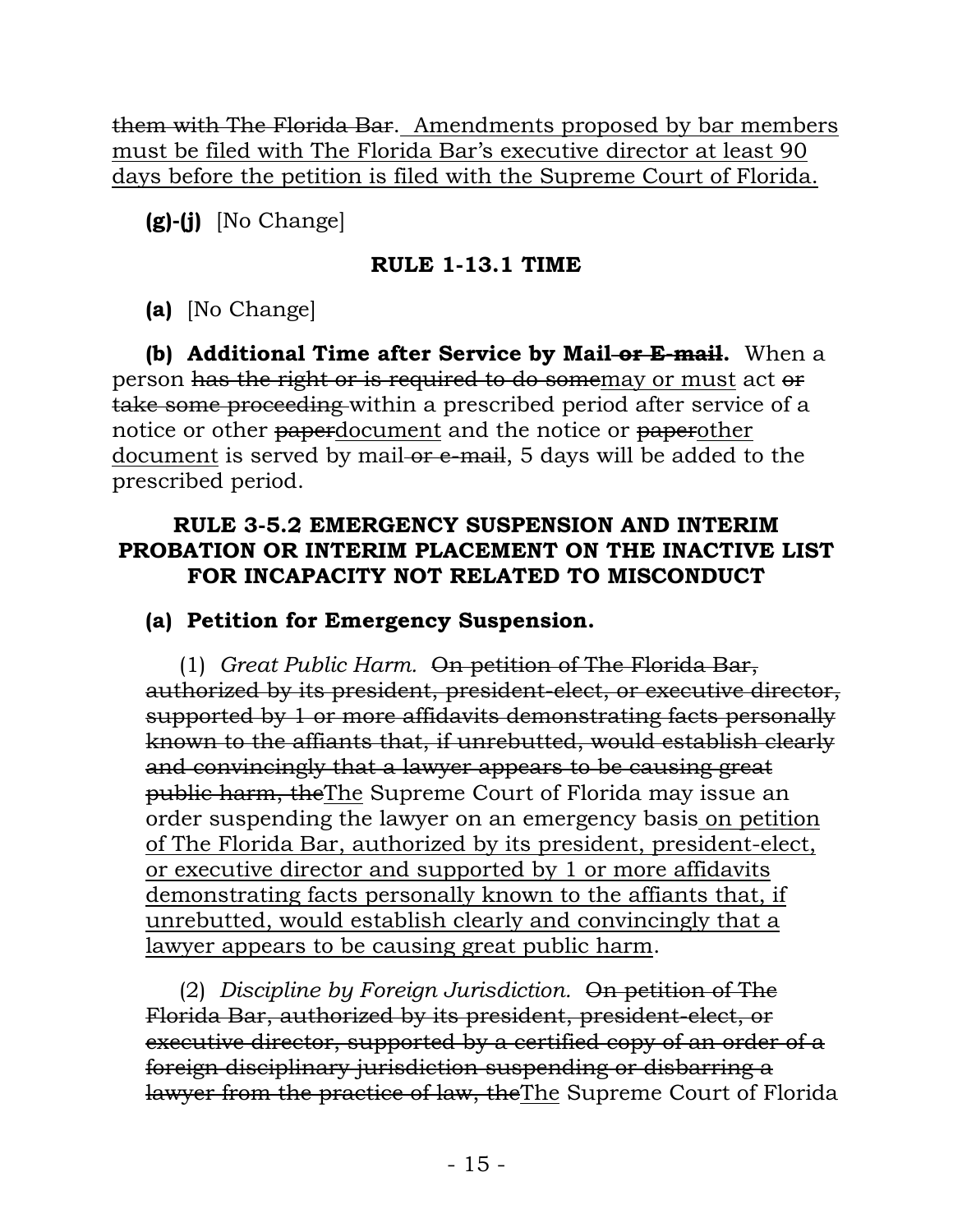them with The Florida Bar. Amendments proposed by bar members must be filed with The Florida Bar's executive director at least 90 days before the petition is filed with the Supreme Court of Florida.

**(g)-(j)** [No Change]

#### **RULE 1-13.1 TIME**

**(a)** [No Change]

**(b) Additional Time after Service by Mail-or E-mail.** When a person has the right or is required to do somemay or must act or take some proceeding within a prescribed period after service of a notice or other paperdocument and the notice or paperother document is served by mail-or e-mail, 5 days will be added to the prescribed period.

#### **RULE 3-5.2 EMERGENCY SUSPENSION AND INTERIM PROBATION OR INTERIM PLACEMENT ON THE INACTIVE LIST FOR INCAPACITY NOT RELATED TO MISCONDUCT**

#### **(a) Petition for Emergency Suspension.**

(1) *Great Public Harm.* On petition of The Florida Bar, authorized by its president, president-elect, or executive director, supported by 1 or more affidavits demonstrating facts personally known to the affiants that, if unrebutted, would establish clearly and convincingly that a lawyer appears to be causing great public harm, theThe Supreme Court of Florida may issue an order suspending the lawyer on an emergency basis on petition of The Florida Bar, authorized by its president, president-elect, or executive director and supported by 1 or more affidavits demonstrating facts personally known to the affiants that, if unrebutted, would establish clearly and convincingly that a lawyer appears to be causing great public harm.

(2) *Discipline by Foreign Jurisdiction.* On petition of The Florida Bar, authorized by its president, president-elect, or executive director, supported by a certified copy of an order of a foreign disciplinary jurisdiction suspending or disbarring a lawyer from the practice of law, the The Supreme Court of Florida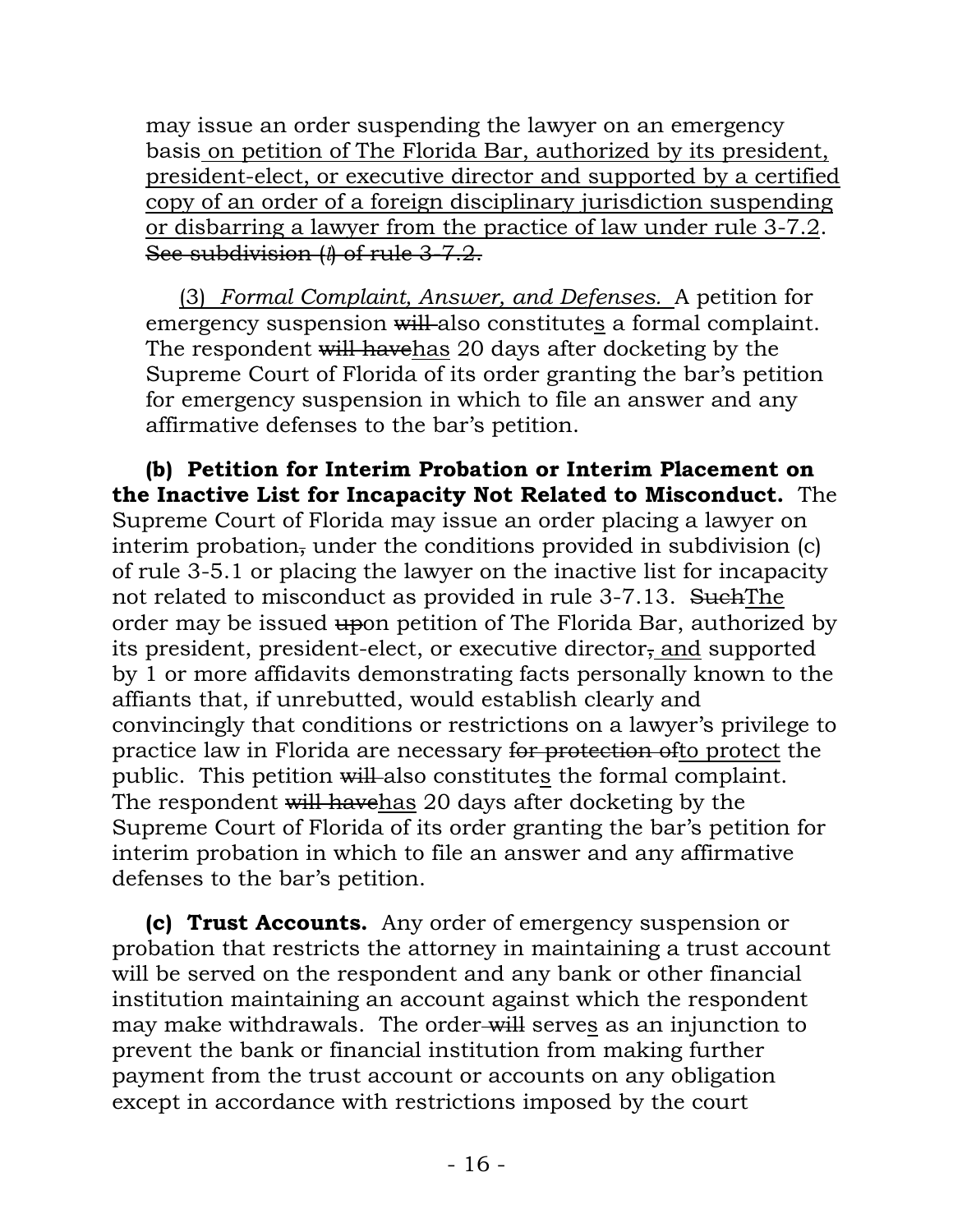may issue an order suspending the lawyer on an emergency basis on petition of The Florida Bar, authorized by its president, president-elect, or executive director and supported by a certified copy of an order of a foreign disciplinary jurisdiction suspending or disbarring a lawyer from the practice of law under rule 3-7.2. See subdivision (*l*) of rule 3-7.2.

(3) *Formal Complaint, Answer, and Defenses.* A petition for emergency suspension will-also constitutes a formal complaint. The respondent will havehas 20 days after docketing by the Supreme Court of Florida of its order granting the bar's petition for emergency suspension in which to file an answer and any affirmative defenses to the bar's petition.

**(b) Petition for Interim Probation or Interim Placement on the Inactive List for Incapacity Not Related to Misconduct.** The Supreme Court of Florida may issue an order placing a lawyer on interim probation, under the conditions provided in subdivision (c) of rule 3-5.1 or placing the lawyer on the inactive list for incapacity not related to misconduct as provided in rule 3-7.13. SuchThe order may be issued upon petition of The Florida Bar, authorized by its president, president-elect, or executive director, and supported by 1 or more affidavits demonstrating facts personally known to the affiants that, if unrebutted, would establish clearly and convincingly that conditions or restrictions on a lawyer's privilege to practice law in Florida are necessary for protection ofto protect the public. This petition will-also constitutes the formal complaint. The respondent will have has 20 days after docketing by the Supreme Court of Florida of its order granting the bar's petition for interim probation in which to file an answer and any affirmative defenses to the bar's petition.

**(c) Trust Accounts.** Any order of emergency suspension or probation that restricts the attorney in maintaining a trust account will be served on the respondent and any bank or other financial institution maintaining an account against which the respondent may make withdrawals. The order-will serves as an injunction to prevent the bank or financial institution from making further payment from the trust account or accounts on any obligation except in accordance with restrictions imposed by the court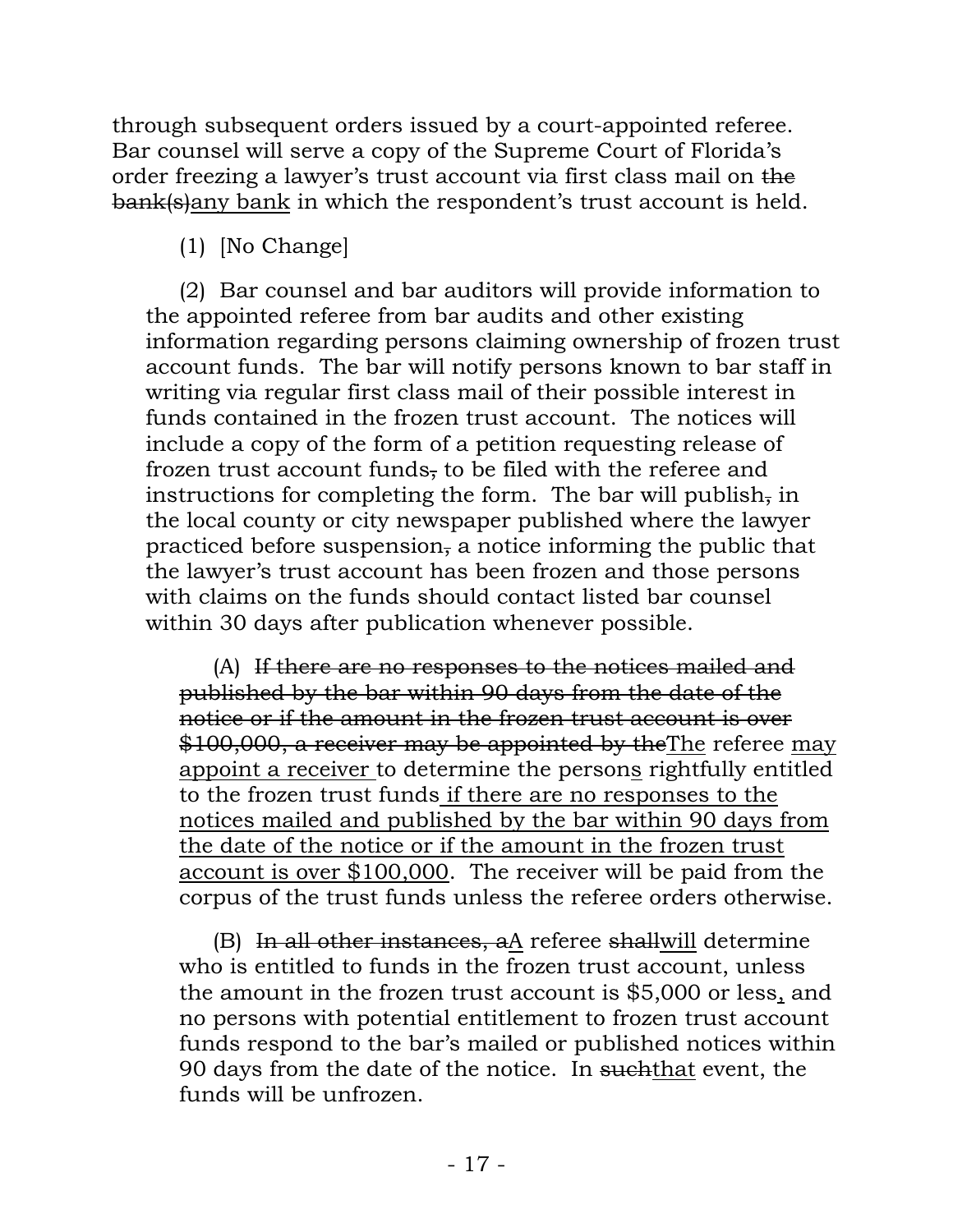through subsequent orders issued by a court-appointed referee. Bar counsel will serve a copy of the Supreme Court of Florida's order freezing a lawyer's trust account via first class mail on the bank(s)any bank in which the respondent's trust account is held.

(1) [No Change]

(2) Bar counsel and bar auditors will provide information to the appointed referee from bar audits and other existing information regarding persons claiming ownership of frozen trust account funds. The bar will notify persons known to bar staff in writing via regular first class mail of their possible interest in funds contained in the frozen trust account. The notices will include a copy of the form of a petition requesting release of frozen trust account funds, to be filed with the referee and instructions for completing the form. The bar will publish, in the local county or city newspaper published where the lawyer practiced before suspension, a notice informing the public that the lawyer's trust account has been frozen and those persons with claims on the funds should contact listed bar counsel within 30 days after publication whenever possible.

(A) If there are no responses to the notices mailed and published by the bar within 90 days from the date of the notice or if the amount in the frozen trust account is over \$100,000, a receiver may be appointed by the The referee may appoint a receiver to determine the persons rightfully entitled to the frozen trust funds if there are no responses to the notices mailed and published by the bar within 90 days from the date of the notice or if the amount in the frozen trust account is over \$100,000. The receiver will be paid from the corpus of the trust funds unless the referee orders otherwise.

(B) In all other instances, aA referee shallwill determine who is entitled to funds in the frozen trust account, unless the amount in the frozen trust account is \$5,000 or less, and no persons with potential entitlement to frozen trust account funds respond to the bar's mailed or published notices within 90 days from the date of the notice. In such that event, the funds will be unfrozen.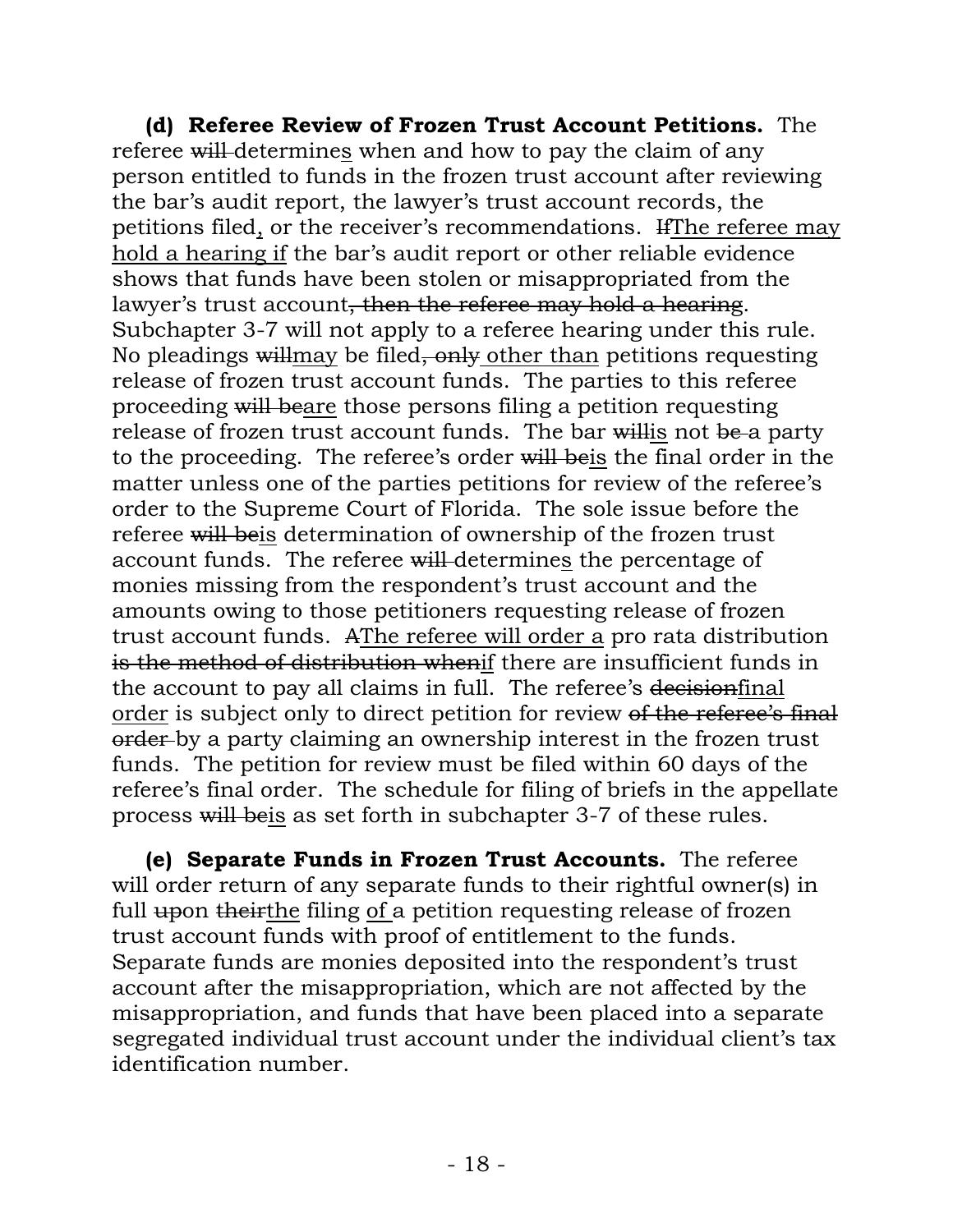**(d) Referee Review of Frozen Trust Account Petitions.** The referee will-determines when and how to pay the claim of any person entitled to funds in the frozen trust account after reviewing the bar's audit report, the lawyer's trust account records, the petitions filed, or the receiver's recommendations. IfThe referee may hold a hearing if the bar's audit report or other reliable evidence shows that funds have been stolen or misappropriated from the lawyer's trust account, then the referee may hold a hearing. Subchapter 3-7 will not apply to a referee hearing under this rule. No pleadings willmay be filed, only other than petitions requesting release of frozen trust account funds. The parties to this referee proceeding will beare those persons filing a petition requesting release of frozen trust account funds. The bar will is not be a party to the proceeding. The referee's order will beis the final order in the matter unless one of the parties petitions for review of the referee's order to the Supreme Court of Florida. The sole issue before the referee will beis determination of ownership of the frozen trust account funds. The referee will determines the percentage of monies missing from the respondent's trust account and the amounts owing to those petitioners requesting release of frozen trust account funds. AThe referee will order a pro rata distribution is the method of distribution whenif there are insufficient funds in the account to pay all claims in full. The referee's decisionfinal order is subject only to direct petition for review of the referee's final order by a party claiming an ownership interest in the frozen trust funds. The petition for review must be filed within 60 days of the referee's final order. The schedule for filing of briefs in the appellate process will beis as set forth in subchapter 3-7 of these rules.

**(e) Separate Funds in Frozen Trust Accounts.** The referee will order return of any separate funds to their rightful owner(s) in full upon theirthe filing of a petition requesting release of frozen trust account funds with proof of entitlement to the funds. Separate funds are monies deposited into the respondent's trust account after the misappropriation, which are not affected by the misappropriation, and funds that have been placed into a separate segregated individual trust account under the individual client's tax identification number.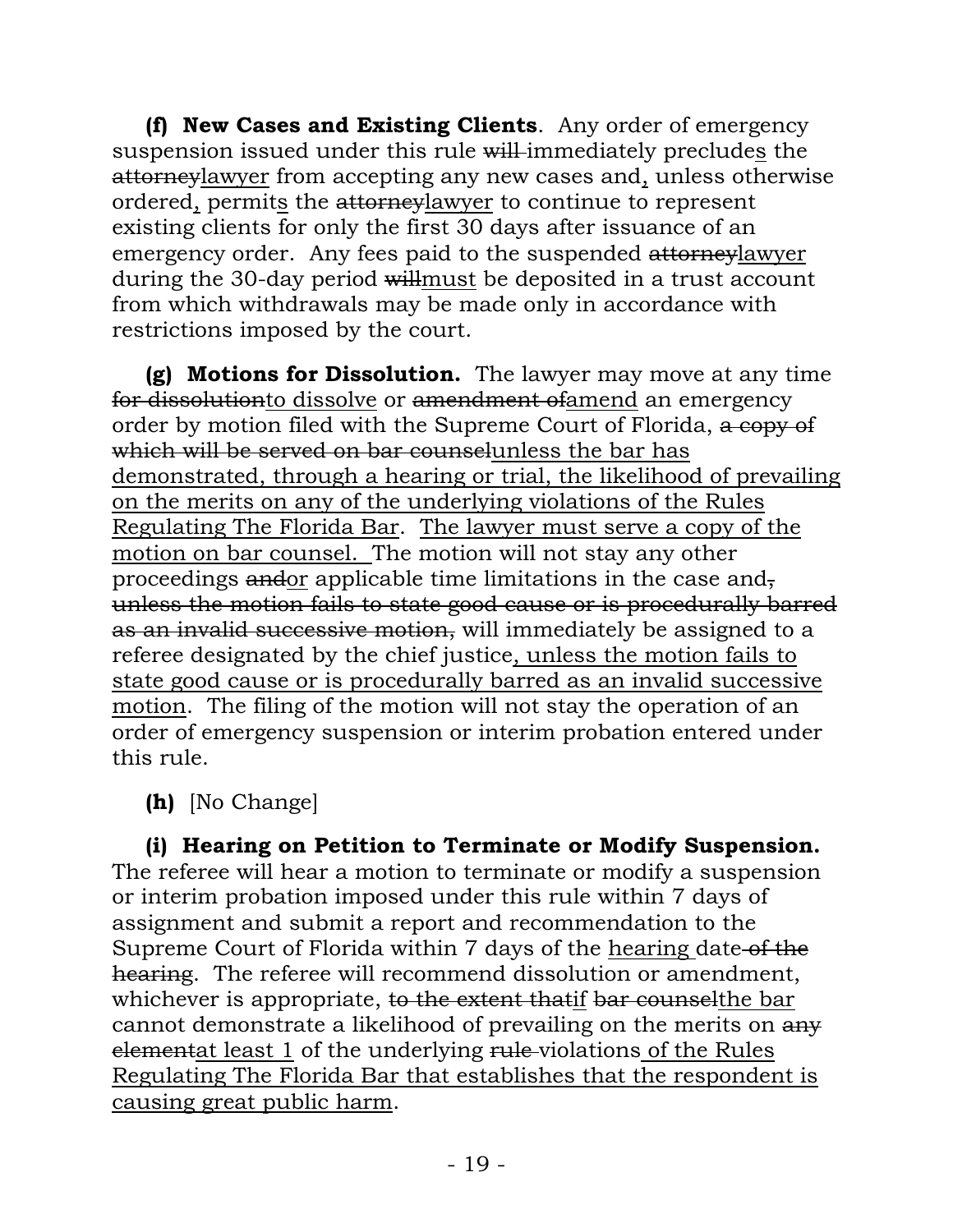**(f) New Cases and Existing Clients**. Any order of emergency suspension issued under this rule will immediately precludes the attorneylawyer from accepting any new cases and, unless otherwise ordered, permits the attorneylawyer to continue to represent existing clients for only the first 30 days after issuance of an emergency order. Any fees paid to the suspended attorneylawyer during the 30-day period willmust be deposited in a trust account from which withdrawals may be made only in accordance with restrictions imposed by the court.

**(g) Motions for Dissolution.** The lawyer may move at any time for dissolutionto dissolve or amendment ofamend an emergency order by motion filed with the Supreme Court of Florida, a copy of which will be served on bar counselunless the bar has demonstrated, through a hearing or trial, the likelihood of prevailing on the merits on any of the underlying violations of the Rules Regulating The Florida Bar. The lawyer must serve a copy of the motion on bar counsel. The motion will not stay any other proceedings andor applicable time limitations in the case and, unless the motion fails to state good cause or is procedurally barred as an invalid successive motion, will immediately be assigned to a referee designated by the chief justice, unless the motion fails to state good cause or is procedurally barred as an invalid successive motion. The filing of the motion will not stay the operation of an order of emergency suspension or interim probation entered under this rule.

**(h)** [No Change]

**(i) Hearing on Petition to Terminate or Modify Suspension.** The referee will hear a motion to terminate or modify a suspension or interim probation imposed under this rule within 7 days of assignment and submit a report and recommendation to the Supreme Court of Florida within 7 days of the hearing date of the hearing. The referee will recommend dissolution or amendment, whichever is appropriate, to the extent that if bar counsel the bar cannot demonstrate a likelihood of prevailing on the merits on any elementat least 1 of the underlying rule-violations of the Rules Regulating The Florida Bar that establishes that the respondent is causing great public harm.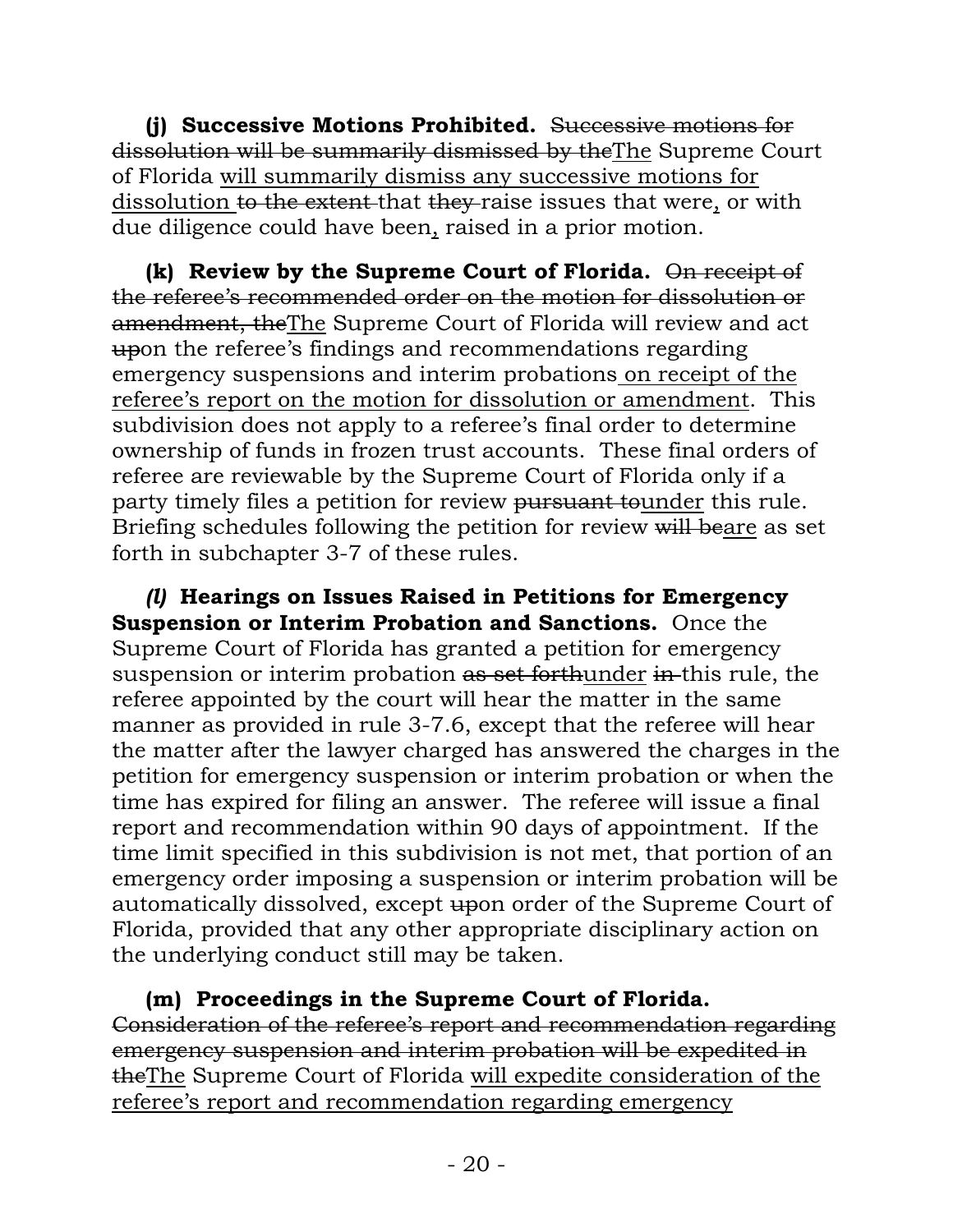**(j) Successive Motions Prohibited.** Successive motions for dissolution will be summarily dismissed by the The Supreme Court of Florida will summarily dismiss any successive motions for dissolution to the extent that they raise issues that were, or with due diligence could have been, raised in a prior motion.

**(k) Review by the Supreme Court of Florida.** On receipt of the referee's recommended order on the motion for dissolution or amendment, theThe Supreme Court of Florida will review and act upon the referee's findings and recommendations regarding emergency suspensions and interim probations on receipt of the referee's report on the motion for dissolution or amendment. This subdivision does not apply to a referee's final order to determine ownership of funds in frozen trust accounts. These final orders of referee are reviewable by the Supreme Court of Florida only if a party timely files a petition for review pursuant tounder this rule. Briefing schedules following the petition for review will beare as set forth in subchapter 3-7 of these rules.

*(l)* **Hearings on Issues Raised in Petitions for Emergency Suspension or Interim Probation and Sanctions.** Once the Supreme Court of Florida has granted a petition for emergency suspension or interim probation as set forthunder in this rule, the referee appointed by the court will hear the matter in the same manner as provided in rule 3-7.6, except that the referee will hear the matter after the lawyer charged has answered the charges in the petition for emergency suspension or interim probation or when the time has expired for filing an answer. The referee will issue a final report and recommendation within 90 days of appointment. If the time limit specified in this subdivision is not met, that portion of an emergency order imposing a suspension or interim probation will be automatically dissolved, except upon order of the Supreme Court of Florida, provided that any other appropriate disciplinary action on the underlying conduct still may be taken.

**(m) Proceedings in the Supreme Court of Florida.** Consideration of the referee's report and recommendation regarding emergency suspension and interim probation will be expedited in theThe Supreme Court of Florida will expedite consideration of the referee's report and recommendation regarding emergency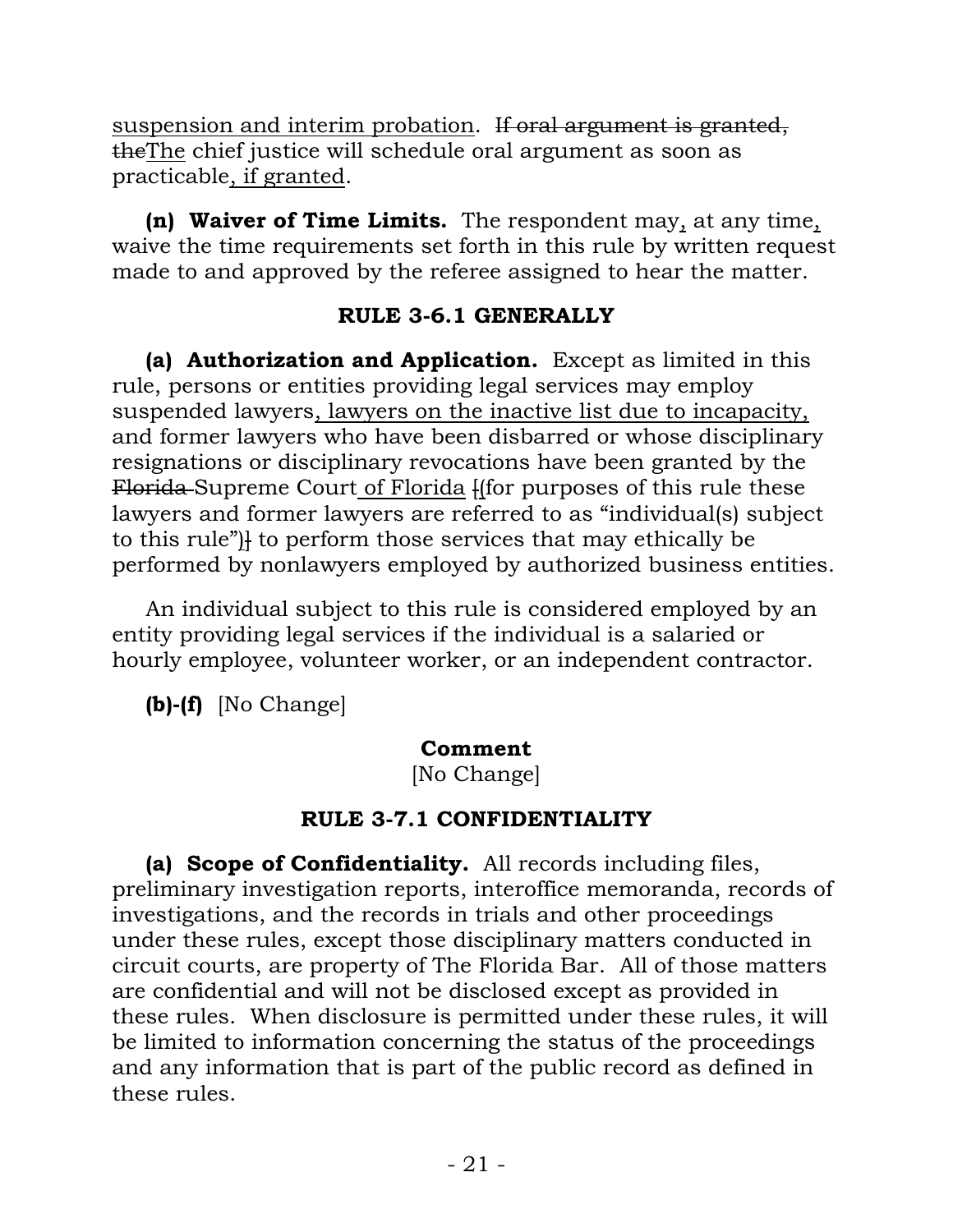suspension and interim probation. If oral argument is granted, theThe chief justice will schedule oral argument as soon as practicable, if granted.

**(n) Waiver of Time Limits.** The respondent may, at any time, waive the time requirements set forth in this rule by written request made to and approved by the referee assigned to hear the matter.

#### **RULE 3-6.1 GENERALLY**

**(a) Authorization and Application.** Except as limited in this rule, persons or entities providing legal services may employ suspended lawyers, lawyers on the inactive list due to incapacity, and former lawyers who have been disbarred or whose disciplinary resignations or disciplinary revocations have been granted by the Florida Supreme Court of Florida  $\frac{1}{100}$  for purposes of this rule these lawyers and former lawyers are referred to as "individual(s) subject to this rule")] to perform those services that may ethically be performed by nonlawyers employed by authorized business entities.

An individual subject to this rule is considered employed by an entity providing legal services if the individual is a salaried or hourly employee, volunteer worker, or an independent contractor.

**(b)-(f)** [No Change]

#### **Comment**

[No Change]

## **RULE 3-7.1 CONFIDENTIALITY**

**(a) Scope of Confidentiality.** All records including files, preliminary investigation reports, interoffice memoranda, records of investigations, and the records in trials and other proceedings under these rules, except those disciplinary matters conducted in circuit courts, are property of The Florida Bar. All of those matters are confidential and will not be disclosed except as provided in these rules. When disclosure is permitted under these rules, it will be limited to information concerning the status of the proceedings and any information that is part of the public record as defined in these rules.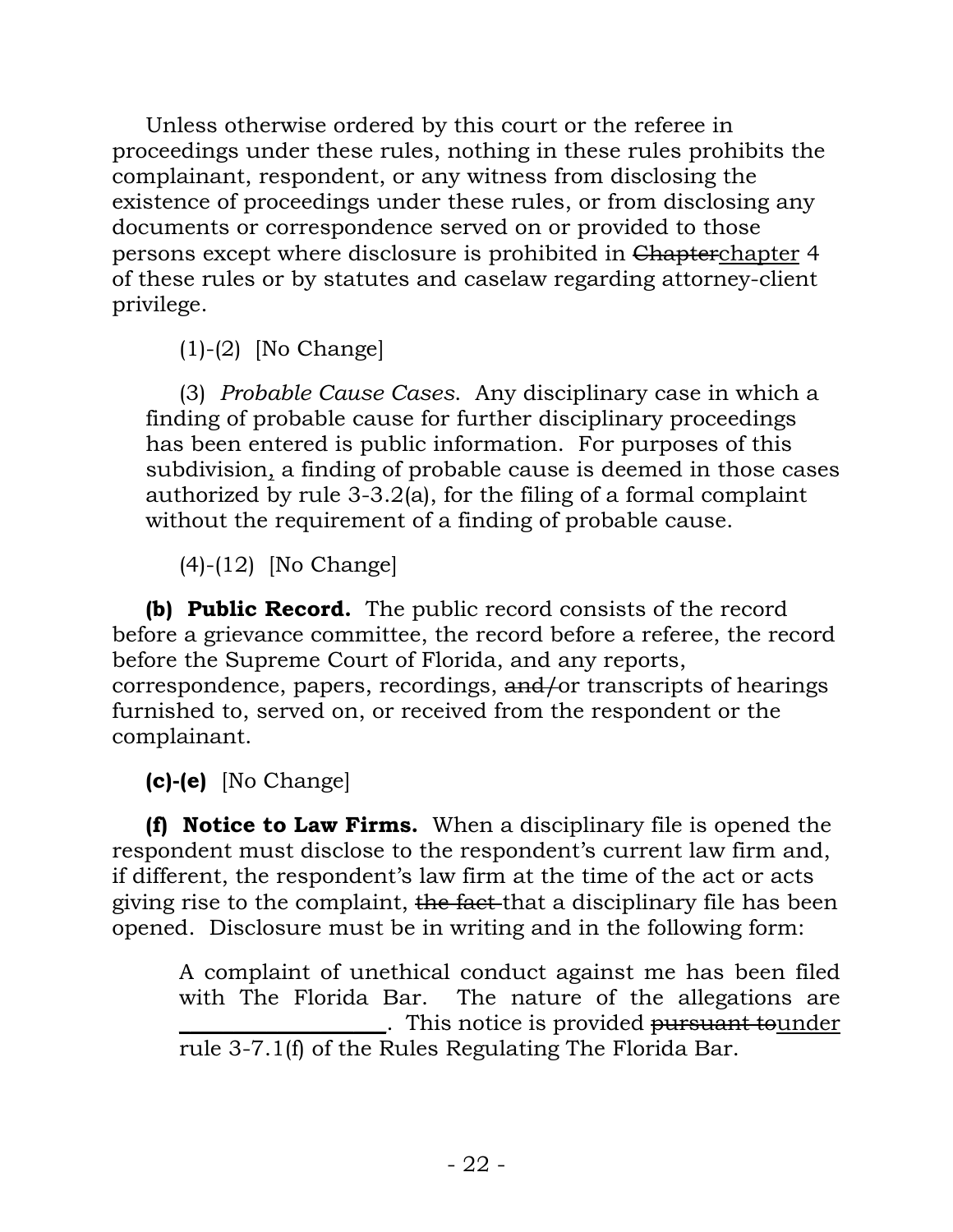Unless otherwise ordered by this court or the referee in proceedings under these rules, nothing in these rules prohibits the complainant, respondent, or any witness from disclosing the existence of proceedings under these rules, or from disclosing any documents or correspondence served on or provided to those persons except where disclosure is prohibited in Chapterchapter 4 of these rules or by statutes and caselaw regarding attorney-client privilege.

 $(1)-(2)$  [No Change]

(3) *Probable Cause Cases*. Any disciplinary case in which a finding of probable cause for further disciplinary proceedings has been entered is public information. For purposes of this subdivision, a finding of probable cause is deemed in those cases authorized by rule 3-3.2(a), for the filing of a formal complaint without the requirement of a finding of probable cause.

(4)-(12) [No Change]

**(b) Public Record.** The public record consists of the record before a grievance committee, the record before a referee, the record before the Supreme Court of Florida, and any reports, correspondence, papers, recordings, and/or transcripts of hearings furnished to, served on, or received from the respondent or the complainant.

**(c)-(e)** [No Change]

**(f) Notice to Law Firms.** When a disciplinary file is opened the respondent must disclose to the respondent's current law firm and, if different, the respondent's law firm at the time of the act or acts giving rise to the complaint, the fact that a disciplinary file has been opened. Disclosure must be in writing and in the following form:

A complaint of unethical conduct against me has been filed with The Florida Bar. The nature of the allegations are This notice is provided pursuant tounder rule 3-7.1(f) of the Rules Regulating The Florida Bar.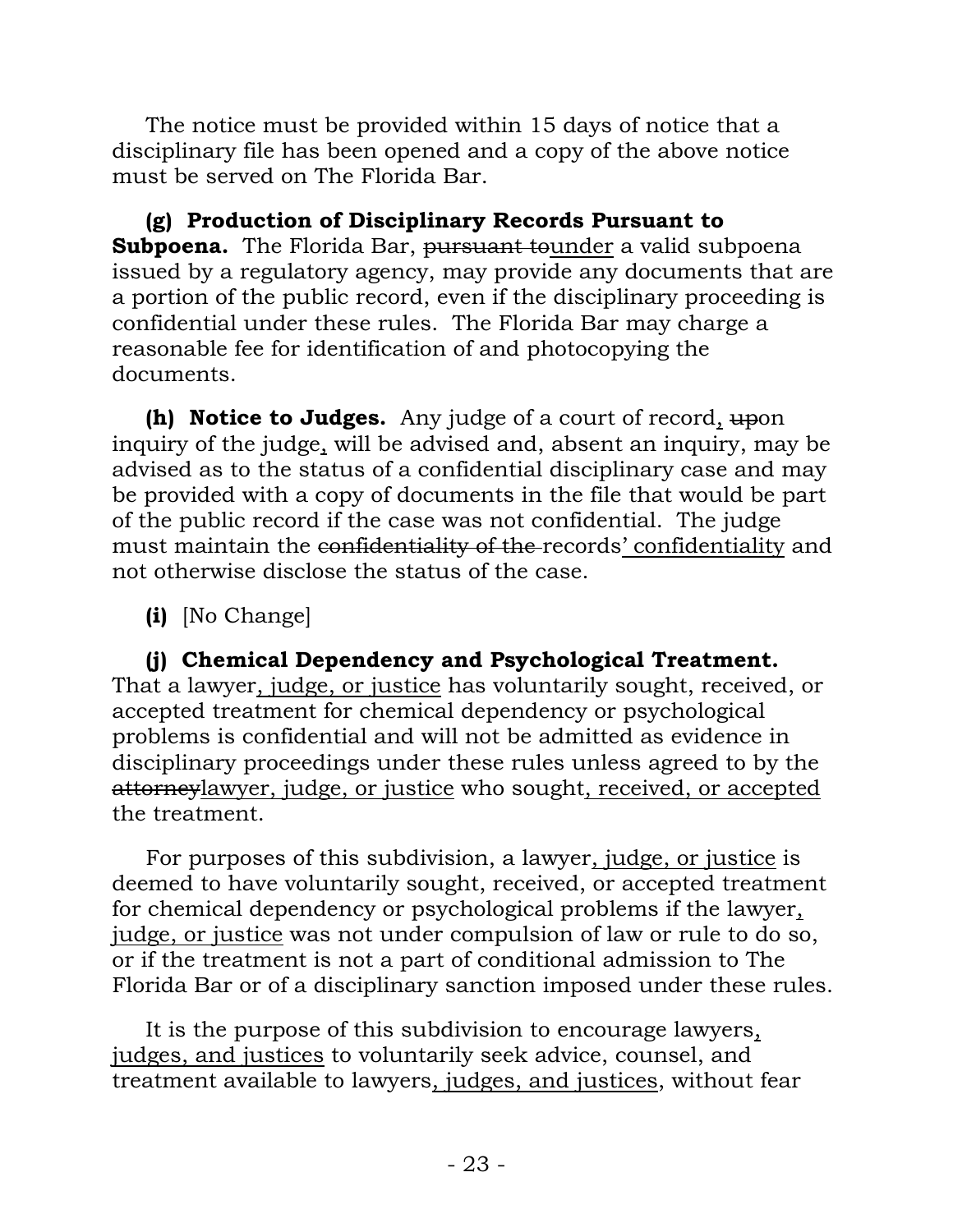The notice must be provided within 15 days of notice that a disciplinary file has been opened and a copy of the above notice must be served on The Florida Bar.

**(g) Production of Disciplinary Records Pursuant to Subpoena.** The Florida Bar, pursuant tounder a valid subpoena issued by a regulatory agency, may provide any documents that are a portion of the public record, even if the disciplinary proceeding is confidential under these rules. The Florida Bar may charge a reasonable fee for identification of and photocopying the documents.

**(h) Notice to Judges.** Any judge of a court of record, upon inquiry of the judge, will be advised and, absent an inquiry, may be advised as to the status of a confidential disciplinary case and may be provided with a copy of documents in the file that would be part of the public record if the case was not confidential. The judge must maintain the confidentiality of the records' confidentiality and not otherwise disclose the status of the case.

**(i)** [No Change]

**(j) Chemical Dependency and Psychological Treatment.** That a lawyer, judge, or justice has voluntarily sought, received, or accepted treatment for chemical dependency or psychological problems is confidential and will not be admitted as evidence in disciplinary proceedings under these rules unless agreed to by the attorneylawyer, judge, or justice who sought, received, or accepted the treatment.

For purposes of this subdivision, a lawyer, judge, or justice is deemed to have voluntarily sought, received, or accepted treatment for chemical dependency or psychological problems if the lawyer, judge, or justice was not under compulsion of law or rule to do so, or if the treatment is not a part of conditional admission to The Florida Bar or of a disciplinary sanction imposed under these rules.

It is the purpose of this subdivision to encourage lawyers, judges, and justices to voluntarily seek advice, counsel, and treatment available to lawyers, judges, and justices, without fear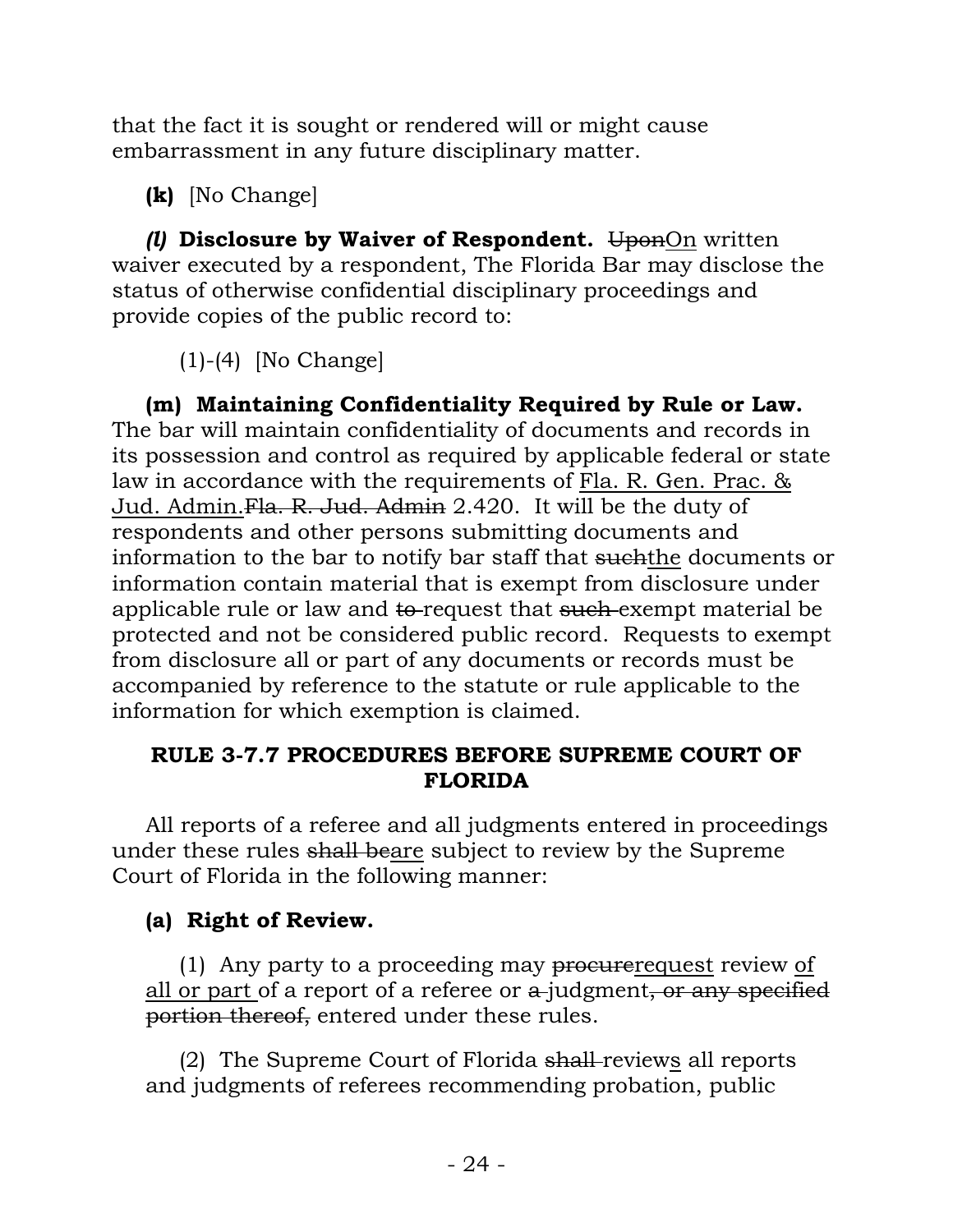that the fact it is sought or rendered will or might cause embarrassment in any future disciplinary matter.

**(k)** [No Change]

*(l)* **Disclosure by Waiver of Respondent.** UponOn written waiver executed by a respondent, The Florida Bar may disclose the status of otherwise confidential disciplinary proceedings and provide copies of the public record to:

(1)-(4) [No Change]

**(m) Maintaining Confidentiality Required by Rule or Law.** The bar will maintain confidentiality of documents and records in its possession and control as required by applicable federal or state law in accordance with the requirements of Fla. R. Gen. Prac. & Jud. Admin.Fla. R. Jud. Admin 2.420. It will be the duty of respondents and other persons submitting documents and information to the bar to notify bar staff that such the documents or information contain material that is exempt from disclosure under applicable rule or law and to request that such exempt material be protected and not be considered public record. Requests to exempt from disclosure all or part of any documents or records must be accompanied by reference to the statute or rule applicable to the information for which exemption is claimed.

#### **RULE 3-7.7 PROCEDURES BEFORE SUPREME COURT OF FLORIDA**

All reports of a referee and all judgments entered in proceedings under these rules shall beare subject to review by the Supreme Court of Florida in the following manner:

## **(a) Right of Review.**

(1) Any party to a proceeding may procure request review of all or part of a report of a referee or  $a$ -judgment, or any specified portion thereof, entered under these rules.

(2) The Supreme Court of Florida shall reviews all reports and judgments of referees recommending probation, public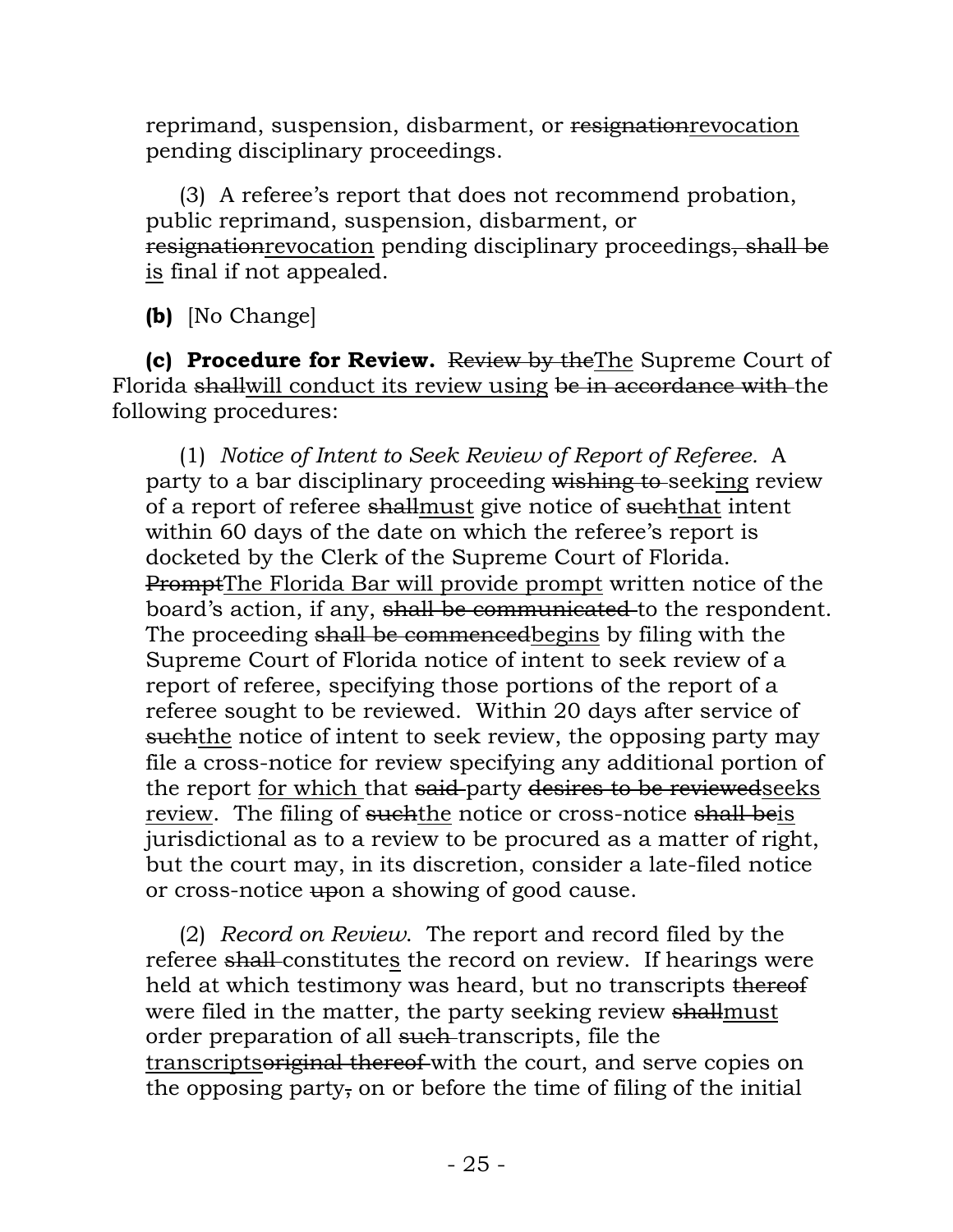reprimand, suspension, disbarment, or resignationer vocation pending disciplinary proceedings.

(3) A referee's report that does not recommend probation, public reprimand, suspension, disbarment, or resignationrevocation pending disciplinary proceedings, shall be is final if not appealed.

**(b)** [No Change]

**(c) Procedure for Review.** Review by theThe Supreme Court of Florida shallwill conduct its review using be in accordance with the following procedures:

(1) *Notice of Intent to Seek Review of Report of Referee.* A party to a bar disciplinary proceeding wishing to-seeking review of a report of referee shallmust give notice of suchthat intent within 60 days of the date on which the referee's report is docketed by the Clerk of the Supreme Court of Florida. PromptThe Florida Bar will provide prompt written notice of the board's action, if any, shall be communicated to the respondent. The proceeding shall be commenced begins by filing with the Supreme Court of Florida notice of intent to seek review of a report of referee, specifying those portions of the report of a referee sought to be reviewed. Within 20 days after service of such the notice of intent to seek review, the opposing party may file a cross-notice for review specifying any additional portion of the report for which that said party desires to be reviewedseeks review. The filing of such the notice or cross-notice shall be is jurisdictional as to a review to be procured as a matter of right, but the court may, in its discretion, consider a late-filed notice or cross-notice upon a showing of good cause.

(2) *Record on Review*. The report and record filed by the referee shall-constitutes the record on review. If hearings were held at which testimony was heard, but no transcripts thereof were filed in the matter, the party seeking review shallmust order preparation of all such transcripts, file the transcriptsoriginal thereof with the court, and serve copies on the opposing party, on or before the time of filing of the initial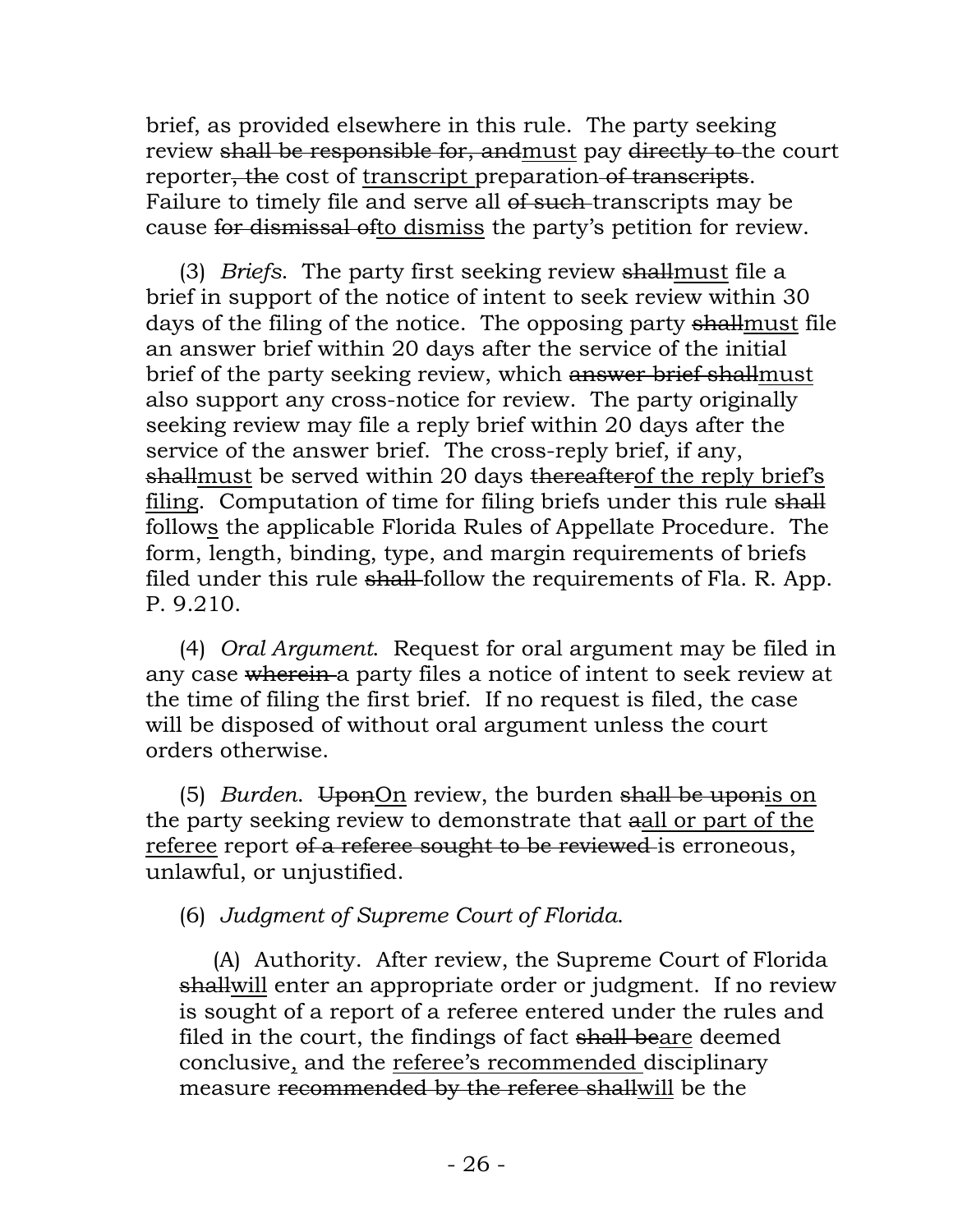brief, as provided elsewhere in this rule. The party seeking review shall be responsible for, and must pay directly to the court reporter, the cost of transcript preparation of transcripts. Failure to timely file and serve all of such-transcripts may be cause for dismissal ofto dismiss the party's petition for review.

(3) *Briefs*. The party first seeking review shallmust file a brief in support of the notice of intent to seek review within 30 days of the filing of the notice. The opposing party shallmust file an answer brief within 20 days after the service of the initial brief of the party seeking review, which answer brief shallmust also support any cross-notice for review. The party originally seeking review may file a reply brief within 20 days after the service of the answer brief. The cross-reply brief, if any, shallmust be served within 20 days thereafter of the reply brief's filing. Computation of time for filing briefs under this rule shall follows the applicable Florida Rules of Appellate Procedure. The form, length, binding, type, and margin requirements of briefs filed under this rule shall-follow the requirements of Fla. R. App. P. 9.210.

(4) *Oral Argument*. Request for oral argument may be filed in any case wherein a party files a notice of intent to seek review at the time of filing the first brief. If no request is filed, the case will be disposed of without oral argument unless the court orders otherwise.

(5) *Burden*. UponOn review, the burden shall be uponis on the party seeking review to demonstrate that aall or part of the referee report of a referee sought to be reviewed is erroneous, unlawful, or unjustified.

#### (6) *Judgment of Supreme Court of Florida*.

(A) Authority. After review, the Supreme Court of Florida shallwill enter an appropriate order or judgment. If no review is sought of a report of a referee entered under the rules and filed in the court, the findings of fact shall beare deemed conclusive, and the referee's recommended disciplinary measure recommended by the referee shallwill be the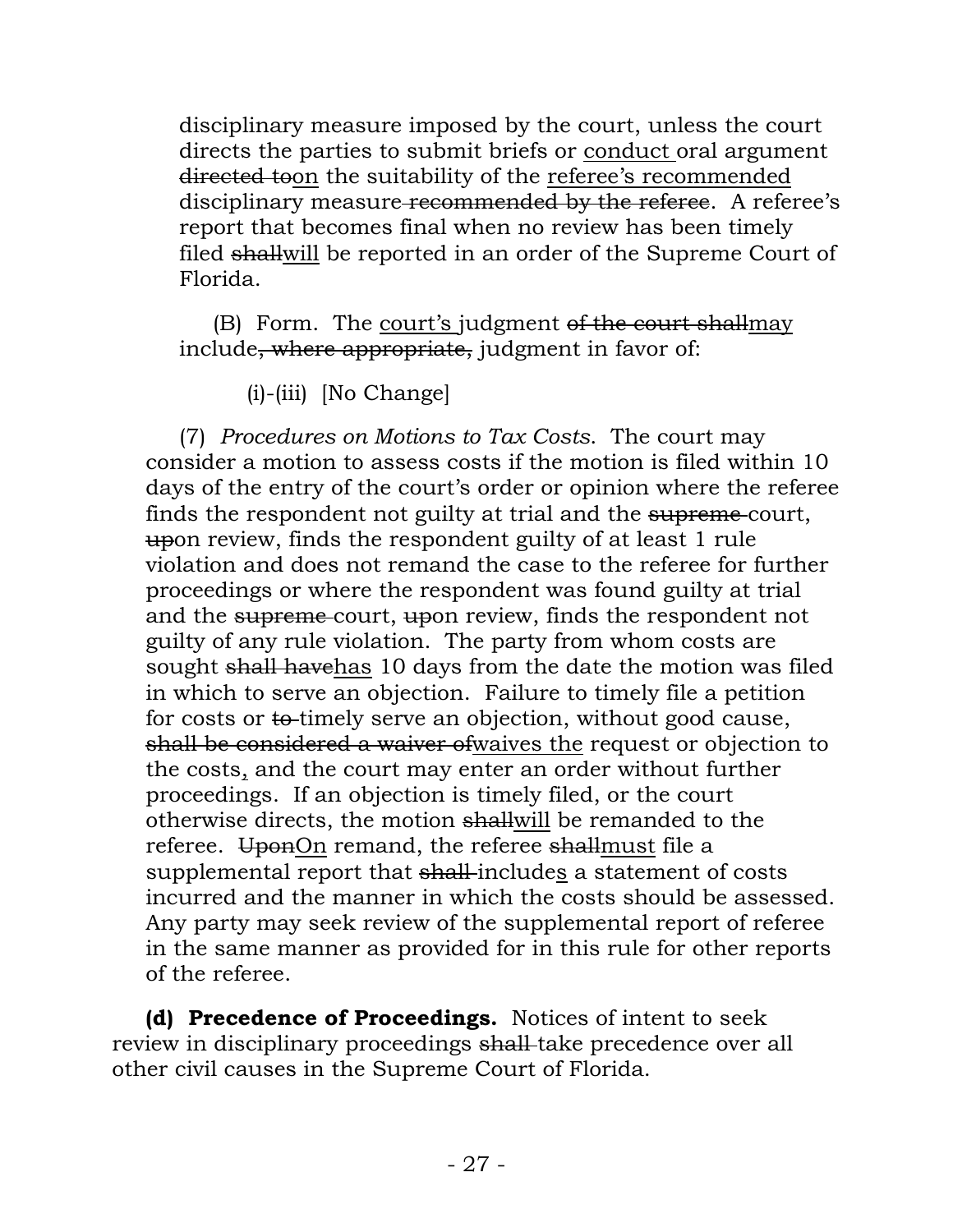disciplinary measure imposed by the court, unless the court directs the parties to submit briefs or conduct oral argument directed toon the suitability of the referee's recommended disciplinary measure recommended by the referee. A referee's report that becomes final when no review has been timely filed shallwill be reported in an order of the Supreme Court of Florida.

(B) Form. The court's judgment of the court shallmay include, where appropriate, judgment in favor of:

(i)-(iii) [No Change]

(7) *Procedures on Motions to Tax Costs*. The court may consider a motion to assess costs if the motion is filed within 10 days of the entry of the court's order or opinion where the referee finds the respondent not guilty at trial and the supreme-court, upon review, finds the respondent guilty of at least 1 rule violation and does not remand the case to the referee for further proceedings or where the respondent was found guilty at trial and the supreme court, upon review, finds the respondent not guilty of any rule violation. The party from whom costs are sought shall havehas 10 days from the date the motion was filed in which to serve an objection. Failure to timely file a petition for costs or to timely serve an objection, without good cause, shall be considered a waiver ofwaives the request or objection to the costs, and the court may enter an order without further proceedings. If an objection is timely filed, or the court otherwise directs, the motion shallwill be remanded to the referee. UponOn remand, the referee shallmust file a supplemental report that shall-includes a statement of costs incurred and the manner in which the costs should be assessed. Any party may seek review of the supplemental report of referee in the same manner as provided for in this rule for other reports of the referee.

**(d) Precedence of Proceedings.** Notices of intent to seek review in disciplinary proceedings shall take precedence over all other civil causes in the Supreme Court of Florida.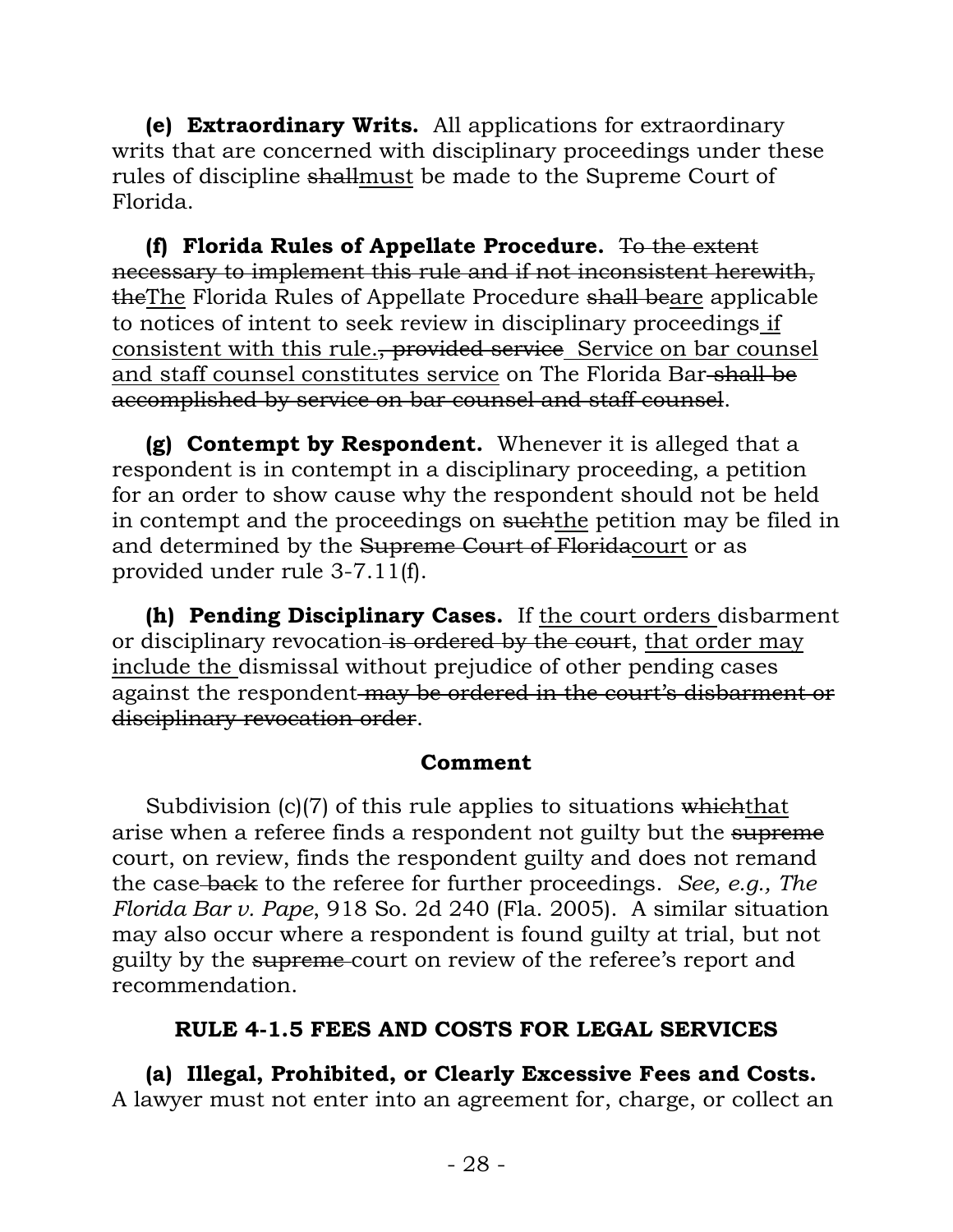**(e) Extraordinary Writs.** All applications for extraordinary writs that are concerned with disciplinary proceedings under these rules of discipline shallmust be made to the Supreme Court of Florida.

**(f) Florida Rules of Appellate Procedure.** To the extent necessary to implement this rule and if not inconsistent herewith, theThe Florida Rules of Appellate Procedure shall beare applicable to notices of intent to seek review in disciplinary proceedings if consistent with this rule., provided service Service on bar counsel and staff counsel constitutes service on The Florida Bar shall be accomplished by service on bar counsel and staff counsel.

**(g) Contempt by Respondent.** Whenever it is alleged that a respondent is in contempt in a disciplinary proceeding, a petition for an order to show cause why the respondent should not be held in contempt and the proceedings on suchthe petition may be filed in and determined by the Supreme Court of Floridacourt or as provided under rule 3-7.11(f).

**(h) Pending Disciplinary Cases.** If the court orders disbarment or disciplinary revocation is ordered by the court, that order may include the dismissal without prejudice of other pending cases against the respondent may be ordered in the court's disbarment or disciplinary revocation order.

#### **Comment**

Subdivision (c)(7) of this rule applies to situations which that arise when a referee finds a respondent not guilty but the supreme court, on review, finds the respondent guilty and does not remand the case back to the referee for further proceedings. *See, e.g., The Florida Bar v. Pape*, 918 So. 2d 240 (Fla. 2005). A similar situation may also occur where a respondent is found guilty at trial, but not guilty by the supreme court on review of the referee's report and recommendation.

#### **RULE 4-1.5 FEES AND COSTS FOR LEGAL SERVICES**

**(a) Illegal, Prohibited, or Clearly Excessive Fees and Costs.** A lawyer must not enter into an agreement for, charge, or collect an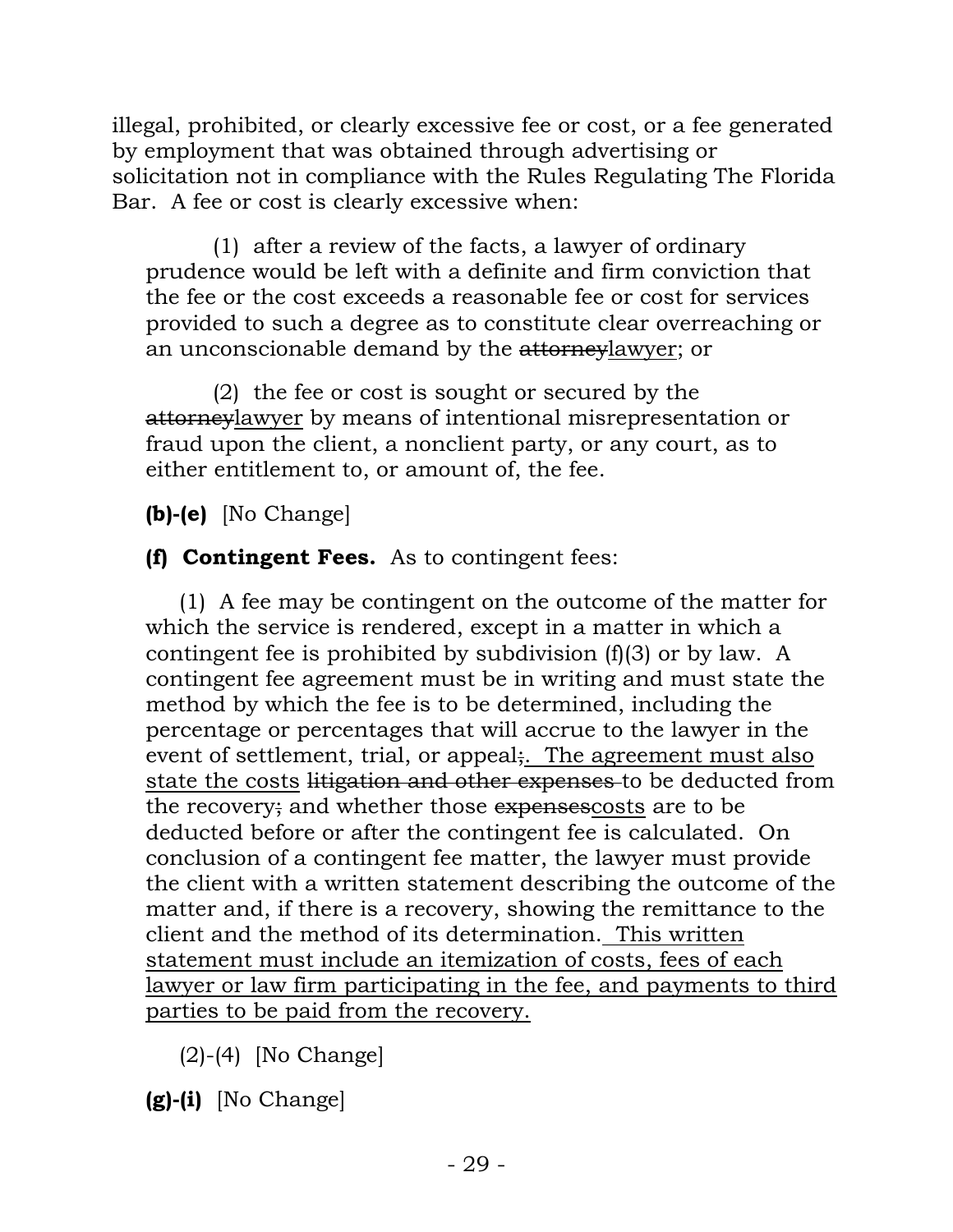illegal, prohibited, or clearly excessive fee or cost, or a fee generated by employment that was obtained through advertising or solicitation not in compliance with the Rules Regulating The Florida Bar. A fee or cost is clearly excessive when:

(1) after a review of the facts, a lawyer of ordinary prudence would be left with a definite and firm conviction that the fee or the cost exceeds a reasonable fee or cost for services provided to such a degree as to constitute clear overreaching or an unconscionable demand by the attorneylawyer; or

(2) the fee or cost is sought or secured by the attorneylawyer by means of intentional misrepresentation or fraud upon the client, a nonclient party, or any court, as to either entitlement to, or amount of, the fee.

**(b)-(e)** [No Change]

## **(f) Contingent Fees.** As to contingent fees:

(1) A fee may be contingent on the outcome of the matter for which the service is rendered, except in a matter in which a contingent fee is prohibited by subdivision (f)(3) or by law. A contingent fee agreement must be in writing and must state the method by which the fee is to be determined, including the percentage or percentages that will accrue to the lawyer in the event of settlement, trial, or appeal;. The agreement must also state the costs litigation and other expenses to be deducted from the recovery; and whether those expensescosts are to be deducted before or after the contingent fee is calculated. On conclusion of a contingent fee matter, the lawyer must provide the client with a written statement describing the outcome of the matter and, if there is a recovery, showing the remittance to the client and the method of its determination. This written statement must include an itemization of costs, fees of each lawyer or law firm participating in the fee, and payments to third parties to be paid from the recovery.

(2)-(4) [No Change]

**(g)-(i)** [No Change]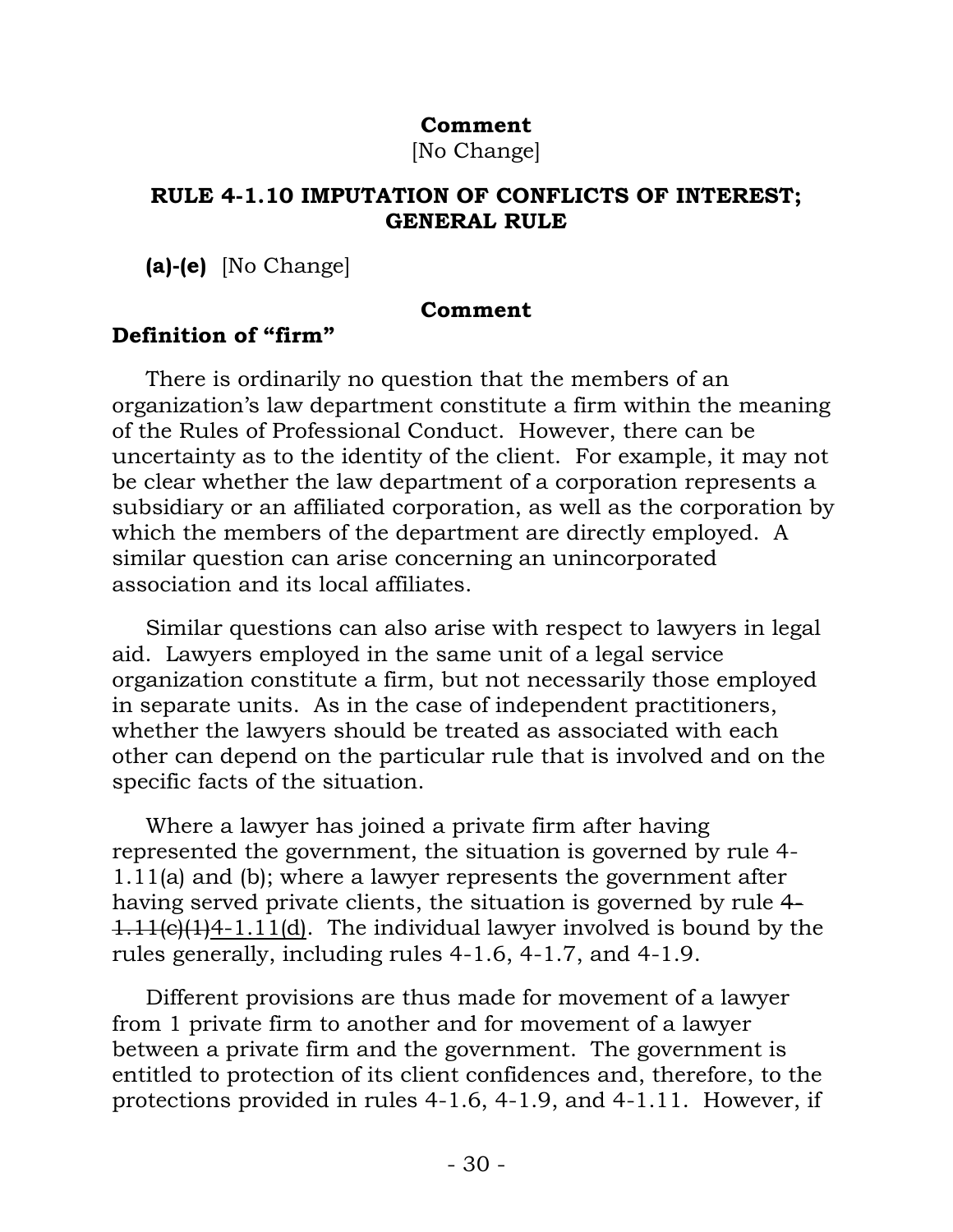#### **Comment**

[No Change]

#### **RULE 4-1.10 IMPUTATION OF CONFLICTS OF INTEREST; GENERAL RULE**

**(a)-(e)** [No Change]

#### **Comment**

#### **Definition of "firm"**

There is ordinarily no question that the members of an organization's law department constitute a firm within the meaning of the Rules of Professional Conduct. However, there can be uncertainty as to the identity of the client. For example, it may not be clear whether the law department of a corporation represents a subsidiary or an affiliated corporation, as well as the corporation by which the members of the department are directly employed. A similar question can arise concerning an unincorporated association and its local affiliates.

Similar questions can also arise with respect to lawyers in legal aid. Lawyers employed in the same unit of a legal service organization constitute a firm, but not necessarily those employed in separate units. As in the case of independent practitioners, whether the lawyers should be treated as associated with each other can depend on the particular rule that is involved and on the specific facts of the situation.

Where a lawyer has joined a private firm after having represented the government, the situation is governed by rule 4- 1.11(a) and (b); where a lawyer represents the government after having served private clients, the situation is governed by rule 4- 1.11(c)(1)4-1.11(d). The individual lawyer involved is bound by the rules generally, including rules 4-1.6, 4-1.7, and 4-1.9.

Different provisions are thus made for movement of a lawyer from 1 private firm to another and for movement of a lawyer between a private firm and the government. The government is entitled to protection of its client confidences and, therefore, to the protections provided in rules 4-1.6, 4-1.9, and 4-1.11. However, if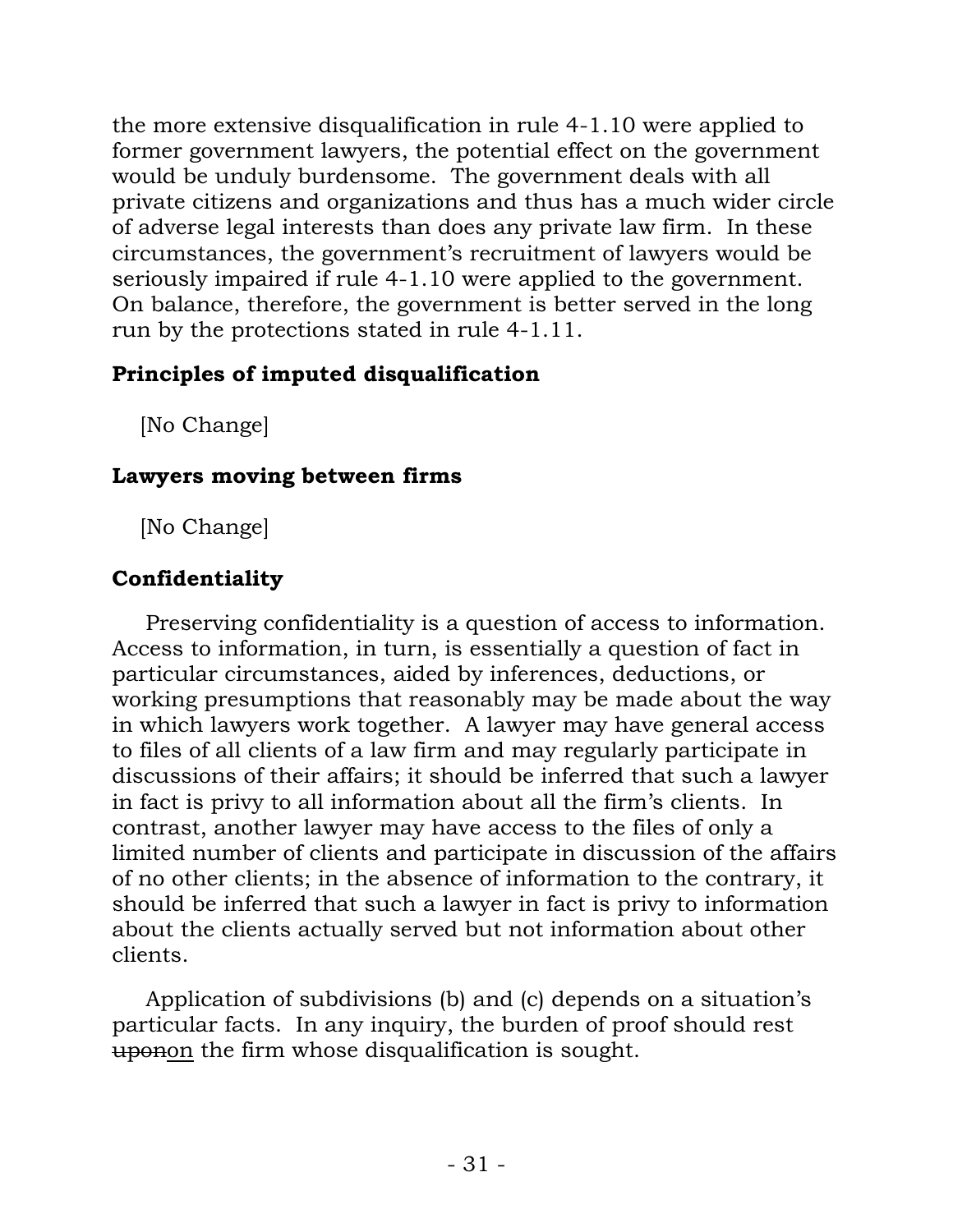the more extensive disqualification in rule 4-1.10 were applied to former government lawyers, the potential effect on the government would be unduly burdensome. The government deals with all private citizens and organizations and thus has a much wider circle of adverse legal interests than does any private law firm. In these circumstances, the government's recruitment of lawyers would be seriously impaired if rule 4-1.10 were applied to the government. On balance, therefore, the government is better served in the long run by the protections stated in rule 4-1.11.

## **Principles of imputed disqualification**

[No Change]

#### **Lawyers moving between firms**

[No Change]

## **Confidentiality**

Preserving confidentiality is a question of access to information. Access to information, in turn, is essentially a question of fact in particular circumstances, aided by inferences, deductions, or working presumptions that reasonably may be made about the way in which lawyers work together. A lawyer may have general access to files of all clients of a law firm and may regularly participate in discussions of their affairs; it should be inferred that such a lawyer in fact is privy to all information about all the firm's clients. In contrast, another lawyer may have access to the files of only a limited number of clients and participate in discussion of the affairs of no other clients; in the absence of information to the contrary, it should be inferred that such a lawyer in fact is privy to information about the clients actually served but not information about other clients.

Application of subdivisions (b) and (c) depends on a situation's particular facts. In any inquiry, the burden of proof should rest uponon the firm whose disqualification is sought.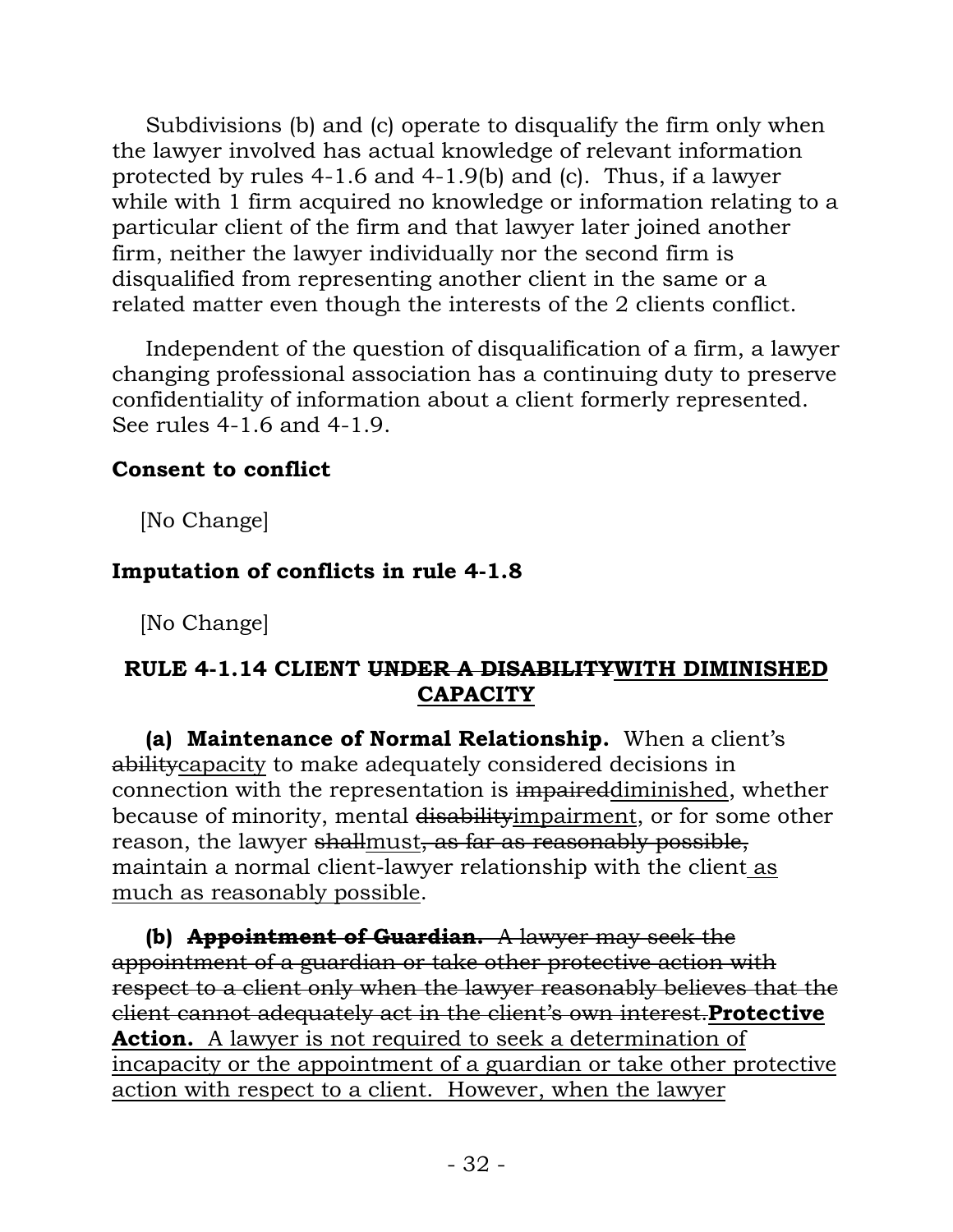Subdivisions (b) and (c) operate to disqualify the firm only when the lawyer involved has actual knowledge of relevant information protected by rules 4-1.6 and 4-1.9(b) and (c). Thus, if a lawyer while with 1 firm acquired no knowledge or information relating to a particular client of the firm and that lawyer later joined another firm, neither the lawyer individually nor the second firm is disqualified from representing another client in the same or a related matter even though the interests of the 2 clients conflict.

Independent of the question of disqualification of a firm, a lawyer changing professional association has a continuing duty to preserve confidentiality of information about a client formerly represented. See rules 4-1.6 and 4-1.9.

#### **Consent to conflict**

[No Change]

## **Imputation of conflicts in rule 4-1.8**

[No Change]

## **RULE 4-1.14 CLIENT UNDER A DISABILITYWITH DIMINISHED CAPACITY**

**(a) Maintenance of Normal Relationship.** When a client's abilitycapacity to make adequately considered decisions in connection with the representation is impaireddiminished, whether because of minority, mental disabilityimpairment, or for some other reason, the lawyer shallmust, as far as reasonably possible, maintain a normal client-lawyer relationship with the client as much as reasonably possible.

**(b) Appointment of Guardian.** A lawyer may seek the appointment of a guardian or take other protective action with respect to a client only when the lawyer reasonably believes that the client cannot adequately act in the client's own interest.**Protective Action.** A lawyer is not required to seek a determination of incapacity or the appointment of a guardian or take other protective action with respect to a client. However, when the lawyer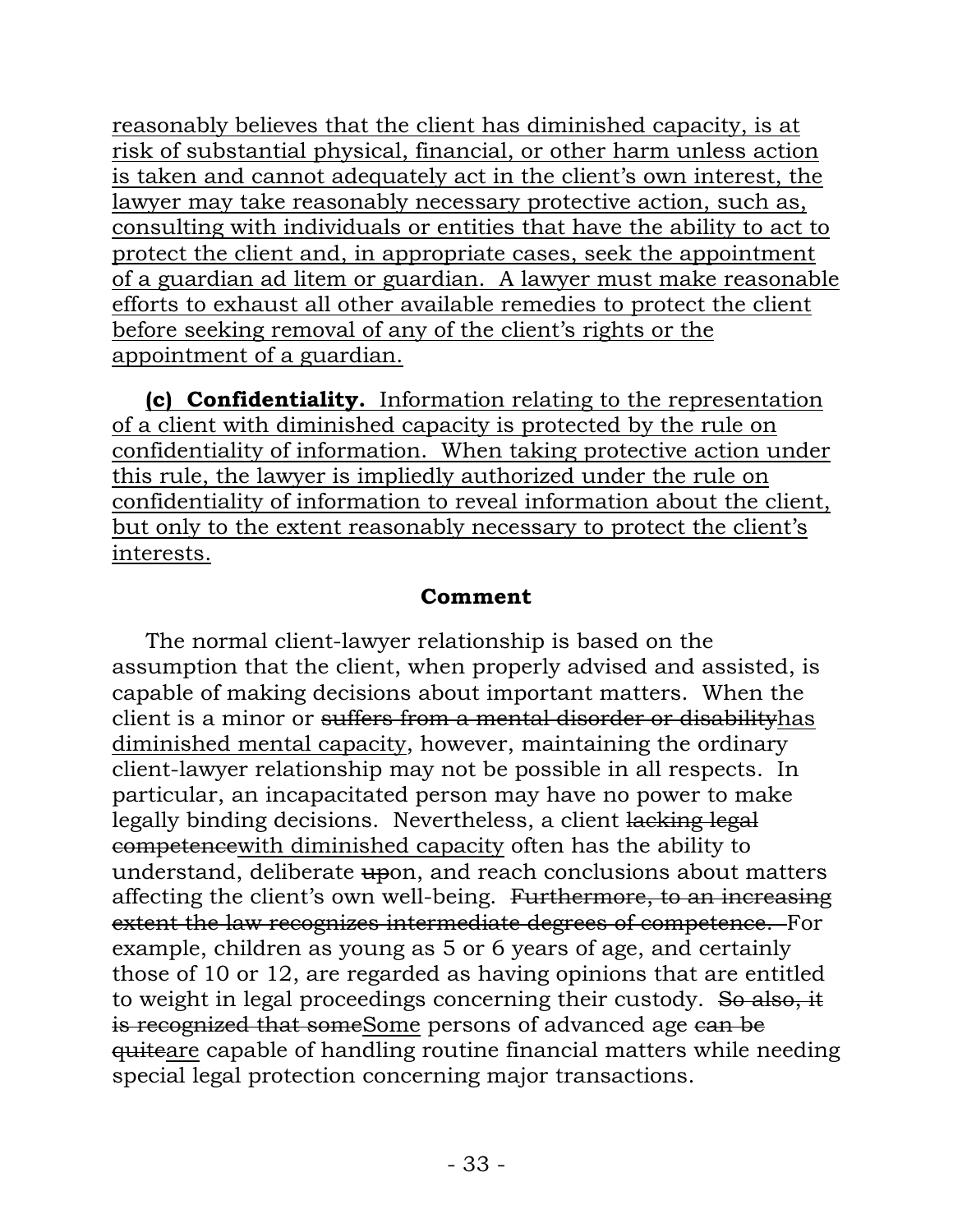reasonably believes that the client has diminished capacity, is at risk of substantial physical, financial, or other harm unless action is taken and cannot adequately act in the client's own interest, the lawyer may take reasonably necessary protective action, such as, consulting with individuals or entities that have the ability to act to protect the client and, in appropriate cases, seek the appointment of a guardian ad litem or guardian. A lawyer must make reasonable efforts to exhaust all other available remedies to protect the client before seeking removal of any of the client's rights or the appointment of a guardian.

**(c) Confidentiality.** Information relating to the representation of a client with diminished capacity is protected by the rule on confidentiality of information. When taking protective action under this rule, the lawyer is impliedly authorized under the rule on confidentiality of information to reveal information about the client, but only to the extent reasonably necessary to protect the client's interests.

#### **Comment**

The normal client-lawyer relationship is based on the assumption that the client, when properly advised and assisted, is capable of making decisions about important matters. When the client is a minor or suffers from a mental disorder or disabilityhas diminished mental capacity, however, maintaining the ordinary client-lawyer relationship may not be possible in all respects. In particular, an incapacitated person may have no power to make legally binding decisions. Nevertheless, a client lacking legal competencewith diminished capacity often has the ability to understand, deliberate upon, and reach conclusions about matters affecting the client's own well-being. Furthermore, to an increasing extent the law recognizes intermediate degrees of competence. For example, children as young as 5 or 6 years of age, and certainly those of 10 or 12, are regarded as having opinions that are entitled to weight in legal proceedings concerning their custody. So also, it is recognized that someSome persons of advanced age can be quiteare capable of handling routine financial matters while needing special legal protection concerning major transactions.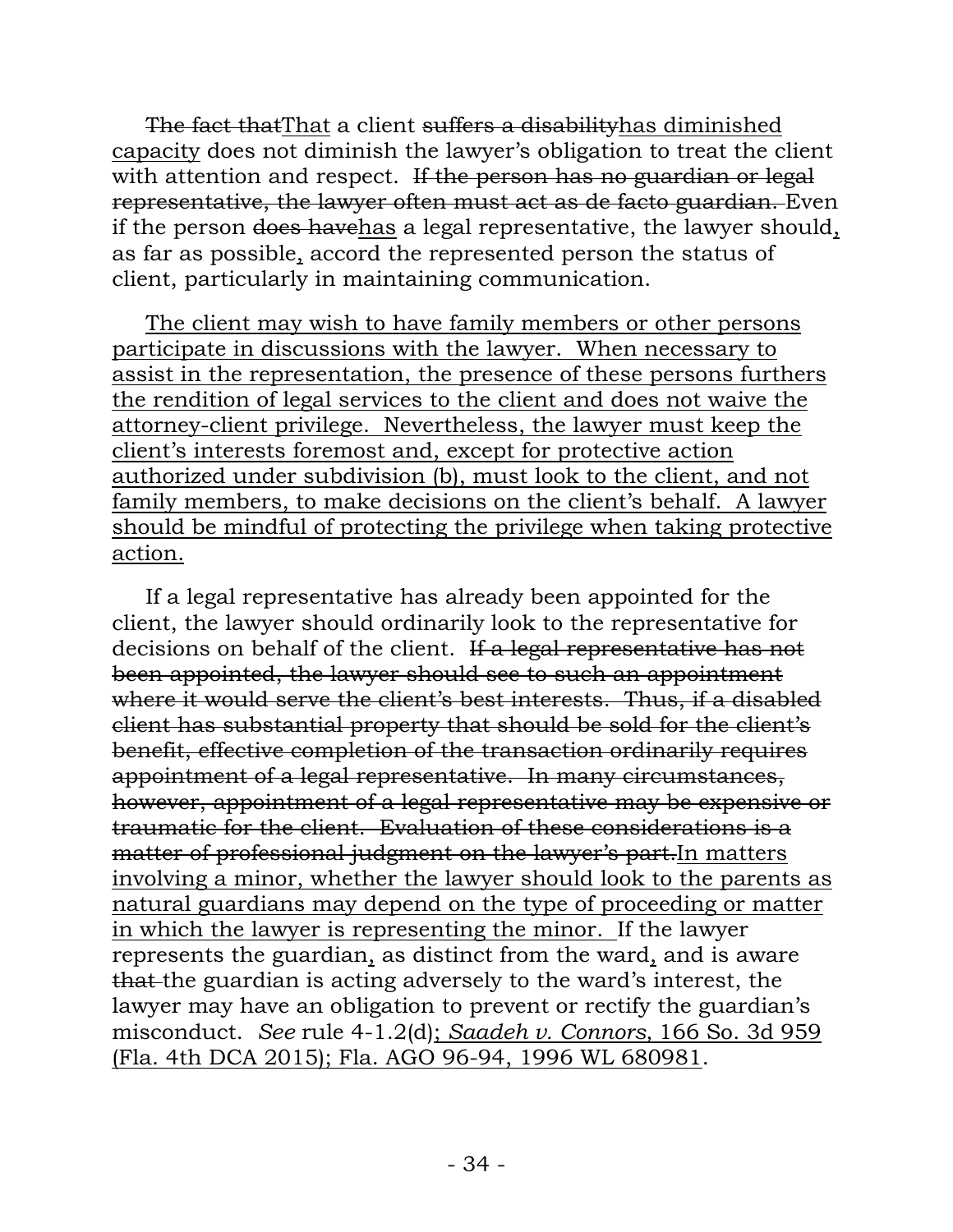The fact thatThat a client suffers a disabilityhas diminished capacity does not diminish the lawyer's obligation to treat the client with attention and respect. If the person has no guardian or legal representative, the lawyer often must act as de facto guardian. Even if the person does havehas a legal representative, the lawyer should, as far as possible, accord the represented person the status of client, particularly in maintaining communication.

The client may wish to have family members or other persons participate in discussions with the lawyer. When necessary to assist in the representation, the presence of these persons furthers the rendition of legal services to the client and does not waive the attorney-client privilege. Nevertheless, the lawyer must keep the client's interests foremost and, except for protective action authorized under subdivision (b), must look to the client, and not family members, to make decisions on the client's behalf. A lawyer should be mindful of protecting the privilege when taking protective action.

If a legal representative has already been appointed for the client, the lawyer should ordinarily look to the representative for decisions on behalf of the client. If a legal representative has not been appointed, the lawyer should see to such an appointment where it would serve the client's best interests. Thus, if a disabled client has substantial property that should be sold for the client's benefit, effective completion of the transaction ordinarily requires appointment of a legal representative. In many circumstances, however, appointment of a legal representative may be expensive or traumatic for the client. Evaluation of these considerations is a matter of professional judgment on the lawyer's part.In matters involving a minor, whether the lawyer should look to the parents as natural guardians may depend on the type of proceeding or matter in which the lawyer is representing the minor. If the lawyer represents the guardian, as distinct from the ward, and is aware that the guardian is acting adversely to the ward's interest, the lawyer may have an obligation to prevent or rectify the guardian's misconduct. *See* rule 4-1.2(d); *Saadeh v. Connors,* 166 So. 3d 959 (Fla. 4th DCA 2015); Fla. AGO 96-94, 1996 WL 680981.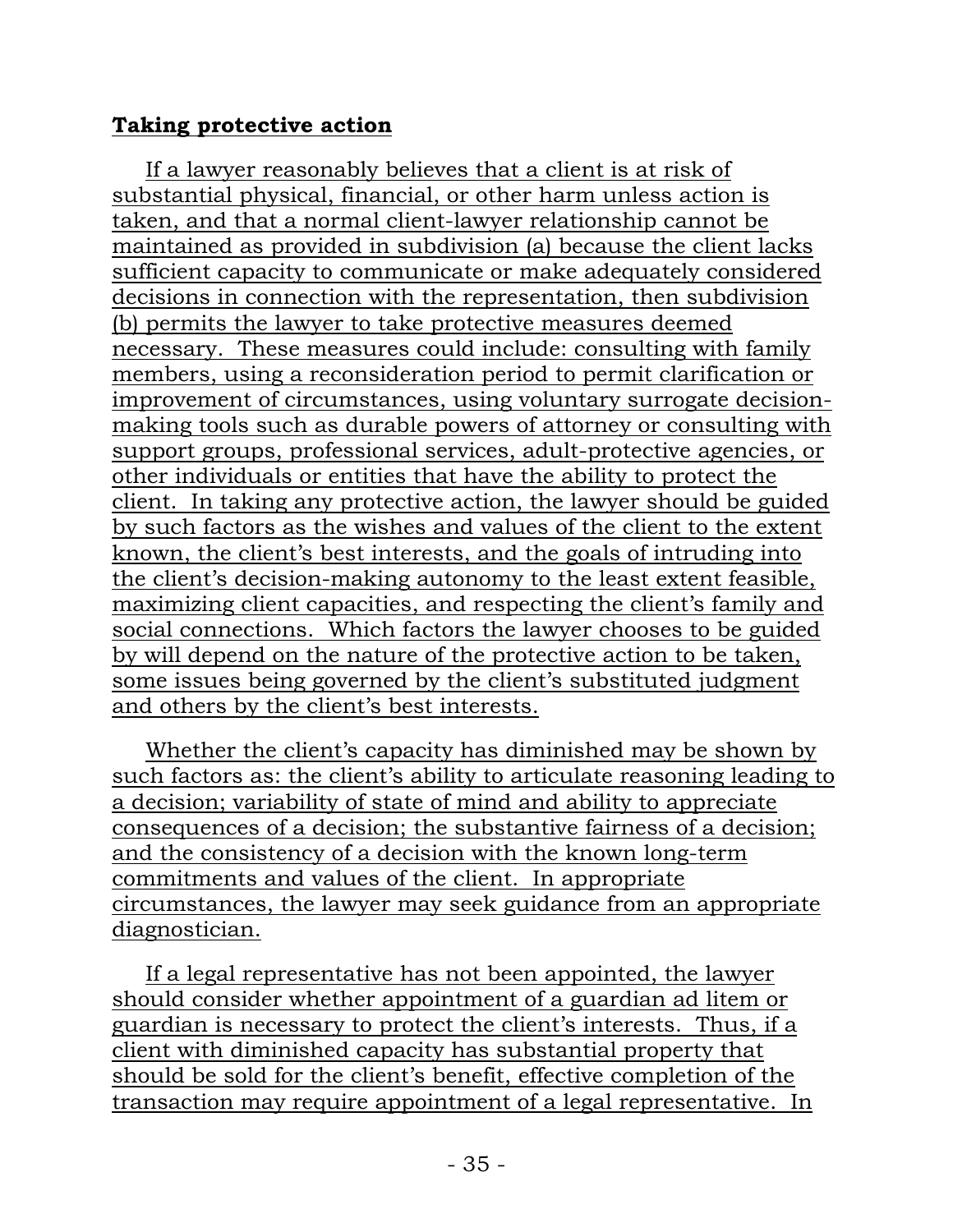#### **Taking protective action**

If a lawyer reasonably believes that a client is at risk of substantial physical, financial, or other harm unless action is taken, and that a normal client-lawyer relationship cannot be maintained as provided in subdivision (a) because the client lacks sufficient capacity to communicate or make adequately considered decisions in connection with the representation, then subdivision (b) permits the lawyer to take protective measures deemed necessary. These measures could include: consulting with family members, using a reconsideration period to permit clarification or improvement of circumstances, using voluntary surrogate decisionmaking tools such as durable powers of attorney or consulting with support groups, professional services, adult-protective agencies, or other individuals or entities that have the ability to protect the client. In taking any protective action, the lawyer should be guided by such factors as the wishes and values of the client to the extent known, the client's best interests, and the goals of intruding into the client's decision-making autonomy to the least extent feasible, maximizing client capacities, and respecting the client's family and social connections. Which factors the lawyer chooses to be guided by will depend on the nature of the protective action to be taken, some issues being governed by the client's substituted judgment and others by the client's best interests.

Whether the client's capacity has diminished may be shown by such factors as: the client's ability to articulate reasoning leading to a decision; variability of state of mind and ability to appreciate consequences of a decision; the substantive fairness of a decision; and the consistency of a decision with the known long-term commitments and values of the client. In appropriate circumstances, the lawyer may seek guidance from an appropriate diagnostician.

If a legal representative has not been appointed, the lawyer should consider whether appointment of a guardian ad litem or guardian is necessary to protect the client's interests. Thus, if a client with diminished capacity has substantial property that should be sold for the client's benefit, effective completion of the transaction may require appointment of a legal representative. In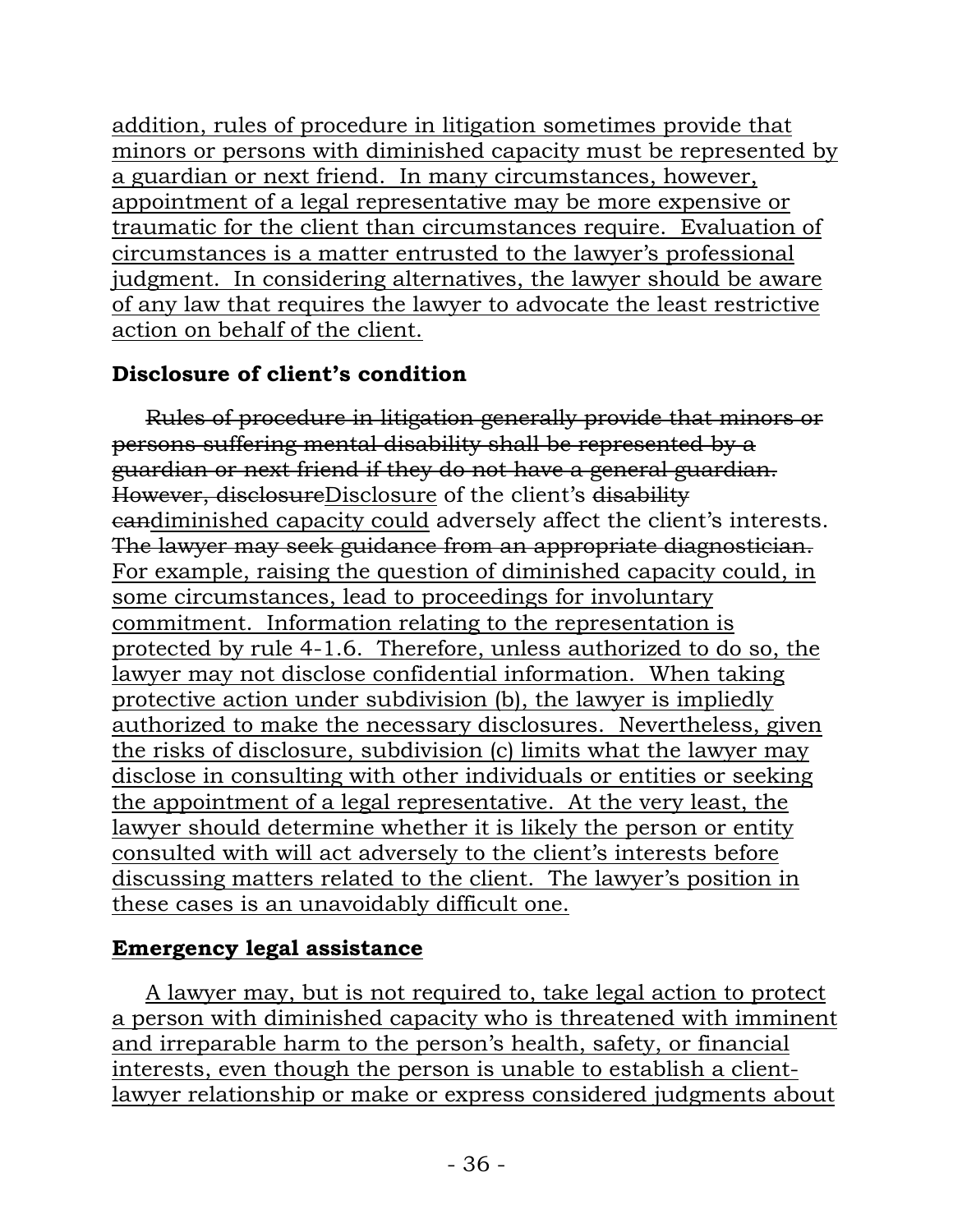addition, rules of procedure in litigation sometimes provide that minors or persons with diminished capacity must be represented by a guardian or next friend. In many circumstances, however, appointment of a legal representative may be more expensive or traumatic for the client than circumstances require. Evaluation of circumstances is a matter entrusted to the lawyer's professional judgment. In considering alternatives, the lawyer should be aware of any law that requires the lawyer to advocate the least restrictive action on behalf of the client.

## **Disclosure of client's condition**

Rules of procedure in litigation generally provide that minors or persons suffering mental disability shall be represented by a guardian or next friend if they do not have a general guardian. However, disclosureDisclosure of the client's disability candiminished capacity could adversely affect the client's interests. The lawyer may seek guidance from an appropriate diagnostician. For example, raising the question of diminished capacity could, in some circumstances, lead to proceedings for involuntary commitment. Information relating to the representation is protected by rule 4-1.6. Therefore, unless authorized to do so, the lawyer may not disclose confidential information. When taking protective action under subdivision (b), the lawyer is impliedly authorized to make the necessary disclosures. Nevertheless, given the risks of disclosure, subdivision (c) limits what the lawyer may disclose in consulting with other individuals or entities or seeking the appointment of a legal representative. At the very least, the lawyer should determine whether it is likely the person or entity consulted with will act adversely to the client's interests before discussing matters related to the client. The lawyer's position in these cases is an unavoidably difficult one.

## **Emergency legal assistance**

A lawyer may, but is not required to, take legal action to protect a person with diminished capacity who is threatened with imminent and irreparable harm to the person's health, safety, or financial interests, even though the person is unable to establish a clientlawyer relationship or make or express considered judgments about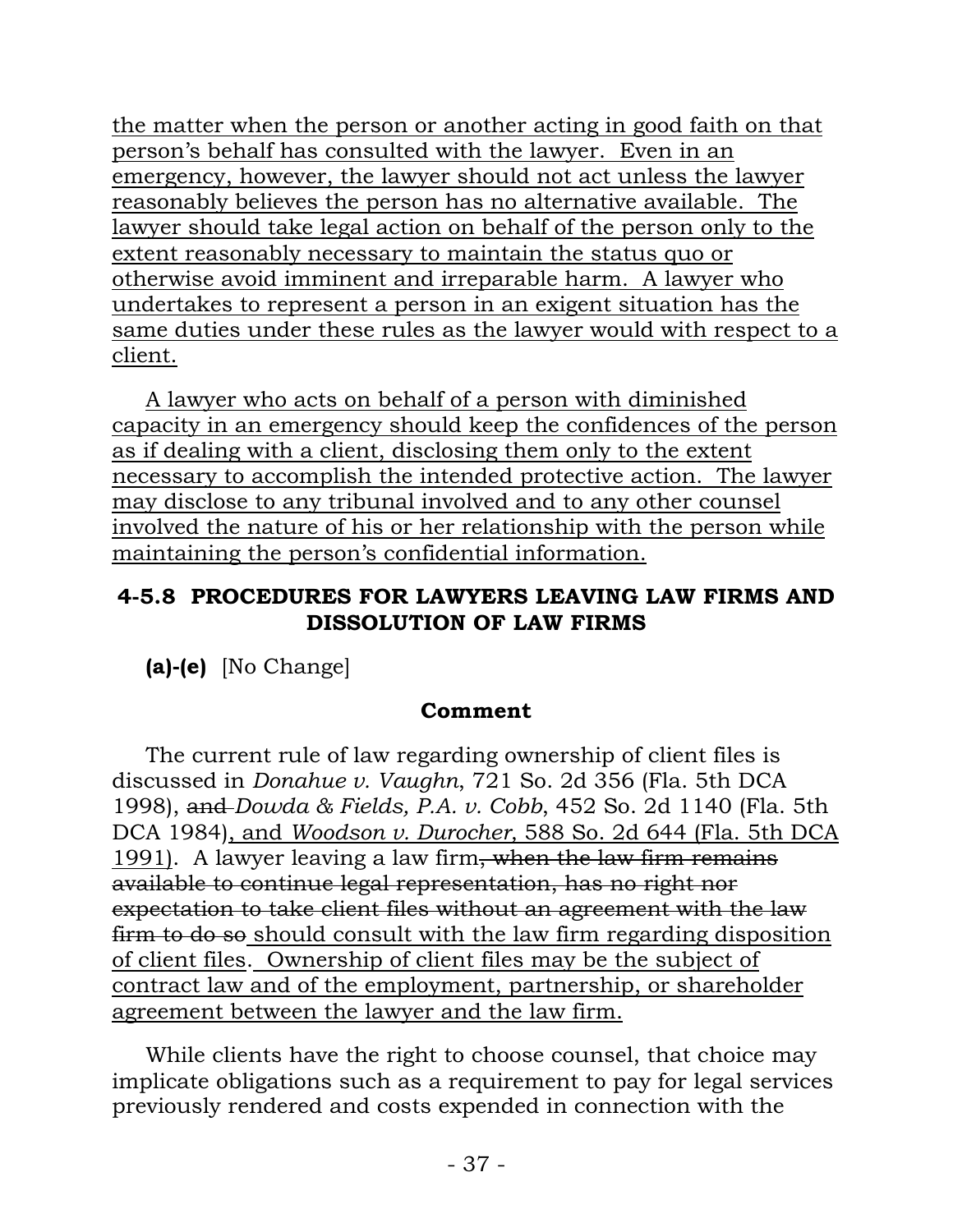the matter when the person or another acting in good faith on that person's behalf has consulted with the lawyer. Even in an emergency, however, the lawyer should not act unless the lawyer reasonably believes the person has no alternative available. The lawyer should take legal action on behalf of the person only to the extent reasonably necessary to maintain the status quo or otherwise avoid imminent and irreparable harm. A lawyer who undertakes to represent a person in an exigent situation has the same duties under these rules as the lawyer would with respect to a client.

A lawyer who acts on behalf of a person with diminished capacity in an emergency should keep the confidences of the person as if dealing with a client, disclosing them only to the extent necessary to accomplish the intended protective action. The lawyer may disclose to any tribunal involved and to any other counsel involved the nature of his or her relationship with the person while maintaining the person's confidential information.

## **4-5.8 PROCEDURES FOR LAWYERS LEAVING LAW FIRMS AND DISSOLUTION OF LAW FIRMS**

**(a)-(e)** [No Change]

## **Comment**

The current rule of law regarding ownership of client files is discussed in *Donahue v. Vaughn*, 721 So. 2d 356 (Fla. 5th DCA 1998), and *Dowda & Fields, P.A. v. Cobb*, 452 So. 2d 1140 (Fla. 5th DCA 1984), and *Woodson v. Durocher,* 588 So. 2d 644 (Fla. 5th DCA 1991). A lawyer leaving a law firm<del>, when the law firm remains</del> available to continue legal representation, has no right nor expectation to take client files without an agreement with the law firm to do so should consult with the law firm regarding disposition of client files. Ownership of client files may be the subject of contract law and of the employment, partnership, or shareholder agreement between the lawyer and the law firm.

While clients have the right to choose counsel, that choice may implicate obligations such as a requirement to pay for legal services previously rendered and costs expended in connection with the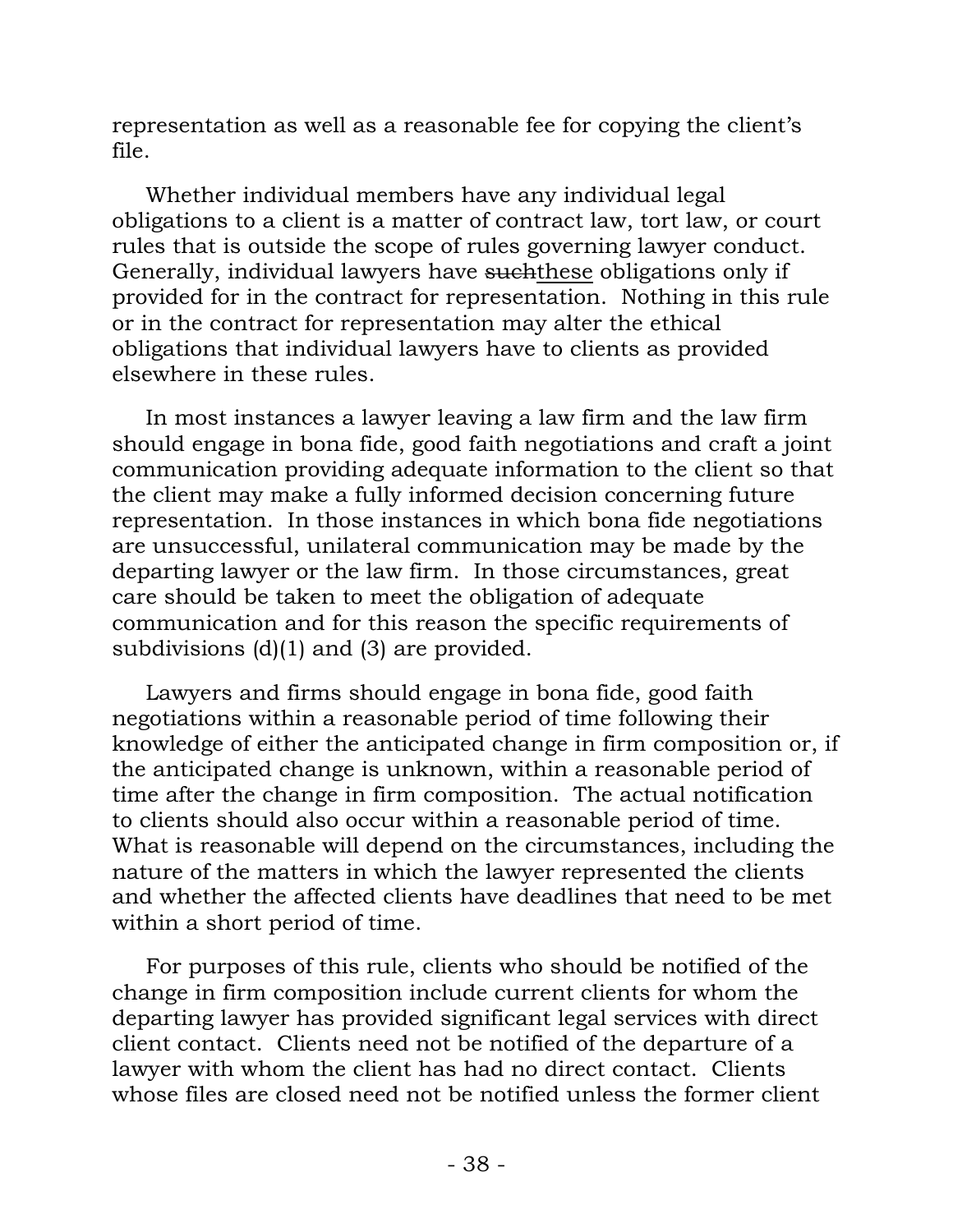representation as well as a reasonable fee for copying the client's file.

Whether individual members have any individual legal obligations to a client is a matter of contract law, tort law, or court rules that is outside the scope of rules governing lawyer conduct. Generally, individual lawyers have suchthese obligations only if provided for in the contract for representation. Nothing in this rule or in the contract for representation may alter the ethical obligations that individual lawyers have to clients as provided elsewhere in these rules.

In most instances a lawyer leaving a law firm and the law firm should engage in bona fide, good faith negotiations and craft a joint communication providing adequate information to the client so that the client may make a fully informed decision concerning future representation. In those instances in which bona fide negotiations are unsuccessful, unilateral communication may be made by the departing lawyer or the law firm. In those circumstances, great care should be taken to meet the obligation of adequate communication and for this reason the specific requirements of subdivisions (d)(1) and (3) are provided.

Lawyers and firms should engage in bona fide, good faith negotiations within a reasonable period of time following their knowledge of either the anticipated change in firm composition or, if the anticipated change is unknown, within a reasonable period of time after the change in firm composition. The actual notification to clients should also occur within a reasonable period of time. What is reasonable will depend on the circumstances, including the nature of the matters in which the lawyer represented the clients and whether the affected clients have deadlines that need to be met within a short period of time.

For purposes of this rule, clients who should be notified of the change in firm composition include current clients for whom the departing lawyer has provided significant legal services with direct client contact. Clients need not be notified of the departure of a lawyer with whom the client has had no direct contact. Clients whose files are closed need not be notified unless the former client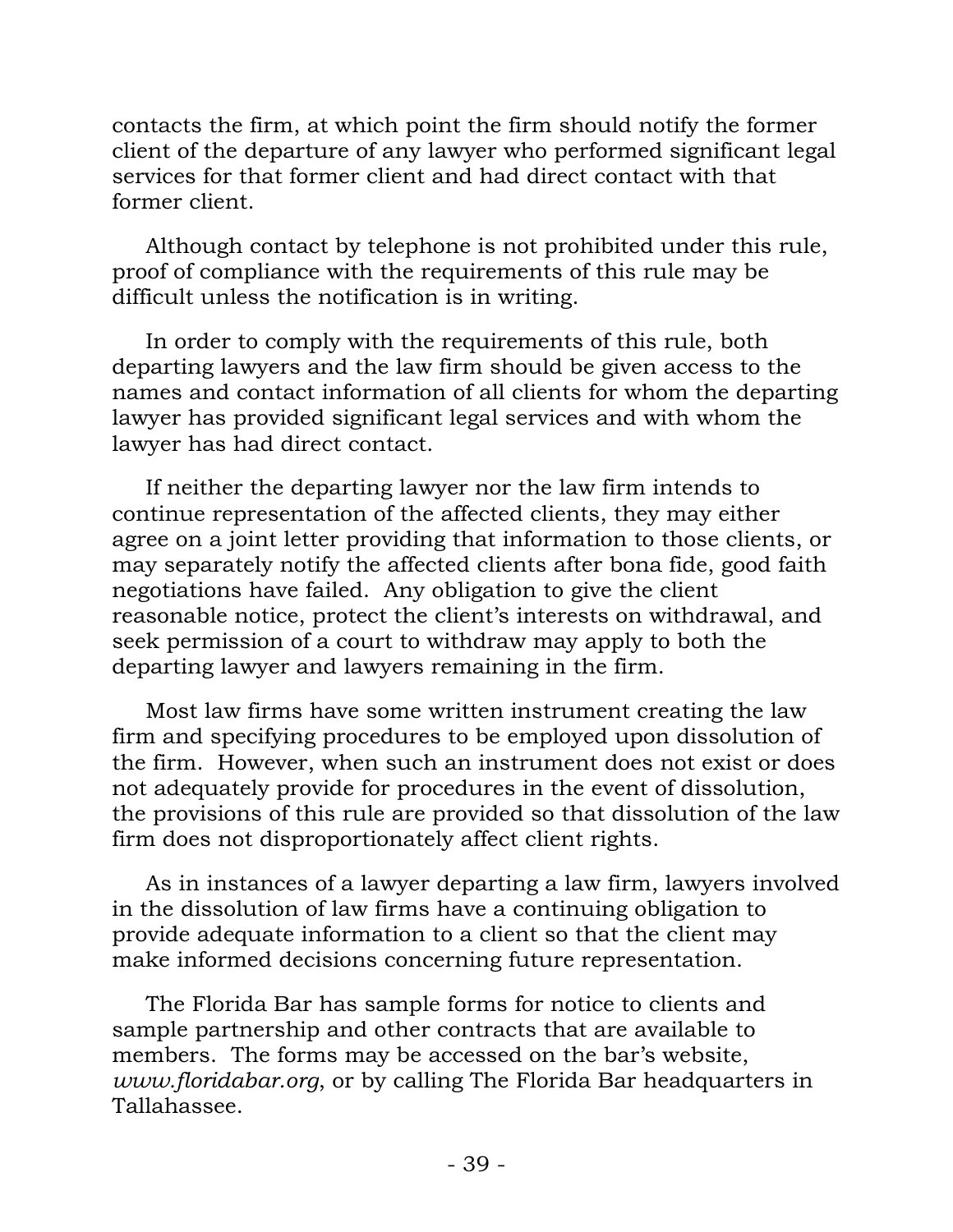contacts the firm, at which point the firm should notify the former client of the departure of any lawyer who performed significant legal services for that former client and had direct contact with that former client.

Although contact by telephone is not prohibited under this rule, proof of compliance with the requirements of this rule may be difficult unless the notification is in writing.

In order to comply with the requirements of this rule, both departing lawyers and the law firm should be given access to the names and contact information of all clients for whom the departing lawyer has provided significant legal services and with whom the lawyer has had direct contact.

If neither the departing lawyer nor the law firm intends to continue representation of the affected clients, they may either agree on a joint letter providing that information to those clients, or may separately notify the affected clients after bona fide, good faith negotiations have failed. Any obligation to give the client reasonable notice, protect the client's interests on withdrawal, and seek permission of a court to withdraw may apply to both the departing lawyer and lawyers remaining in the firm.

Most law firms have some written instrument creating the law firm and specifying procedures to be employed upon dissolution of the firm. However, when such an instrument does not exist or does not adequately provide for procedures in the event of dissolution, the provisions of this rule are provided so that dissolution of the law firm does not disproportionately affect client rights.

As in instances of a lawyer departing a law firm, lawyers involved in the dissolution of law firms have a continuing obligation to provide adequate information to a client so that the client may make informed decisions concerning future representation.

The Florida Bar has sample forms for notice to clients and sample partnership and other contracts that are available to members. The forms may be accessed on the bar's website, *www.floridabar.org*, or by calling The Florida Bar headquarters in Tallahassee.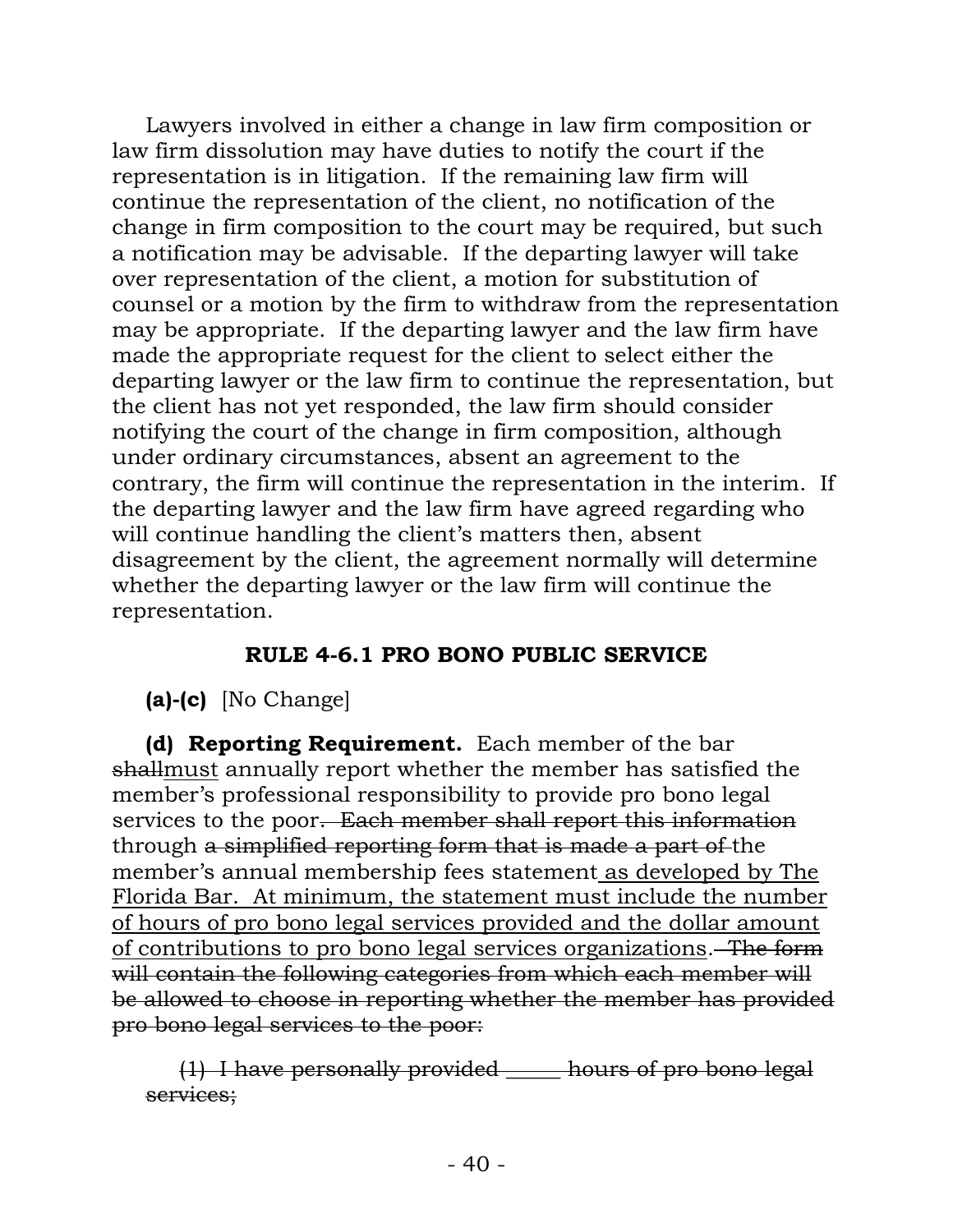Lawyers involved in either a change in law firm composition or law firm dissolution may have duties to notify the court if the representation is in litigation. If the remaining law firm will continue the representation of the client, no notification of the change in firm composition to the court may be required, but such a notification may be advisable. If the departing lawyer will take over representation of the client, a motion for substitution of counsel or a motion by the firm to withdraw from the representation may be appropriate. If the departing lawyer and the law firm have made the appropriate request for the client to select either the departing lawyer or the law firm to continue the representation, but the client has not yet responded, the law firm should consider notifying the court of the change in firm composition, although under ordinary circumstances, absent an agreement to the contrary, the firm will continue the representation in the interim. If the departing lawyer and the law firm have agreed regarding who will continue handling the client's matters then, absent disagreement by the client, the agreement normally will determine whether the departing lawyer or the law firm will continue the representation.

## **RULE 4-6.1 PRO BONO PUBLIC SERVICE**

## **(a)-(c)** [No Change]

**(d) Reporting Requirement.** Each member of the bar shallmust annually report whether the member has satisfied the member's professional responsibility to provide pro bono legal services to the poor. Each member shall report this information through a simplified reporting form that is made a part of the member's annual membership fees statement as developed by The Florida Bar. At minimum, the statement must include the number of hours of pro bono legal services provided and the dollar amount of contributions to pro bono legal services organizations. The form will contain the following categories from which each member will be allowed to choose in reporting whether the member has provided pro bono legal services to the poor:

(1) I have personally provided \_\_\_\_\_ hours of pro bono legal services;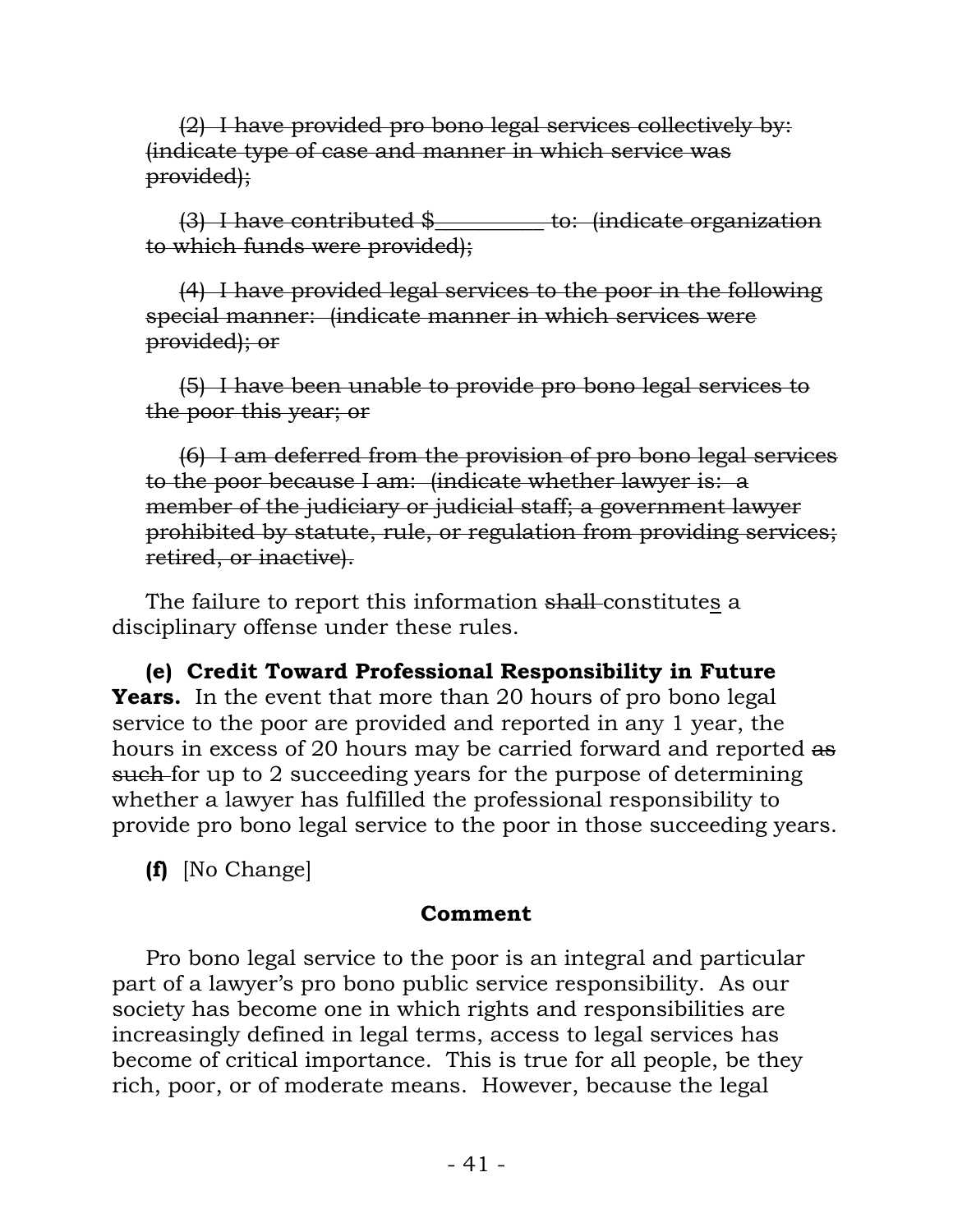(2) I have provided pro bono legal services collectively by: (indicate type of case and manner in which service was provided);

 $(3)$  I have contributed  $\frac{1}{2}$  to: (indicate organization to which funds were provided);

(4) I have provided legal services to the poor in the following special manner: (indicate manner in which services were provided); or

(5) I have been unable to provide pro bono legal services to the poor this year; or

(6) I am deferred from the provision of pro bono legal services to the poor because I am: (indicate whether lawyer is: a member of the judiciary or judicial staff; a government lawyer prohibited by statute, rule, or regulation from providing services; retired, or inactive).

The failure to report this information shall-constitutes a disciplinary offense under these rules.

**(e) Credit Toward Professional Responsibility in Future Years.** In the event that more than 20 hours of pro bono legal service to the poor are provided and reported in any 1 year, the hours in excess of 20 hours may be carried forward and reported as such for up to 2 succeeding years for the purpose of determining whether a lawyer has fulfilled the professional responsibility to provide pro bono legal service to the poor in those succeeding years.

**(f)** [No Change]

#### **Comment**

Pro bono legal service to the poor is an integral and particular part of a lawyer's pro bono public service responsibility. As our society has become one in which rights and responsibilities are increasingly defined in legal terms, access to legal services has become of critical importance. This is true for all people, be they rich, poor, or of moderate means. However, because the legal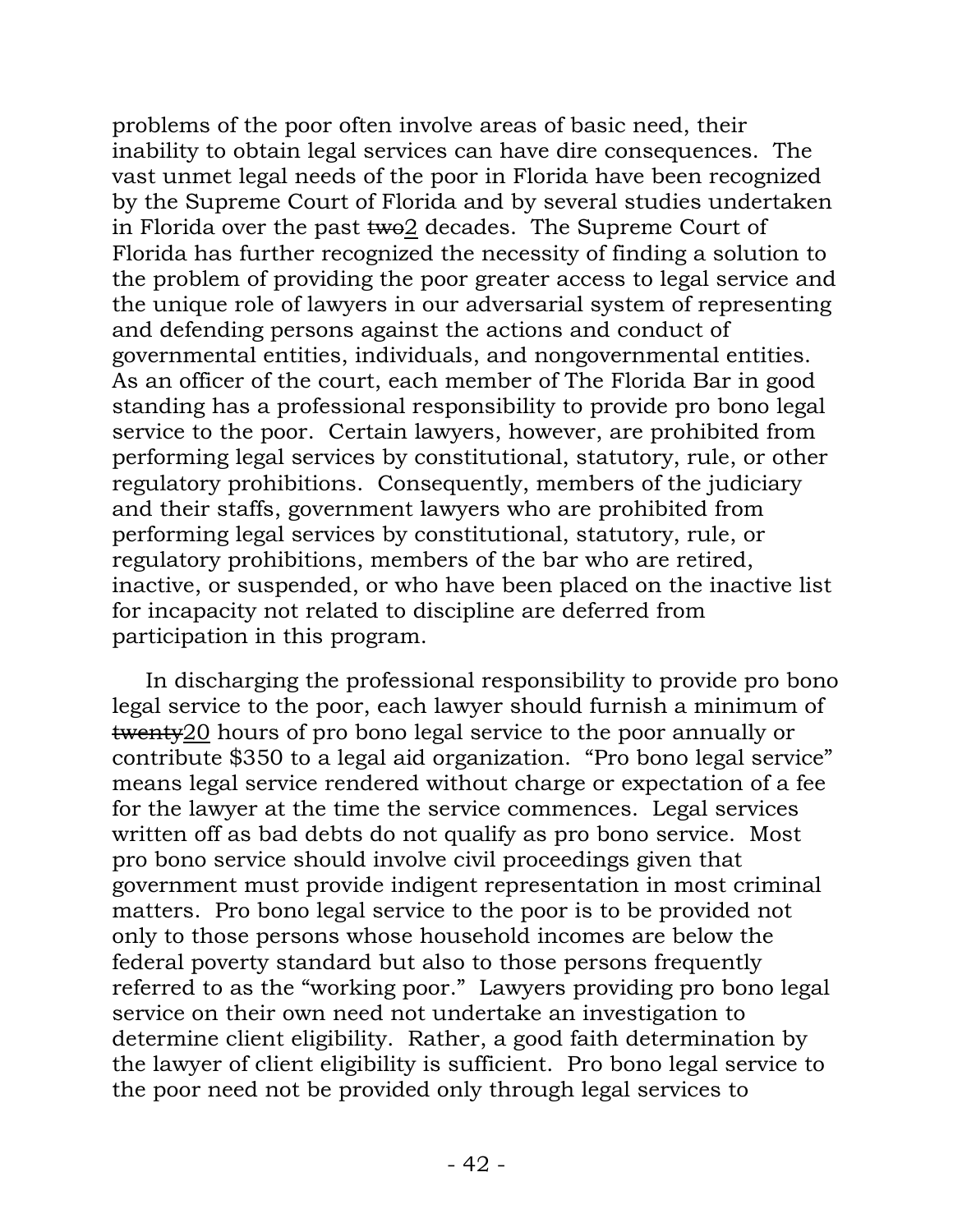problems of the poor often involve areas of basic need, their inability to obtain legal services can have dire consequences. The vast unmet legal needs of the poor in Florida have been recognized by the Supreme Court of Florida and by several studies undertaken in Florida over the past  $two2$  decades. The Supreme Court of Florida has further recognized the necessity of finding a solution to the problem of providing the poor greater access to legal service and the unique role of lawyers in our adversarial system of representing and defending persons against the actions and conduct of governmental entities, individuals, and nongovernmental entities. As an officer of the court, each member of The Florida Bar in good standing has a professional responsibility to provide pro bono legal service to the poor. Certain lawyers, however, are prohibited from performing legal services by constitutional, statutory, rule, or other regulatory prohibitions. Consequently, members of the judiciary and their staffs, government lawyers who are prohibited from performing legal services by constitutional, statutory, rule, or regulatory prohibitions, members of the bar who are retired, inactive, or suspended, or who have been placed on the inactive list for incapacity not related to discipline are deferred from participation in this program.

In discharging the professional responsibility to provide pro bono legal service to the poor, each lawyer should furnish a minimum of twenty20 hours of pro bono legal service to the poor annually or contribute \$350 to a legal aid organization. "Pro bono legal service" means legal service rendered without charge or expectation of a fee for the lawyer at the time the service commences. Legal services written off as bad debts do not qualify as pro bono service. Most pro bono service should involve civil proceedings given that government must provide indigent representation in most criminal matters. Pro bono legal service to the poor is to be provided not only to those persons whose household incomes are below the federal poverty standard but also to those persons frequently referred to as the "working poor." Lawyers providing pro bono legal service on their own need not undertake an investigation to determine client eligibility. Rather, a good faith determination by the lawyer of client eligibility is sufficient. Pro bono legal service to the poor need not be provided only through legal services to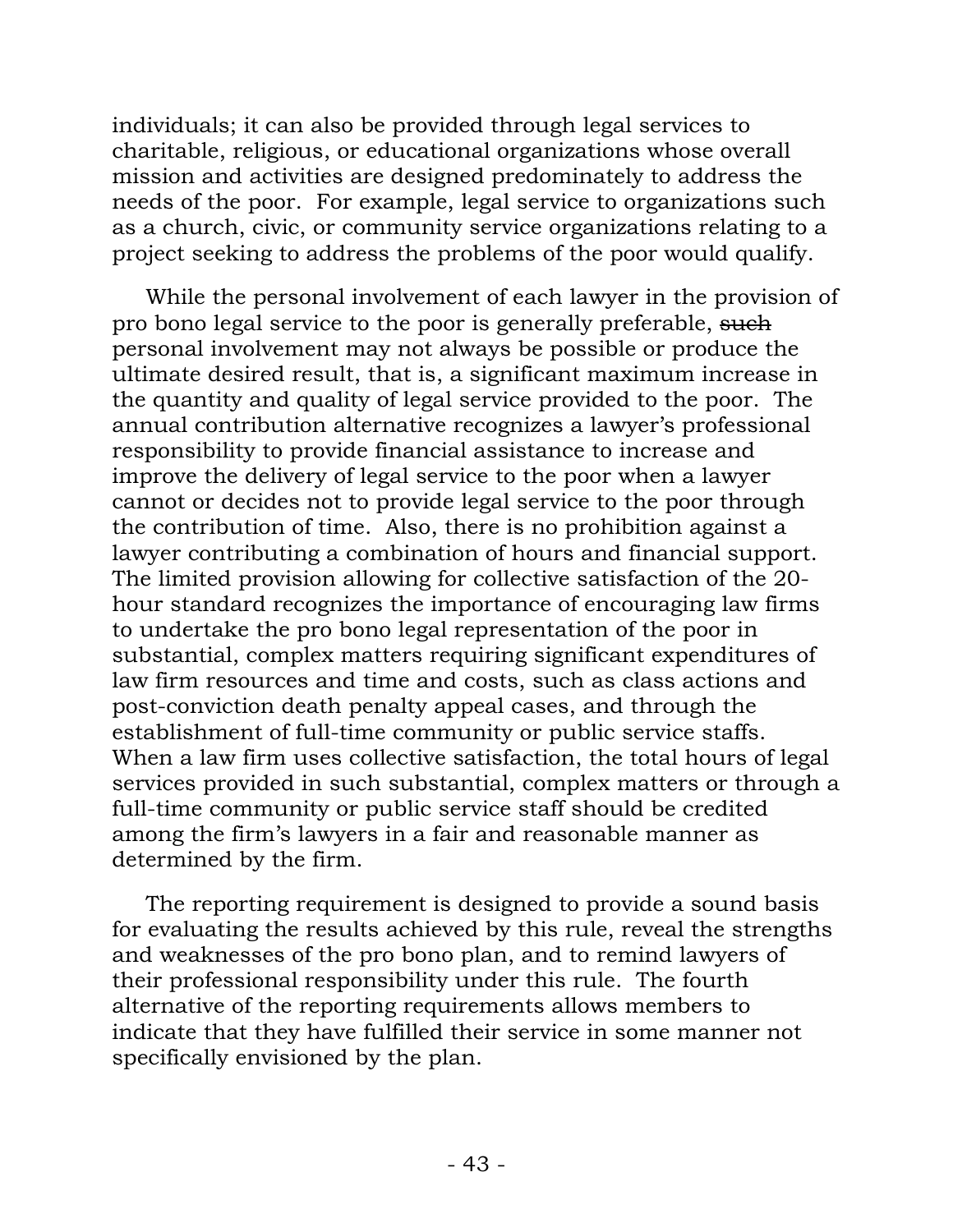individuals; it can also be provided through legal services to charitable, religious, or educational organizations whose overall mission and activities are designed predominately to address the needs of the poor. For example, legal service to organizations such as a church, civic, or community service organizations relating to a project seeking to address the problems of the poor would qualify.

While the personal involvement of each lawyer in the provision of pro bono legal service to the poor is generally preferable, such personal involvement may not always be possible or produce the ultimate desired result, that is, a significant maximum increase in the quantity and quality of legal service provided to the poor. The annual contribution alternative recognizes a lawyer's professional responsibility to provide financial assistance to increase and improve the delivery of legal service to the poor when a lawyer cannot or decides not to provide legal service to the poor through the contribution of time. Also, there is no prohibition against a lawyer contributing a combination of hours and financial support. The limited provision allowing for collective satisfaction of the 20 hour standard recognizes the importance of encouraging law firms to undertake the pro bono legal representation of the poor in substantial, complex matters requiring significant expenditures of law firm resources and time and costs, such as class actions and post-conviction death penalty appeal cases, and through the establishment of full-time community or public service staffs. When a law firm uses collective satisfaction, the total hours of legal services provided in such substantial, complex matters or through a full-time community or public service staff should be credited among the firm's lawyers in a fair and reasonable manner as determined by the firm.

The reporting requirement is designed to provide a sound basis for evaluating the results achieved by this rule, reveal the strengths and weaknesses of the pro bono plan, and to remind lawyers of their professional responsibility under this rule. The fourth alternative of the reporting requirements allows members to indicate that they have fulfilled their service in some manner not specifically envisioned by the plan.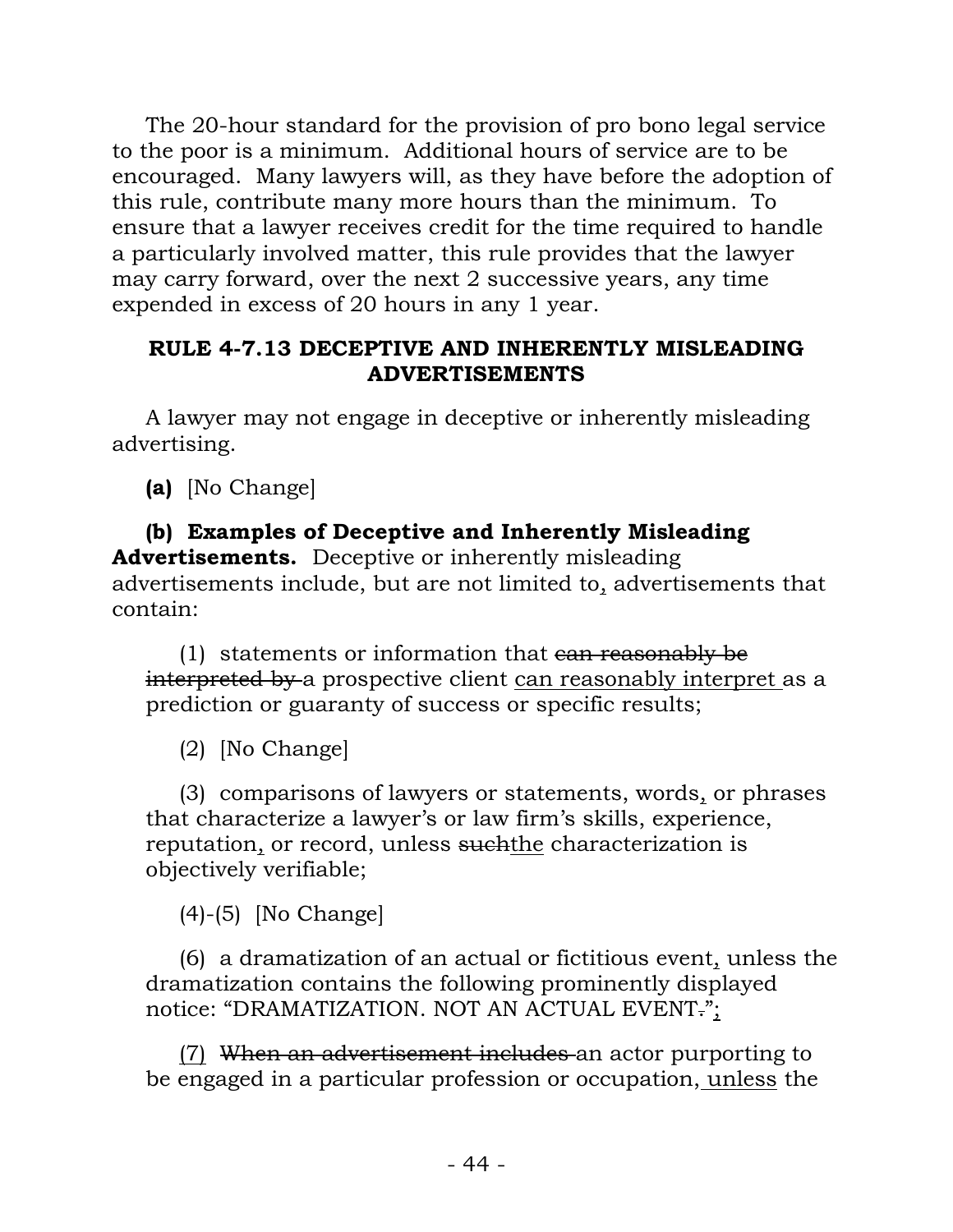The 20-hour standard for the provision of pro bono legal service to the poor is a minimum. Additional hours of service are to be encouraged. Many lawyers will, as they have before the adoption of this rule, contribute many more hours than the minimum. To ensure that a lawyer receives credit for the time required to handle a particularly involved matter, this rule provides that the lawyer may carry forward, over the next 2 successive years, any time expended in excess of 20 hours in any 1 year.

#### **RULE 4-7.13 DECEPTIVE AND INHERENTLY MISLEADING ADVERTISEMENTS**

A lawyer may not engage in deceptive or inherently misleading advertising.

**(a)** [No Change]

**(b) Examples of Deceptive and Inherently Misleading Advertisements.** Deceptive or inherently misleading advertisements include, but are not limited to, advertisements that contain:

(1) statements or information that can reasonably be interpreted by a prospective client can reasonably interpret as a prediction or guaranty of success or specific results;

(2) [No Change]

(3) comparisons of lawyers or statements, words, or phrases that characterize a lawyer's or law firm's skills, experience, reputation, or record, unless suchthe characterization is objectively verifiable;

(4)-(5) [No Change]

(6) a dramatization of an actual or fictitious event, unless the dramatization contains the following prominently displayed notice: "DRAMATIZATION. NOT AN ACTUAL EVENT-";

(7) When an advertisement includes an actor purporting to be engaged in a particular profession or occupation, unless the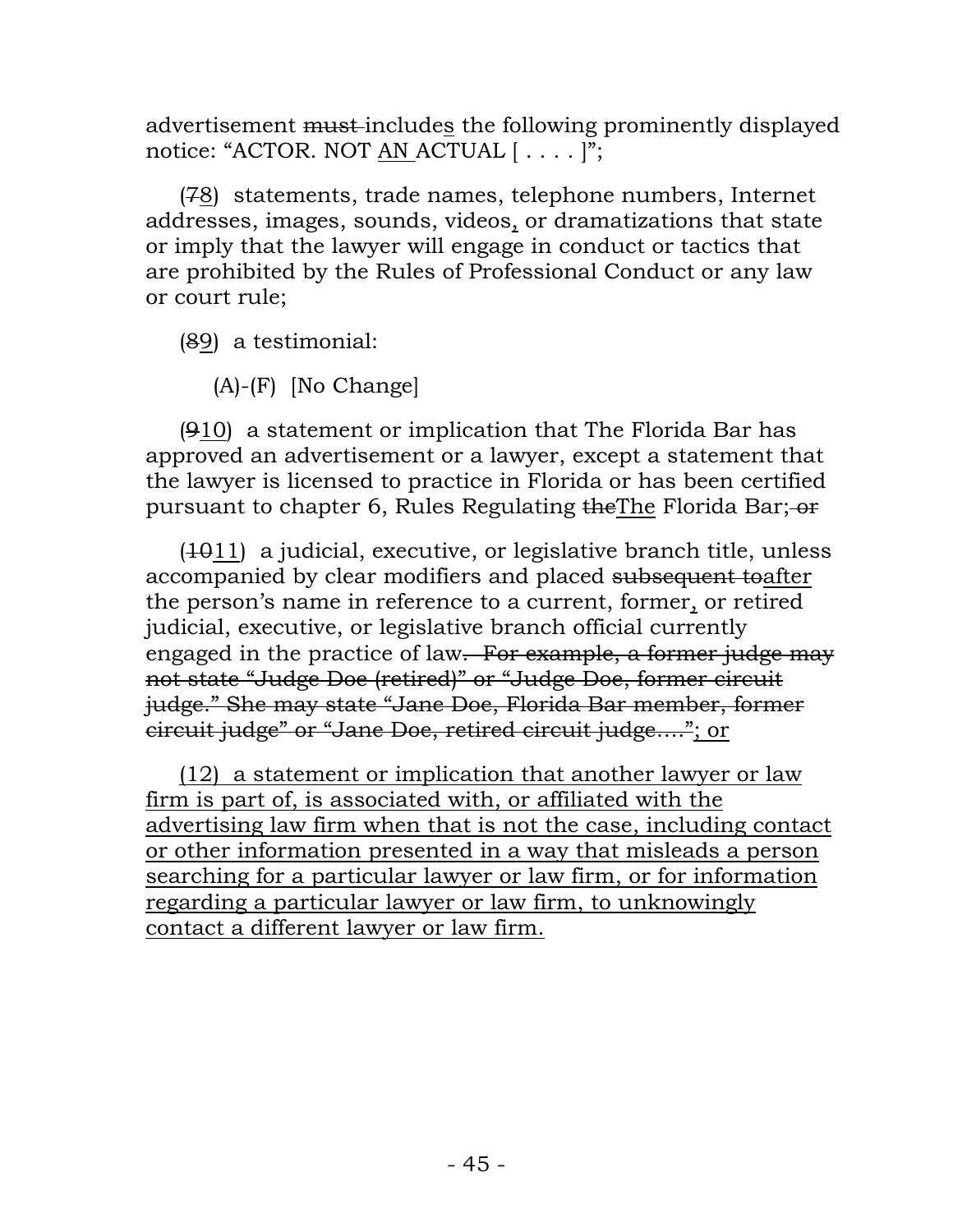advertisement must includes the following prominently displayed notice: "ACTOR. NOT <u>AN</u> ACTUAL  $[\ldots]$ ";

(78) statements, trade names, telephone numbers, Internet addresses, images, sounds, videos, or dramatizations that state or imply that the lawyer will engage in conduct or tactics that are prohibited by the Rules of Professional Conduct or any law or court rule;

(89) a testimonial:

(A)-(F) [No Change]

(910) a statement or implication that The Florida Bar has approved an advertisement or a lawyer, except a statement that the lawyer is licensed to practice in Florida or has been certified pursuant to chapter 6, Rules Regulating the The Florida Bar; or

(1011) a judicial, executive, or legislative branch title, unless accompanied by clear modifiers and placed subsequent toafter the person's name in reference to a current, former, or retired judicial, executive, or legislative branch official currently engaged in the practice of law. For example, a former judge may not state "Judge Doe (retired)" or "Judge Doe, former circuit judge." She may state "Jane Doe, Florida Bar member, former circuit judge" or "Jane Doe, retired circuit judge…."; or

(12) a statement or implication that another lawyer or law firm is part of, is associated with, or affiliated with the advertising law firm when that is not the case, including contact or other information presented in a way that misleads a person searching for a particular lawyer or law firm, or for information regarding a particular lawyer or law firm, to unknowingly contact a different lawyer or law firm.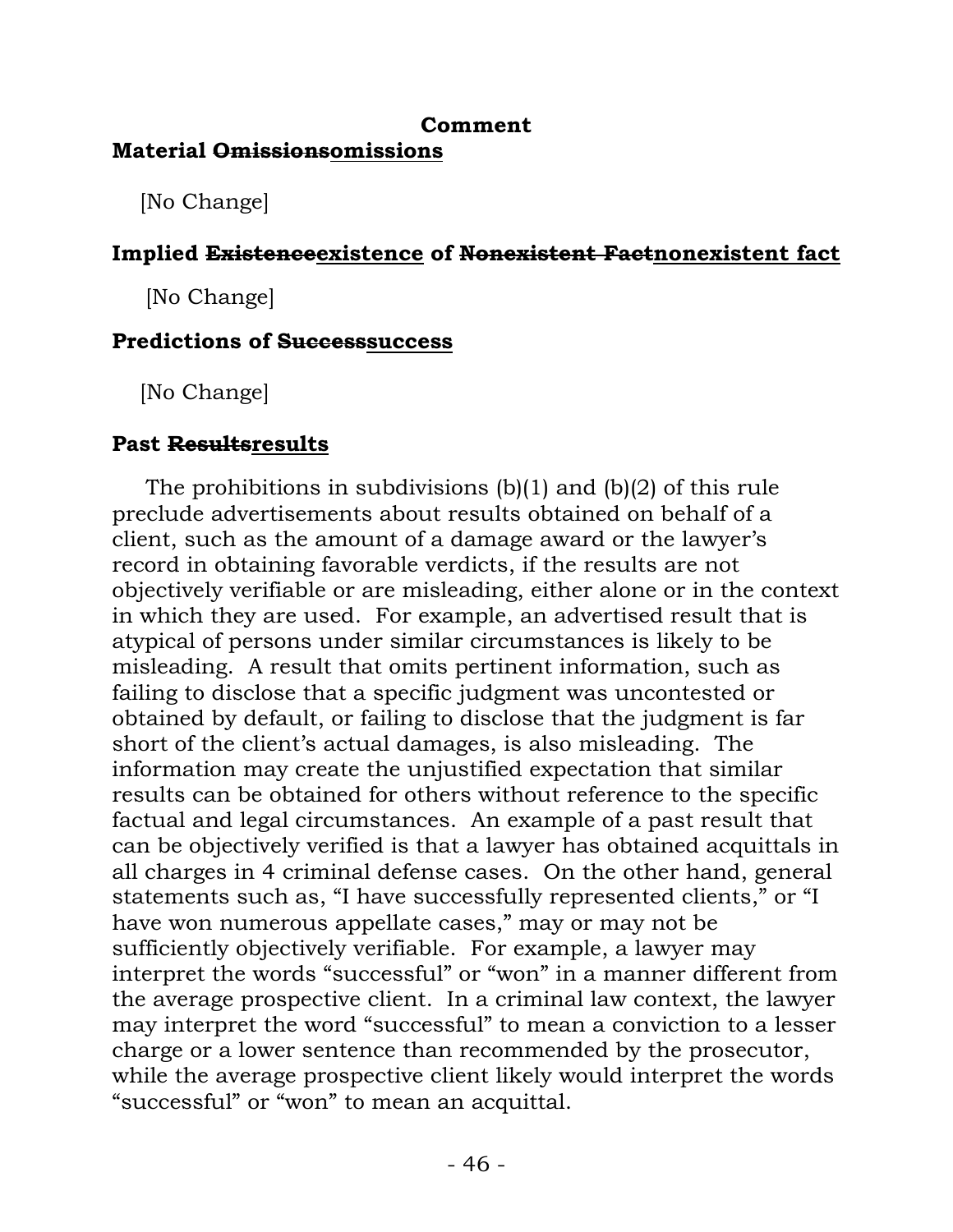#### **Comment**

#### **Material Omissionsomissions**

[No Change]

#### **Implied Existenceexistence of Nonexistent Factnonexistent fact**

[No Change]

#### **Predictions of Successsuccess**

[No Change]

#### **Past Resultsresults**

The prohibitions in subdivisions (b)(1) and (b)(2) of this rule preclude advertisements about results obtained on behalf of a client, such as the amount of a damage award or the lawyer's record in obtaining favorable verdicts, if the results are not objectively verifiable or are misleading, either alone or in the context in which they are used. For example, an advertised result that is atypical of persons under similar circumstances is likely to be misleading. A result that omits pertinent information, such as failing to disclose that a specific judgment was uncontested or obtained by default, or failing to disclose that the judgment is far short of the client's actual damages, is also misleading. The information may create the unjustified expectation that similar results can be obtained for others without reference to the specific factual and legal circumstances. An example of a past result that can be objectively verified is that a lawyer has obtained acquittals in all charges in 4 criminal defense cases. On the other hand, general statements such as, "I have successfully represented clients," or "I have won numerous appellate cases," may or may not be sufficiently objectively verifiable. For example, a lawyer may interpret the words "successful" or "won" in a manner different from the average prospective client. In a criminal law context, the lawyer may interpret the word "successful" to mean a conviction to a lesser charge or a lower sentence than recommended by the prosecutor, while the average prospective client likely would interpret the words "successful" or "won" to mean an acquittal.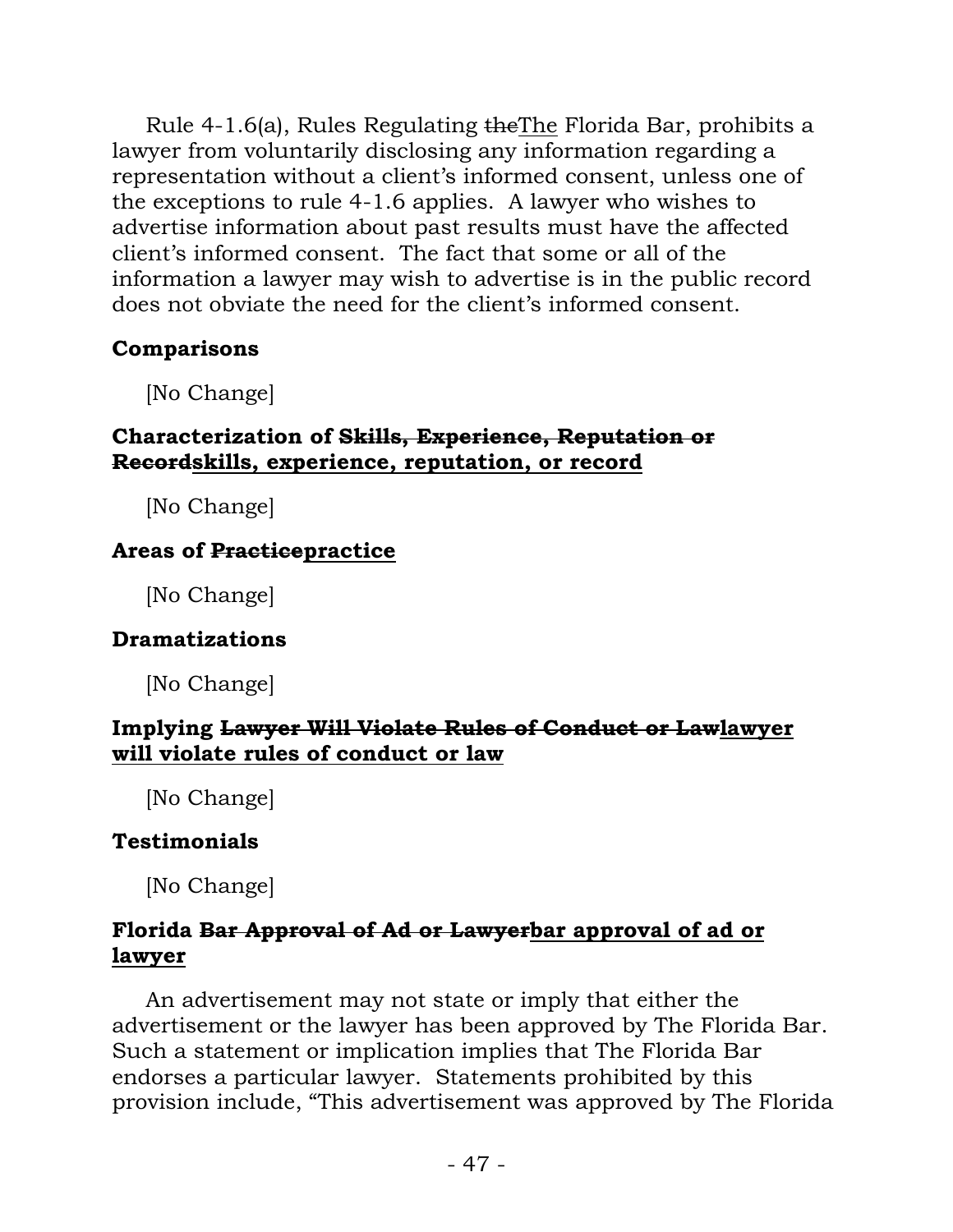Rule 4-1.6(a), Rules Regulating theThe Florida Bar, prohibits a lawyer from voluntarily disclosing any information regarding a representation without a client's informed consent, unless one of the exceptions to rule 4-1.6 applies. A lawyer who wishes to advertise information about past results must have the affected client's informed consent. The fact that some or all of the information a lawyer may wish to advertise is in the public record does not obviate the need for the client's informed consent.

# **Comparisons**

[No Change]

#### **Characterization of Skills, Experience, Reputation or Recordskills, experience, reputation, or record**

[No Change]

# **Areas of Practicepractice**

[No Change]

# **Dramatizations**

[No Change]

# **Implying Lawyer Will Violate Rules of Conduct or Lawlawyer will violate rules of conduct or law**

[No Change]

# **Testimonials**

[No Change]

# **Florida Bar Approval of Ad or Lawyerbar approval of ad or lawyer**

An advertisement may not state or imply that either the advertisement or the lawyer has been approved by The Florida Bar. Such a statement or implication implies that The Florida Bar endorses a particular lawyer. Statements prohibited by this provision include, "This advertisement was approved by The Florida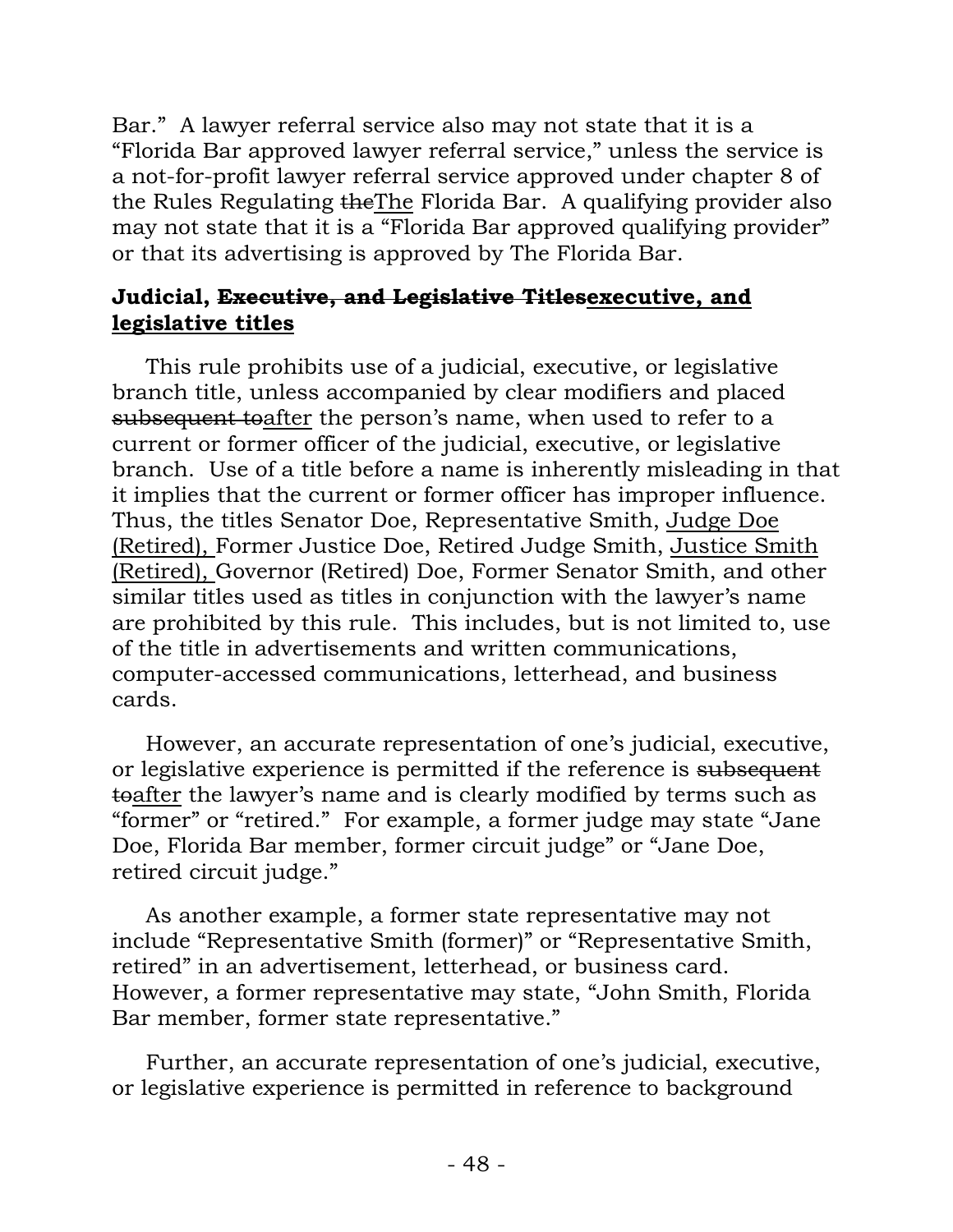Bar." A lawyer referral service also may not state that it is a "Florida Bar approved lawyer referral service," unless the service is a not-for-profit lawyer referral service approved under chapter 8 of the Rules Regulating theThe Florida Bar. A qualifying provider also may not state that it is a "Florida Bar approved qualifying provider" or that its advertising is approved by The Florida Bar.

#### **Judicial, Executive, and Legislative Titlesexecutive, and legislative titles**

This rule prohibits use of a judicial, executive, or legislative branch title, unless accompanied by clear modifiers and placed subsequent toafter the person's name, when used to refer to a current or former officer of the judicial, executive, or legislative branch. Use of a title before a name is inherently misleading in that it implies that the current or former officer has improper influence. Thus, the titles Senator Doe, Representative Smith, Judge Doe (Retired), Former Justice Doe, Retired Judge Smith, Justice Smith (Retired), Governor (Retired) Doe, Former Senator Smith, and other similar titles used as titles in conjunction with the lawyer's name are prohibited by this rule. This includes, but is not limited to, use of the title in advertisements and written communications, computer-accessed communications, letterhead, and business cards.

However, an accurate representation of one's judicial, executive, or legislative experience is permitted if the reference is subsequent toafter the lawyer's name and is clearly modified by terms such as "former" or "retired." For example, a former judge may state "Jane Doe, Florida Bar member, former circuit judge" or "Jane Doe, retired circuit judge."

As another example, a former state representative may not include "Representative Smith (former)" or "Representative Smith, retired" in an advertisement, letterhead, or business card. However, a former representative may state, "John Smith, Florida Bar member, former state representative."

Further, an accurate representation of one's judicial, executive, or legislative experience is permitted in reference to background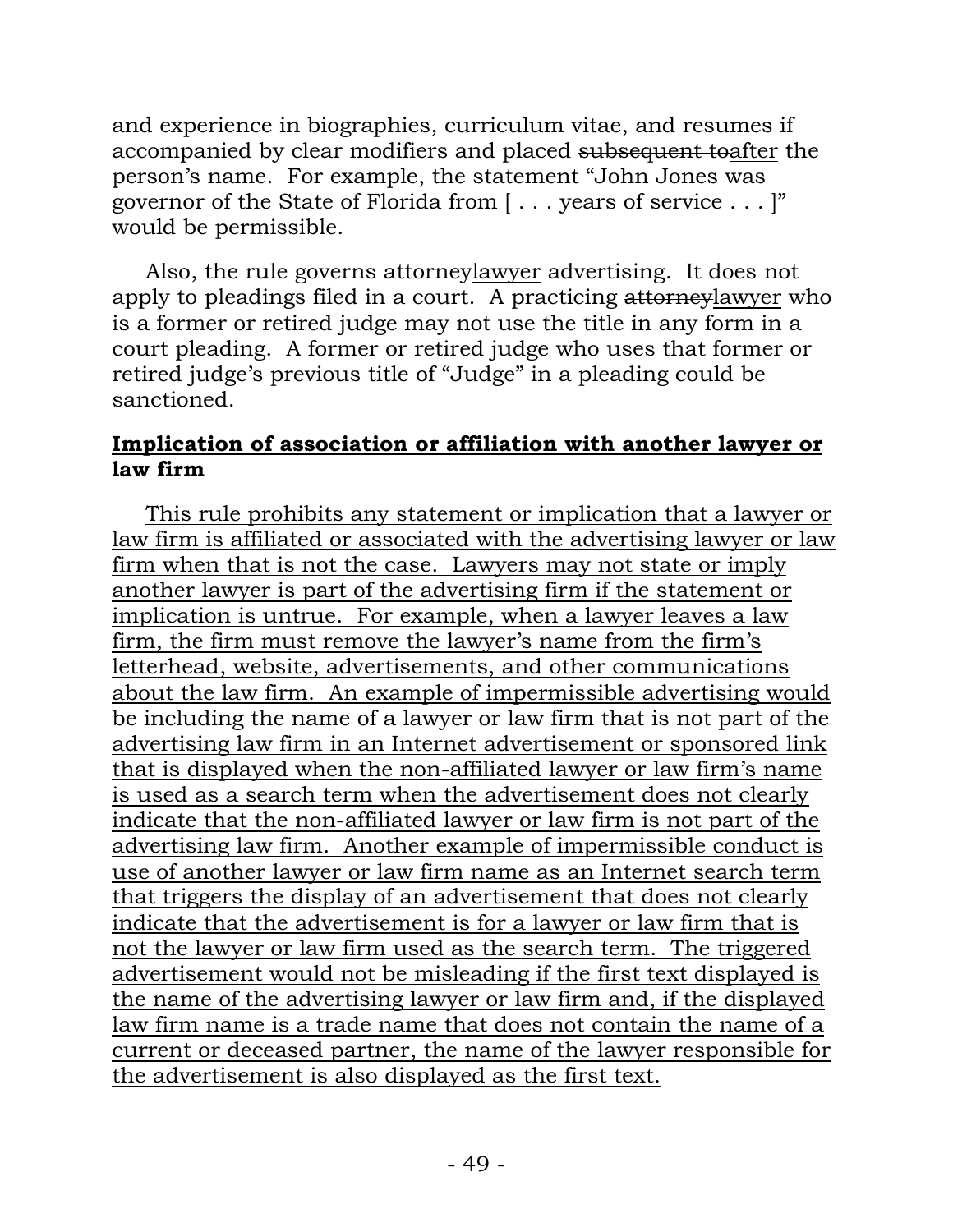and experience in biographies, curriculum vitae, and resumes if accompanied by clear modifiers and placed subsequent toafter the person's name. For example, the statement "John Jones was governor of the State of Florida from [ . . . years of service . . . ]" would be permissible.

Also, the rule governs attorneylawyer advertising. It does not apply to pleadings filed in a court. A practicing attorneylawyer who is a former or retired judge may not use the title in any form in a court pleading. A former or retired judge who uses that former or retired judge's previous title of "Judge" in a pleading could be sanctioned.

#### **Implication of association or affiliation with another lawyer or law firm**

This rule prohibits any statement or implication that a lawyer or law firm is affiliated or associated with the advertising lawyer or law firm when that is not the case. Lawyers may not state or imply another lawyer is part of the advertising firm if the statement or implication is untrue. For example, when a lawyer leaves a law firm, the firm must remove the lawyer's name from the firm's letterhead, website, advertisements, and other communications about the law firm. An example of impermissible advertising would be including the name of a lawyer or law firm that is not part of the advertising law firm in an Internet advertisement or sponsored link that is displayed when the non-affiliated lawyer or law firm's name is used as a search term when the advertisement does not clearly indicate that the non-affiliated lawyer or law firm is not part of the advertising law firm. Another example of impermissible conduct is use of another lawyer or law firm name as an Internet search term that triggers the display of an advertisement that does not clearly indicate that the advertisement is for a lawyer or law firm that is not the lawyer or law firm used as the search term. The triggered advertisement would not be misleading if the first text displayed is the name of the advertising lawyer or law firm and, if the displayed law firm name is a trade name that does not contain the name of a current or deceased partner, the name of the lawyer responsible for the advertisement is also displayed as the first text.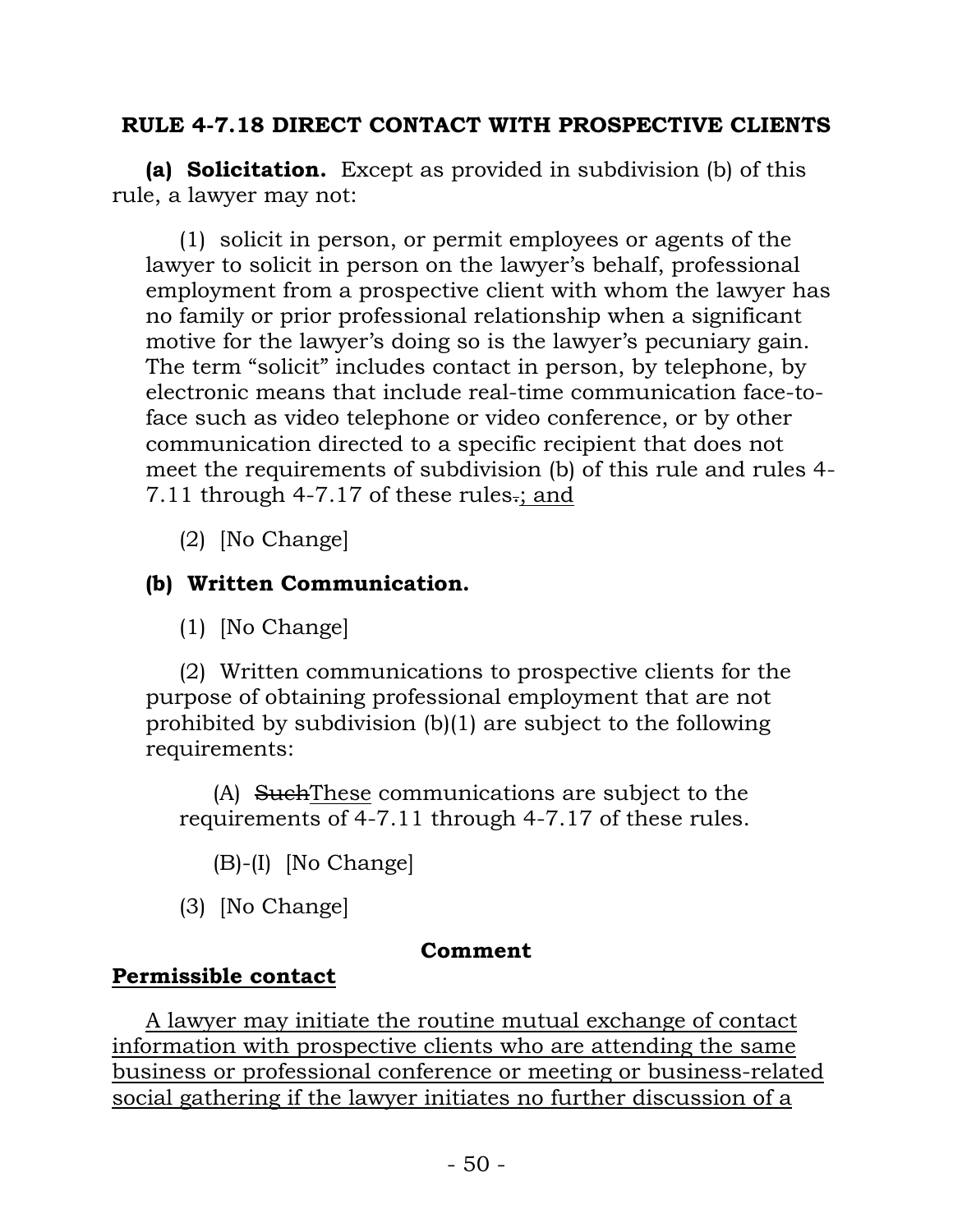#### **RULE 4-7.18 DIRECT CONTACT WITH PROSPECTIVE CLIENTS**

**(a) Solicitation.** Except as provided in subdivision (b) of this rule, a lawyer may not:

(1) solicit in person, or permit employees or agents of the lawyer to solicit in person on the lawyer's behalf, professional employment from a prospective client with whom the lawyer has no family or prior professional relationship when a significant motive for the lawyer's doing so is the lawyer's pecuniary gain. The term "solicit" includes contact in person, by telephone, by electronic means that include real-time communication face-toface such as video telephone or video conference, or by other communication directed to a specific recipient that does not meet the requirements of subdivision (b) of this rule and rules 4- 7.11 through 4-7.17 of these rules.; and

(2) [No Change]

# **(b) Written Communication.**

(1) [No Change]

(2) Written communications to prospective clients for the purpose of obtaining professional employment that are not prohibited by subdivision (b)(1) are subject to the following requirements:

(A) SuchThese communications are subject to the requirements of 4-7.11 through 4-7.17 of these rules.

(B)-(I) [No Change]

(3) [No Change]

## **Comment**

## **Permissible contact**

A lawyer may initiate the routine mutual exchange of contact information with prospective clients who are attending the same business or professional conference or meeting or business-related social gathering if the lawyer initiates no further discussion of a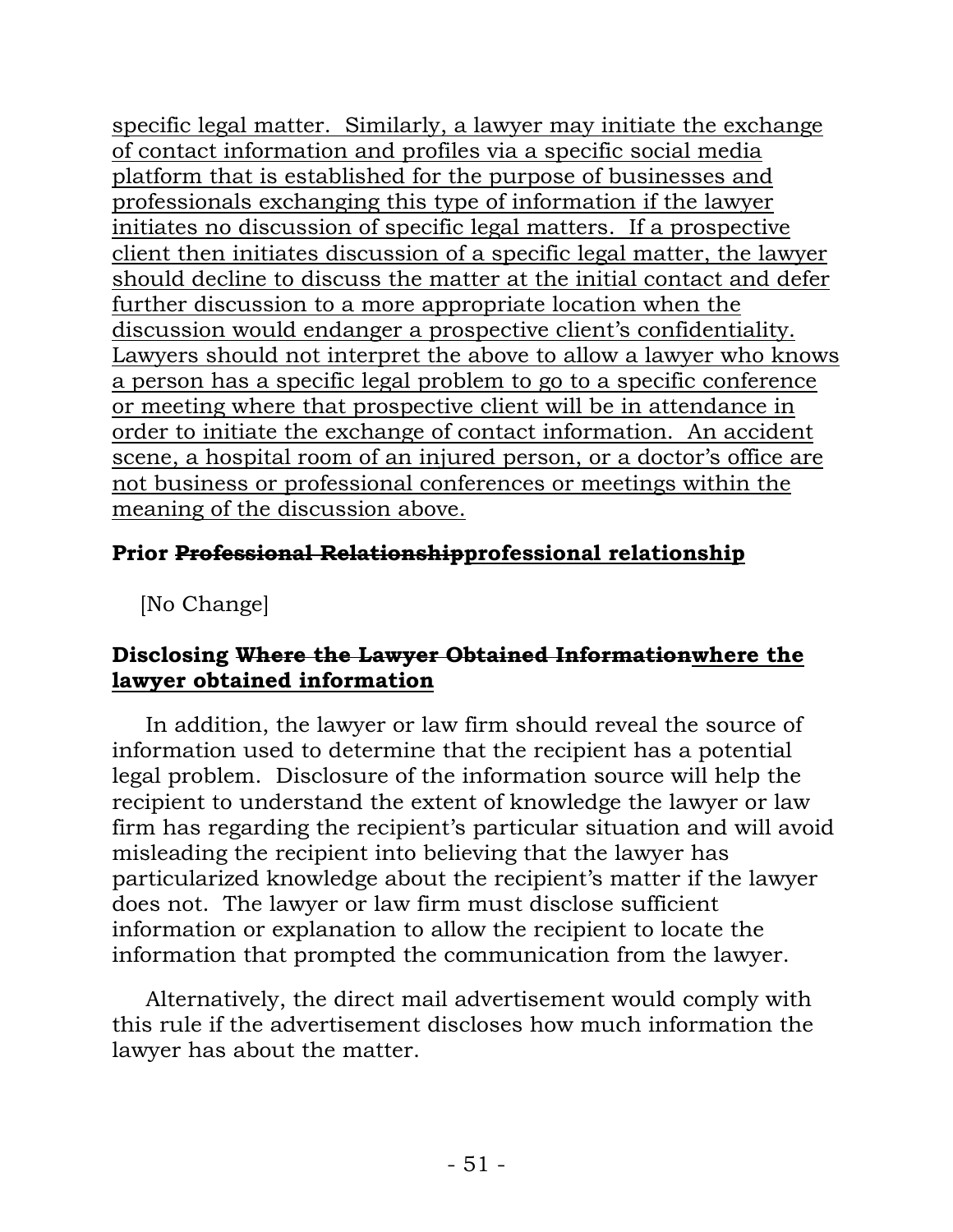specific legal matter. Similarly, a lawyer may initiate the exchange of contact information and profiles via a specific social media platform that is established for the purpose of businesses and professionals exchanging this type of information if the lawyer initiates no discussion of specific legal matters. If a prospective client then initiates discussion of a specific legal matter, the lawyer should decline to discuss the matter at the initial contact and defer further discussion to a more appropriate location when the discussion would endanger a prospective client's confidentiality. Lawyers should not interpret the above to allow a lawyer who knows a person has a specific legal problem to go to a specific conference or meeting where that prospective client will be in attendance in order to initiate the exchange of contact information. An accident scene, a hospital room of an injured person, or a doctor's office are not business or professional conferences or meetings within the meaning of the discussion above.

## **Prior Professional Relationshipprofessional relationship**

[No Change]

#### **Disclosing Where the Lawyer Obtained Informationwhere the lawyer obtained information**

In addition, the lawyer or law firm should reveal the source of information used to determine that the recipient has a potential legal problem. Disclosure of the information source will help the recipient to understand the extent of knowledge the lawyer or law firm has regarding the recipient's particular situation and will avoid misleading the recipient into believing that the lawyer has particularized knowledge about the recipient's matter if the lawyer does not. The lawyer or law firm must disclose sufficient information or explanation to allow the recipient to locate the information that prompted the communication from the lawyer.

Alternatively, the direct mail advertisement would comply with this rule if the advertisement discloses how much information the lawyer has about the matter.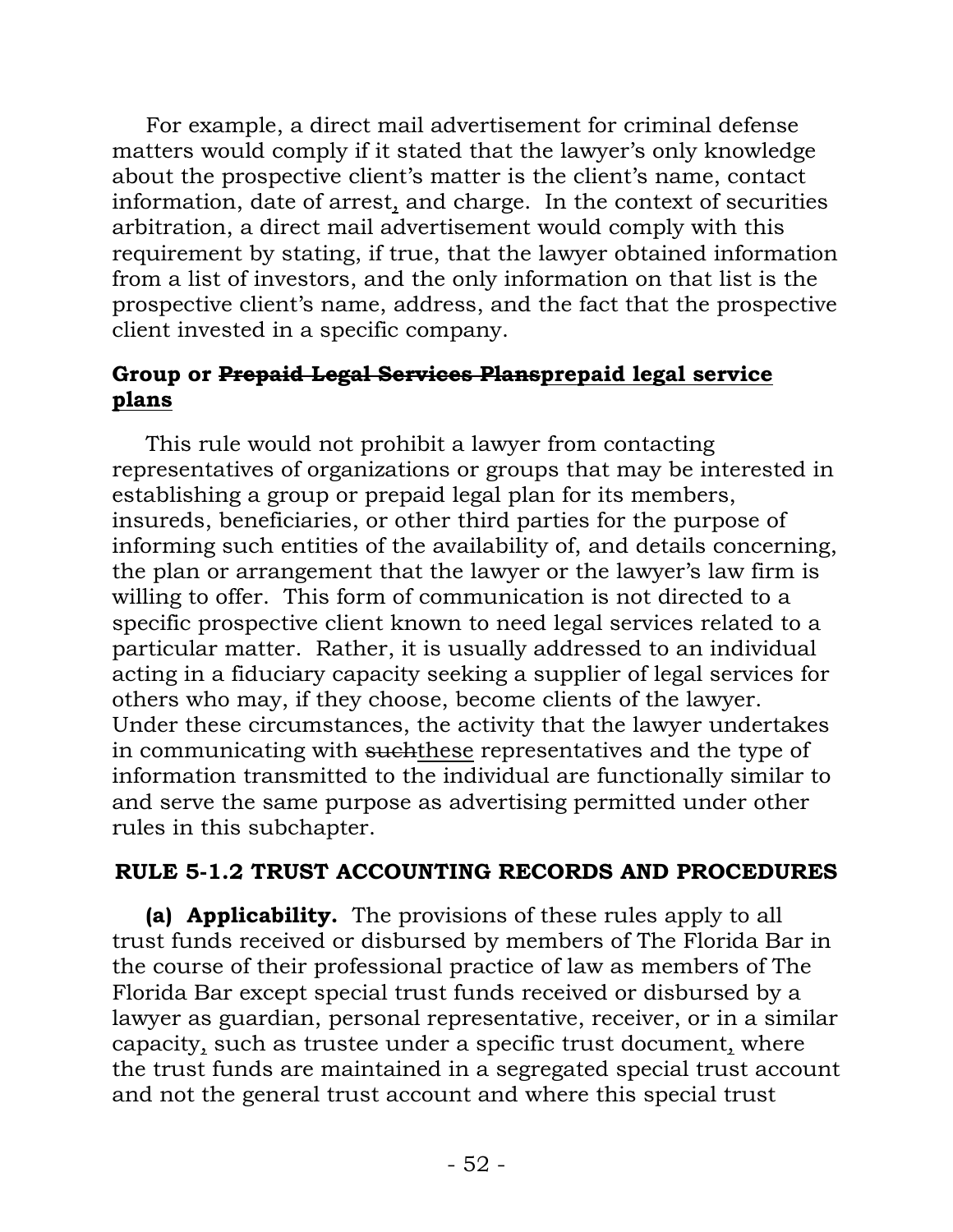For example, a direct mail advertisement for criminal defense matters would comply if it stated that the lawyer's only knowledge about the prospective client's matter is the client's name, contact information, date of arrest, and charge. In the context of securities arbitration, a direct mail advertisement would comply with this requirement by stating, if true, that the lawyer obtained information from a list of investors, and the only information on that list is the prospective client's name, address, and the fact that the prospective client invested in a specific company.

#### **Group or Prepaid Legal Services Plansprepaid legal service plans**

This rule would not prohibit a lawyer from contacting representatives of organizations or groups that may be interested in establishing a group or prepaid legal plan for its members, insureds, beneficiaries, or other third parties for the purpose of informing such entities of the availability of, and details concerning, the plan or arrangement that the lawyer or the lawyer's law firm is willing to offer. This form of communication is not directed to a specific prospective client known to need legal services related to a particular matter. Rather, it is usually addressed to an individual acting in a fiduciary capacity seeking a supplier of legal services for others who may, if they choose, become clients of the lawyer. Under these circumstances, the activity that the lawyer undertakes in communicating with suchthese representatives and the type of information transmitted to the individual are functionally similar to and serve the same purpose as advertising permitted under other rules in this subchapter.

## **RULE 5-1.2 TRUST ACCOUNTING RECORDS AND PROCEDURES**

**(a) Applicability.** The provisions of these rules apply to all trust funds received or disbursed by members of The Florida Bar in the course of their professional practice of law as members of The Florida Bar except special trust funds received or disbursed by a lawyer as guardian, personal representative, receiver, or in a similar capacity, such as trustee under a specific trust document, where the trust funds are maintained in a segregated special trust account and not the general trust account and where this special trust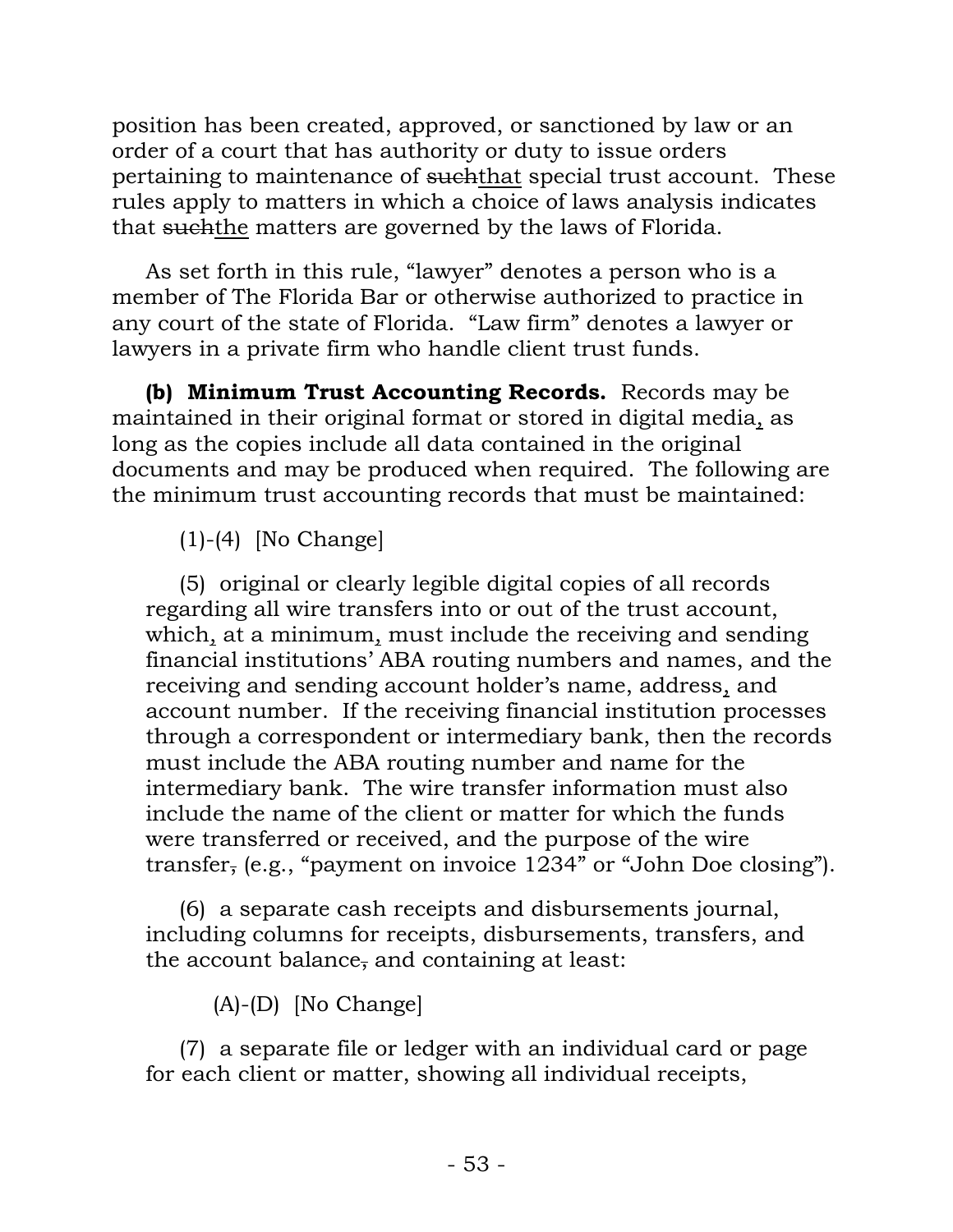position has been created, approved, or sanctioned by law or an order of a court that has authority or duty to issue orders pertaining to maintenance of suchthat special trust account. These rules apply to matters in which a choice of laws analysis indicates that such the matters are governed by the laws of Florida.

As set forth in this rule, "lawyer" denotes a person who is a member of The Florida Bar or otherwise authorized to practice in any court of the state of Florida. "Law firm" denotes a lawyer or lawyers in a private firm who handle client trust funds.

**(b) Minimum Trust Accounting Records.** Records may be maintained in their original format or stored in digital media, as long as the copies include all data contained in the original documents and may be produced when required. The following are the minimum trust accounting records that must be maintained:

# $(1)-(4)$  [No Change]

(5) original or clearly legible digital copies of all records regarding all wire transfers into or out of the trust account, which, at a minimum, must include the receiving and sending financial institutions' ABA routing numbers and names, and the receiving and sending account holder's name, address, and account number. If the receiving financial institution processes through a correspondent or intermediary bank, then the records must include the ABA routing number and name for the intermediary bank. The wire transfer information must also include the name of the client or matter for which the funds were transferred or received, and the purpose of the wire transfer, (e.g., "payment on invoice 1234" or "John Doe closing").

(6) a separate cash receipts and disbursements journal, including columns for receipts, disbursements, transfers, and the account balance, and containing at least:

(A)-(D) [No Change]

(7) a separate file or ledger with an individual card or page for each client or matter, showing all individual receipts,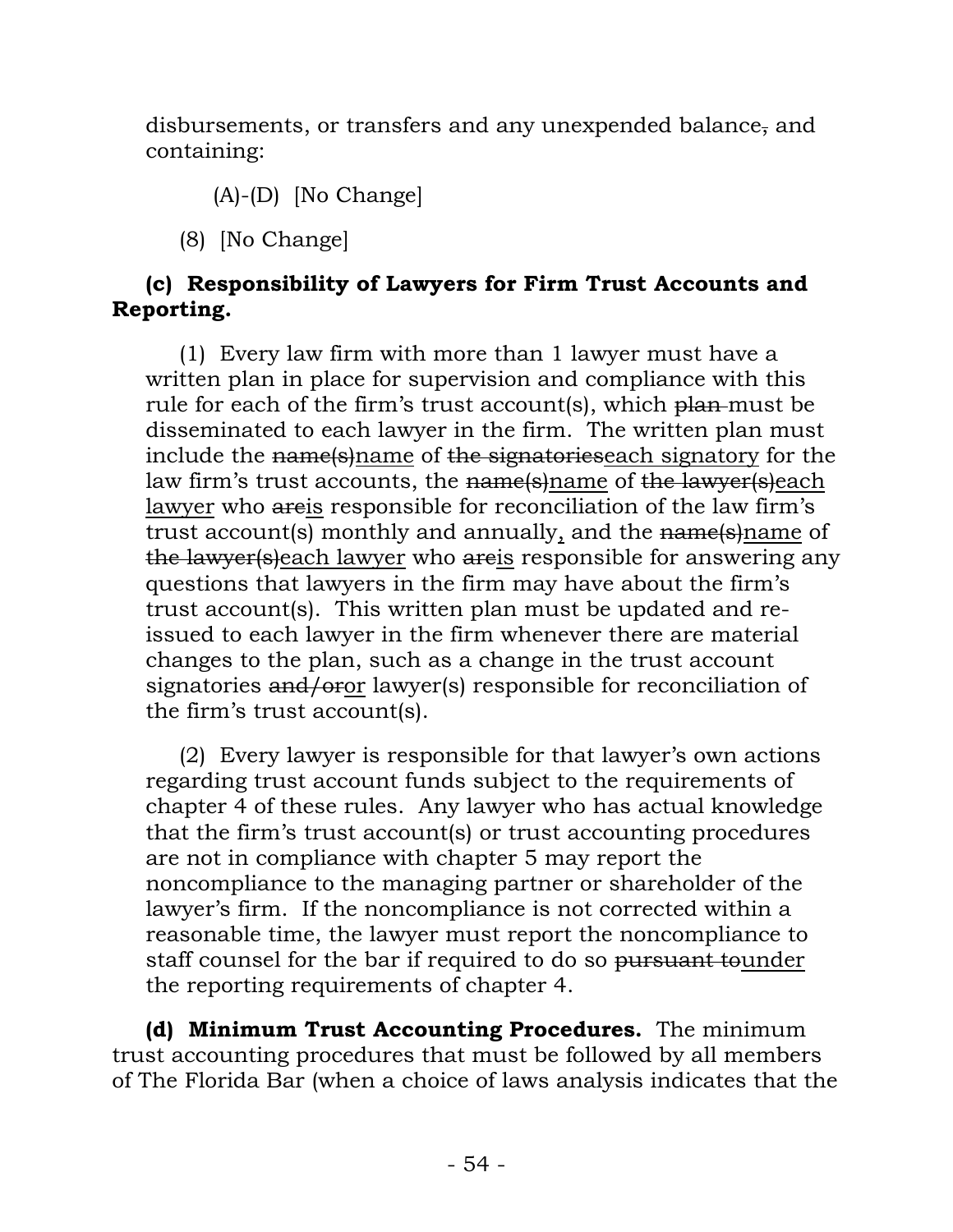disbursements, or transfers and any unexpended balance, and containing:

(A)-(D) [No Change]

(8) [No Change]

# **(c) Responsibility of Lawyers for Firm Trust Accounts and Reporting.**

(1) Every law firm with more than 1 lawyer must have a written plan in place for supervision and compliance with this rule for each of the firm's trust account(s), which plan-must be disseminated to each lawyer in the firm. The written plan must include the name shall also the signatories each signatory for the law firm's trust accounts, the name (s) name of the lawyer (s) each lawyer who areis responsible for reconciliation of the law firm's trust account(s) monthly and annually, and the name (s) name of the lawyer(s)each lawyer who areis responsible for answering any questions that lawyers in the firm may have about the firm's trust account(s). This written plan must be updated and reissued to each lawyer in the firm whenever there are material changes to the plan, such as a change in the trust account signatories and/oror lawyer(s) responsible for reconciliation of the firm's trust account(s).

(2) Every lawyer is responsible for that lawyer's own actions regarding trust account funds subject to the requirements of chapter 4 of these rules. Any lawyer who has actual knowledge that the firm's trust account(s) or trust accounting procedures are not in compliance with chapter 5 may report the noncompliance to the managing partner or shareholder of the lawyer's firm. If the noncompliance is not corrected within a reasonable time, the lawyer must report the noncompliance to staff counsel for the bar if required to do so pursuant tounder the reporting requirements of chapter 4.

**(d) Minimum Trust Accounting Procedures.** The minimum trust accounting procedures that must be followed by all members of The Florida Bar (when a choice of laws analysis indicates that the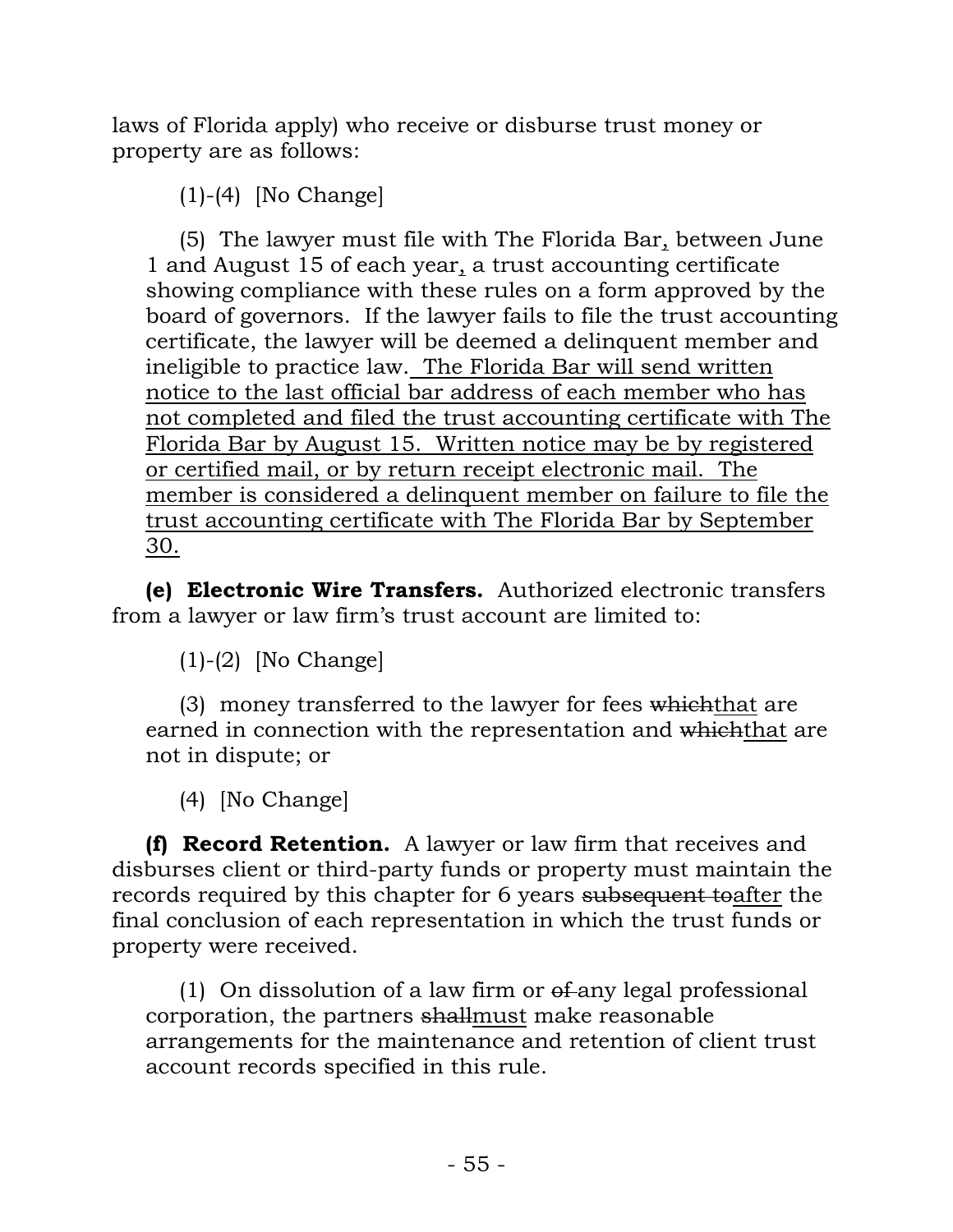laws of Florida apply) who receive or disburse trust money or property are as follows:

(1)-(4) [No Change]

(5) The lawyer must file with The Florida Bar, between June 1 and August 15 of each year, a trust accounting certificate showing compliance with these rules on a form approved by the board of governors. If the lawyer fails to file the trust accounting certificate, the lawyer will be deemed a delinquent member and ineligible to practice law. The Florida Bar will send written notice to the last official bar address of each member who has not completed and filed the trust accounting certificate with The Florida Bar by August 15. Written notice may be by registered or certified mail, or by return receipt electronic mail. The member is considered a delinquent member on failure to file the trust accounting certificate with The Florida Bar by September 30.

**(e) Electronic Wire Transfers.** Authorized electronic transfers from a lawyer or law firm's trust account are limited to:

 $(1)-(2)$  [No Change]

(3) money transferred to the lawyer for fees whichthat are earned in connection with the representation and which that are not in dispute; or

(4) [No Change]

**(f) Record Retention.** A lawyer or law firm that receives and disburses client or third-party funds or property must maintain the records required by this chapter for 6 years subsequent toafter the final conclusion of each representation in which the trust funds or property were received.

(1) On dissolution of a law firm or  $\theta$  any legal professional corporation, the partners shallmust make reasonable arrangements for the maintenance and retention of client trust account records specified in this rule.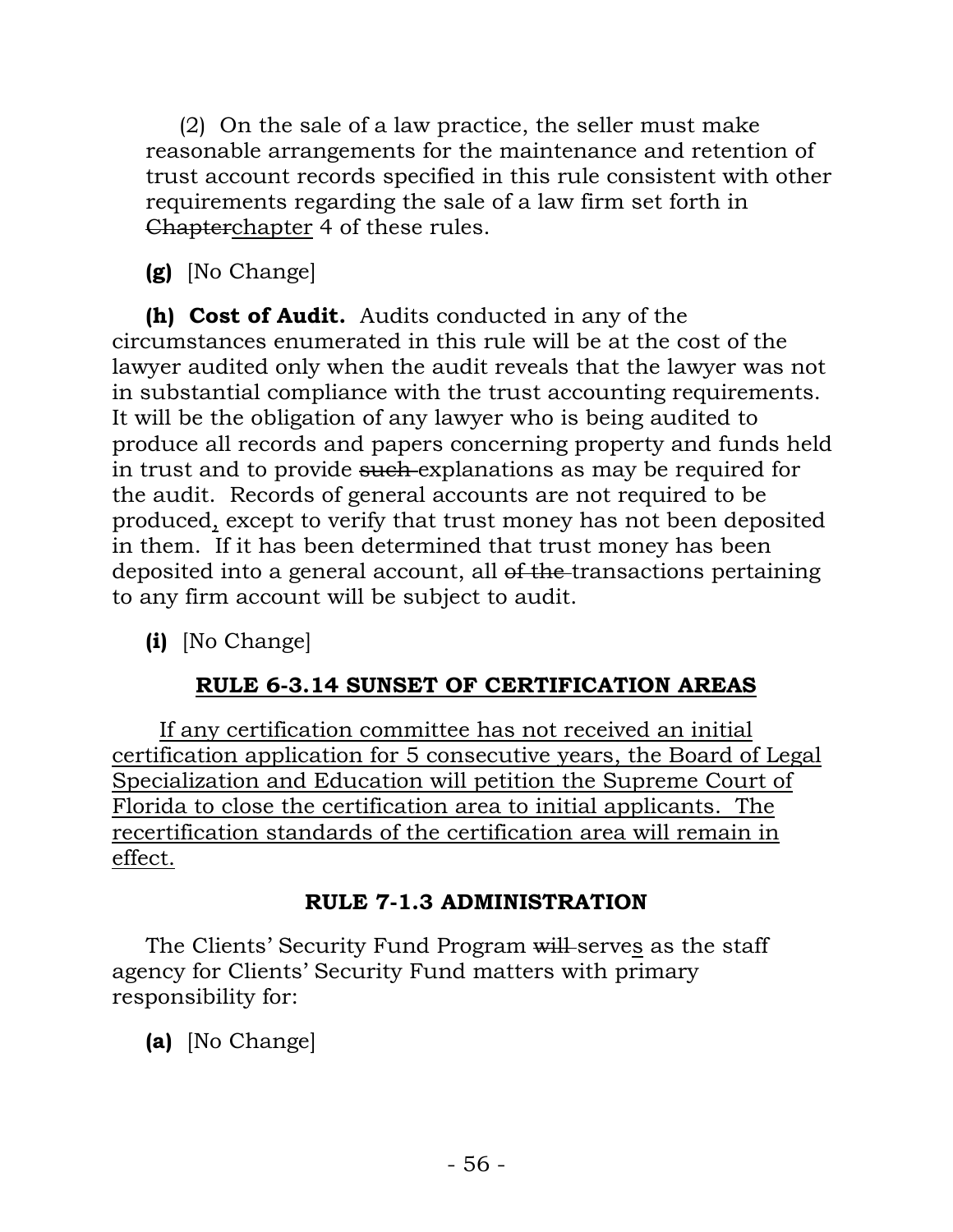(2) On the sale of a law practice, the seller must make reasonable arrangements for the maintenance and retention of trust account records specified in this rule consistent with other requirements regarding the sale of a law firm set forth in Chapterchapter 4 of these rules.

**(g)** [No Change]

**(h) Cost of Audit.** Audits conducted in any of the circumstances enumerated in this rule will be at the cost of the lawyer audited only when the audit reveals that the lawyer was not in substantial compliance with the trust accounting requirements. It will be the obligation of any lawyer who is being audited to produce all records and papers concerning property and funds held in trust and to provide such explanations as may be required for the audit. Records of general accounts are not required to be produced, except to verify that trust money has not been deposited in them. If it has been determined that trust money has been deposited into a general account, all of the transactions pertaining to any firm account will be subject to audit.

**(i)** [No Change]

# **RULE 6-3.14 SUNSET OF CERTIFICATION AREAS**

 If any certification committee has not received an initial certification application for 5 consecutive years, the Board of Legal Specialization and Education will petition the Supreme Court of Florida to close the certification area to initial applicants. The recertification standards of the certification area will remain in effect.

# **RULE 7-1.3 ADMINISTRATION**

The Clients' Security Fund Program will serves as the staff agency for Clients' Security Fund matters with primary responsibility for:

**(a)** [No Change]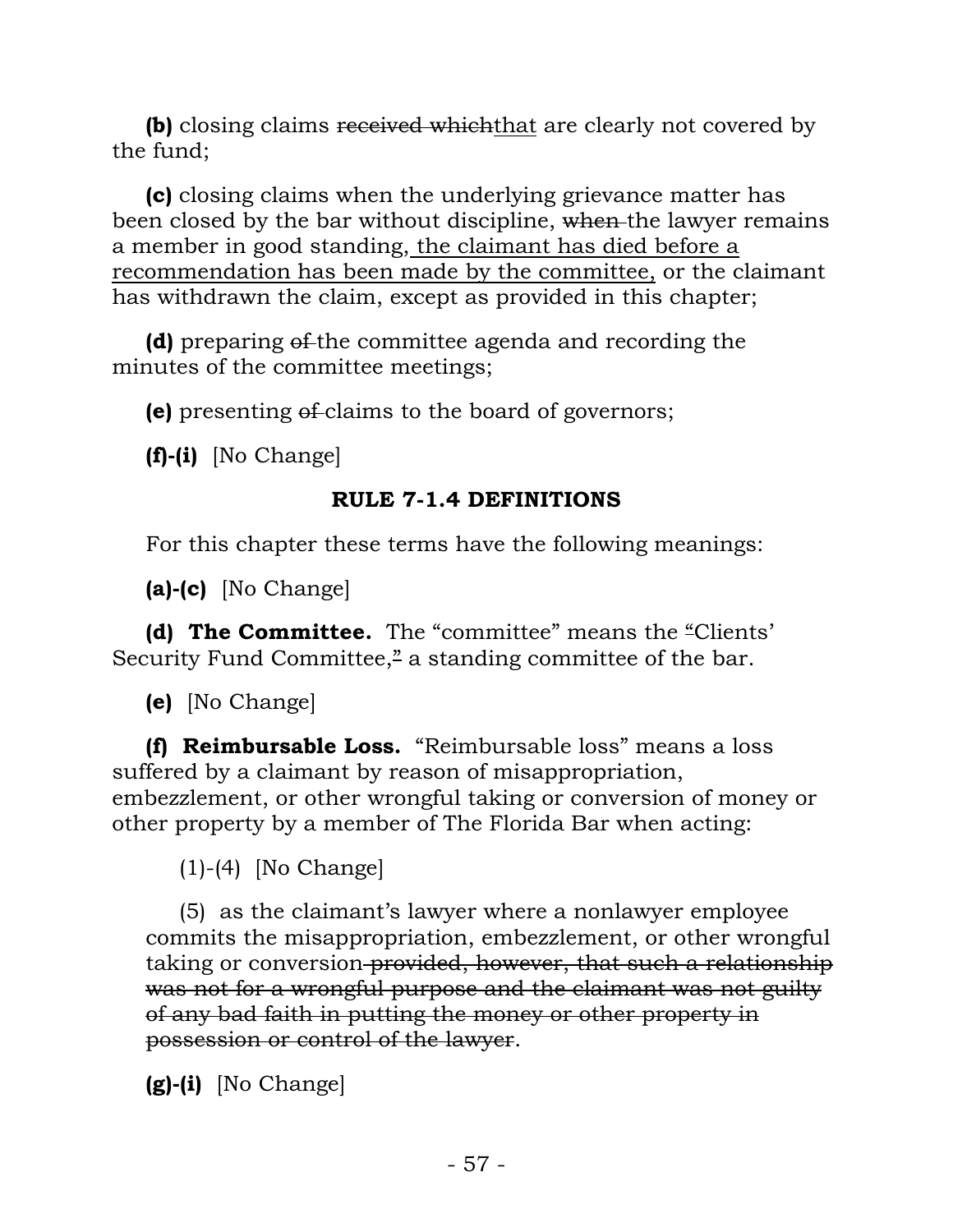**(b)** closing claims received whichthat are clearly not covered by the fund;

**(c)** closing claims when the underlying grievance matter has been closed by the bar without discipline, when the lawyer remains a member in good standing, the claimant has died before a recommendation has been made by the committee, or the claimant has withdrawn the claim, except as provided in this chapter;

**(d)** preparing of the committee agenda and recording the minutes of the committee meetings;

**(e)** presenting of claims to the board of governors;

**(f)-(i)** [No Change]

#### **RULE 7-1.4 DEFINITIONS**

For this chapter these terms have the following meanings:

**(a)-(c)** [No Change]

**(d) The Committee.** The "committee" means the "Clients' Security Fund Committee," a standing committee of the bar.

**(e)** [No Change]

**(f) Reimbursable Loss.** "Reimbursable loss" means a loss suffered by a claimant by reason of misappropriation, embezzlement, or other wrongful taking or conversion of money or other property by a member of The Florida Bar when acting:

 $(1)-(4)$  [No Change]

(5) as the claimant's lawyer where a nonlawyer employee commits the misappropriation, embezzlement, or other wrongful taking or conversion-provided, however, that such a relationship was not for a wrongful purpose and the claimant was not guilty of any bad faith in putting the money or other property in possession or control of the lawyer.

**(g)-(i)** [No Change]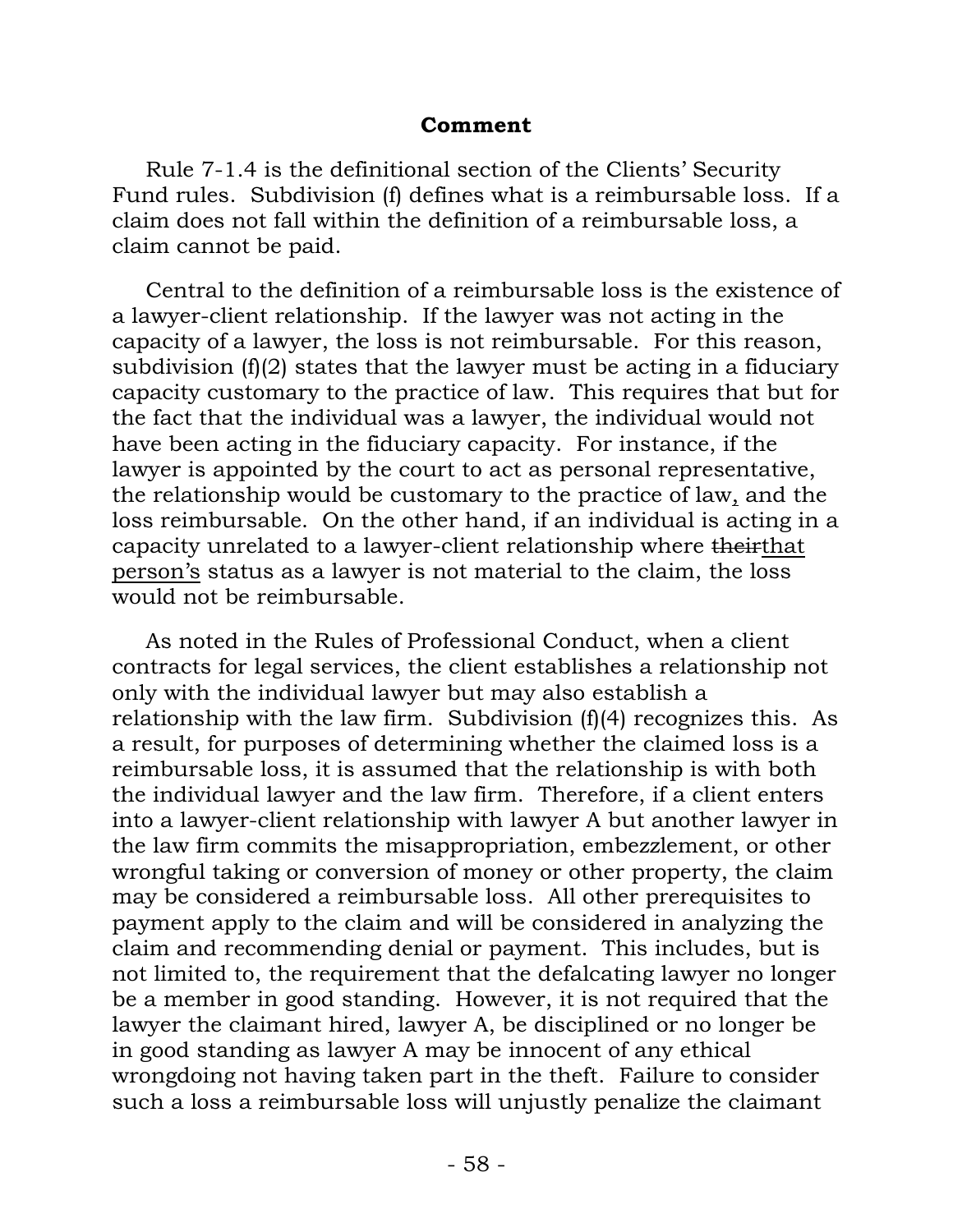#### **Comment**

Rule 7-1.4 is the definitional section of the Clients' Security Fund rules. Subdivision (f) defines what is a reimbursable loss. If a claim does not fall within the definition of a reimbursable loss, a claim cannot be paid.

Central to the definition of a reimbursable loss is the existence of a lawyer-client relationship. If the lawyer was not acting in the capacity of a lawyer, the loss is not reimbursable. For this reason, subdivision (f)(2) states that the lawyer must be acting in a fiduciary capacity customary to the practice of law. This requires that but for the fact that the individual was a lawyer, the individual would not have been acting in the fiduciary capacity. For instance, if the lawyer is appointed by the court to act as personal representative, the relationship would be customary to the practice of law, and the loss reimbursable. On the other hand, if an individual is acting in a capacity unrelated to a lawyer-client relationship where theirthat person's status as a lawyer is not material to the claim, the loss would not be reimbursable.

As noted in the Rules of Professional Conduct, when a client contracts for legal services, the client establishes a relationship not only with the individual lawyer but may also establish a relationship with the law firm. Subdivision (f)(4) recognizes this. As a result, for purposes of determining whether the claimed loss is a reimbursable loss, it is assumed that the relationship is with both the individual lawyer and the law firm. Therefore, if a client enters into a lawyer-client relationship with lawyer A but another lawyer in the law firm commits the misappropriation, embezzlement, or other wrongful taking or conversion of money or other property, the claim may be considered a reimbursable loss. All other prerequisites to payment apply to the claim and will be considered in analyzing the claim and recommending denial or payment. This includes, but is not limited to, the requirement that the defalcating lawyer no longer be a member in good standing. However, it is not required that the lawyer the claimant hired, lawyer A, be disciplined or no longer be in good standing as lawyer A may be innocent of any ethical wrongdoing not having taken part in the theft. Failure to consider such a loss a reimbursable loss will unjustly penalize the claimant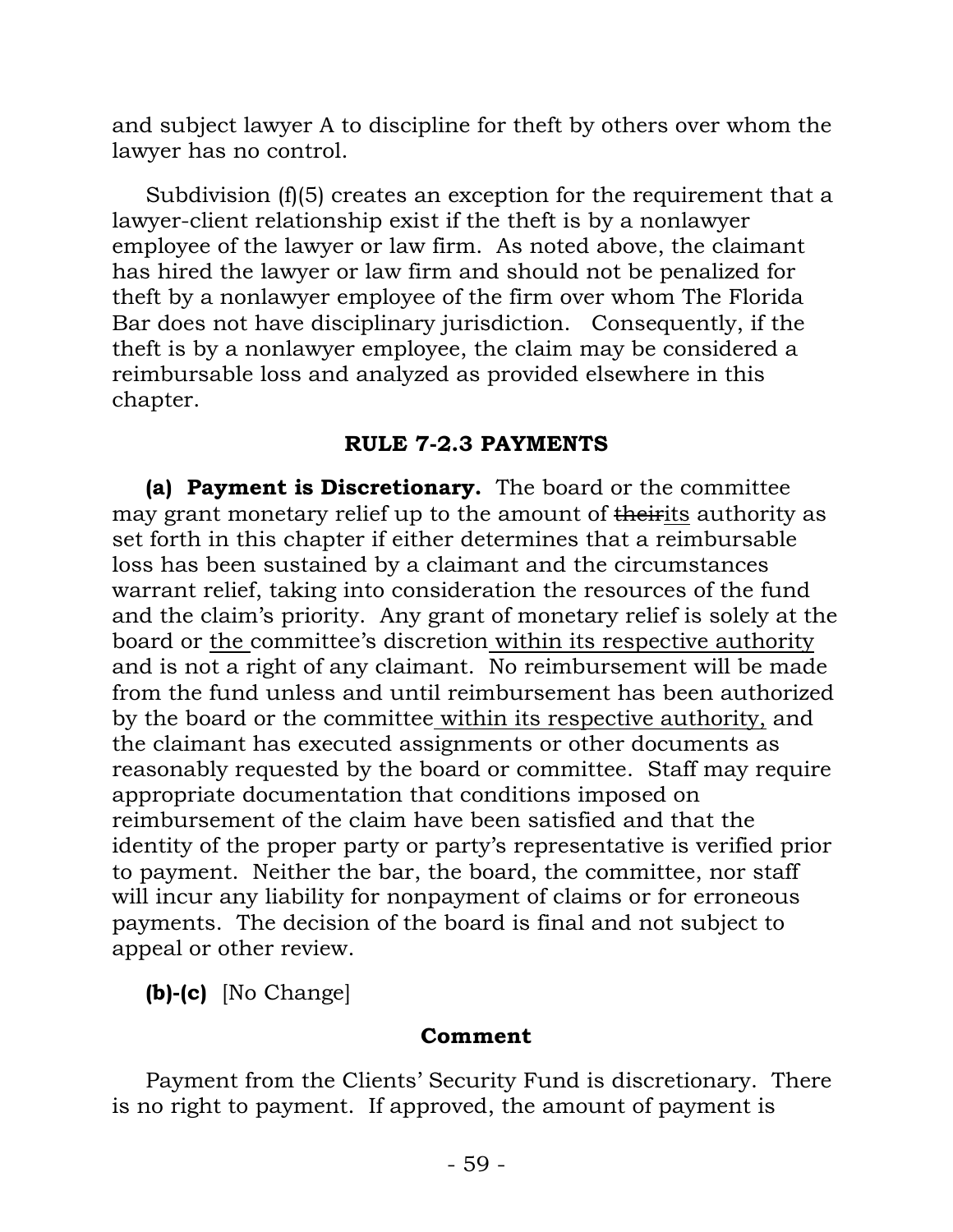and subject lawyer A to discipline for theft by others over whom the lawyer has no control.

Subdivision (f)(5) creates an exception for the requirement that a lawyer-client relationship exist if the theft is by a nonlawyer employee of the lawyer or law firm. As noted above, the claimant has hired the lawyer or law firm and should not be penalized for theft by a nonlawyer employee of the firm over whom The Florida Bar does not have disciplinary jurisdiction. Consequently, if the theft is by a nonlawyer employee, the claim may be considered a reimbursable loss and analyzed as provided elsewhere in this chapter.

#### **RULE 7-2.3 PAYMENTS**

**(a) Payment is Discretionary.** The board or the committee may grant monetary relief up to the amount of theirits authority as set forth in this chapter if either determines that a reimbursable loss has been sustained by a claimant and the circumstances warrant relief, taking into consideration the resources of the fund and the claim's priority. Any grant of monetary relief is solely at the board or the committee's discretion within its respective authority and is not a right of any claimant. No reimbursement will be made from the fund unless and until reimbursement has been authorized by the board or the committee within its respective authority, and the claimant has executed assignments or other documents as reasonably requested by the board or committee. Staff may require appropriate documentation that conditions imposed on reimbursement of the claim have been satisfied and that the identity of the proper party or party's representative is verified prior to payment. Neither the bar, the board, the committee, nor staff will incur any liability for nonpayment of claims or for erroneous payments. The decision of the board is final and not subject to appeal or other review.

**(b)-(c)** [No Change]

#### **Comment**

Payment from the Clients' Security Fund is discretionary. There is no right to payment. If approved, the amount of payment is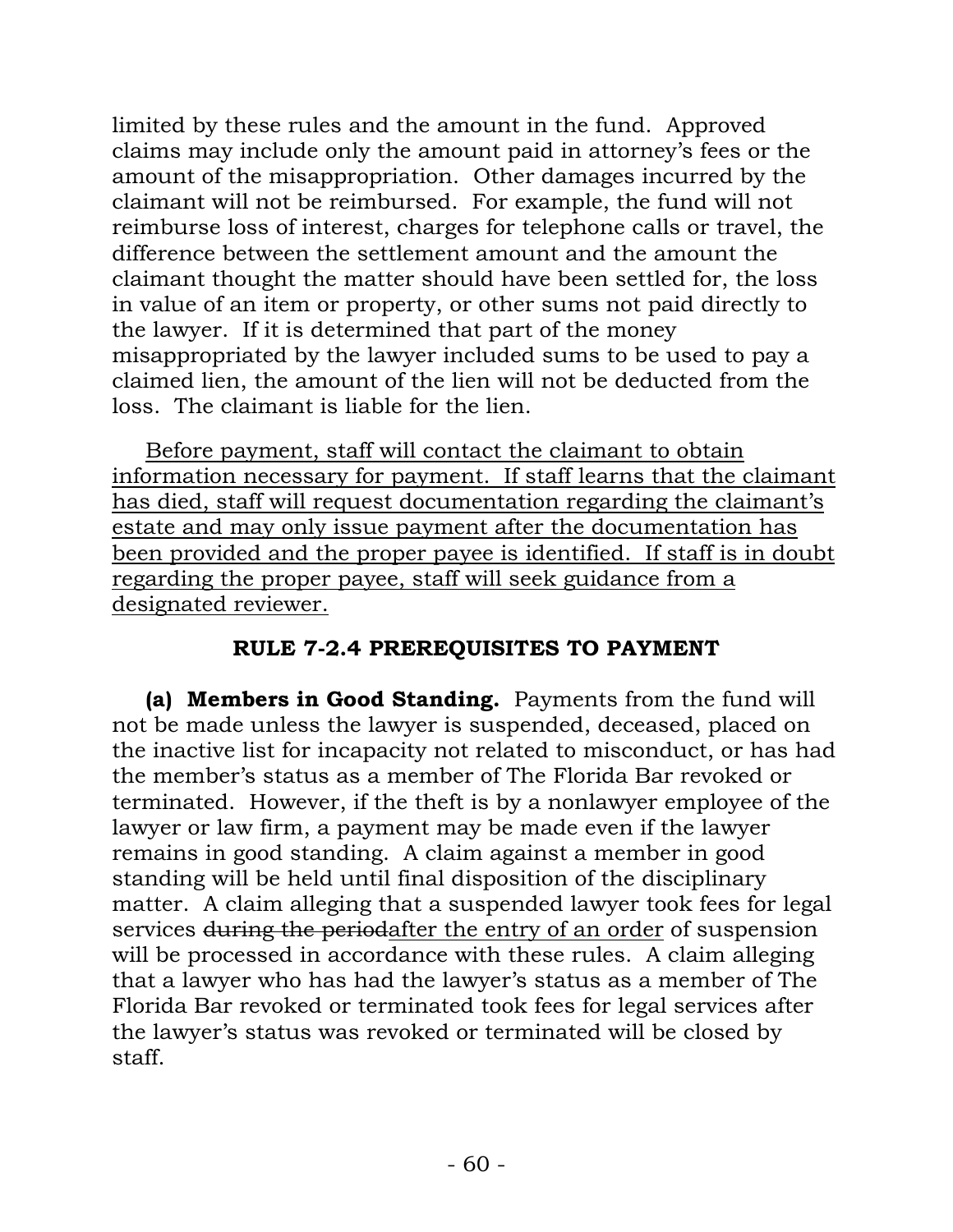limited by these rules and the amount in the fund. Approved claims may include only the amount paid in attorney's fees or the amount of the misappropriation. Other damages incurred by the claimant will not be reimbursed. For example, the fund will not reimburse loss of interest, charges for telephone calls or travel, the difference between the settlement amount and the amount the claimant thought the matter should have been settled for, the loss in value of an item or property, or other sums not paid directly to the lawyer. If it is determined that part of the money misappropriated by the lawyer included sums to be used to pay a claimed lien, the amount of the lien will not be deducted from the loss. The claimant is liable for the lien.

Before payment, staff will contact the claimant to obtain information necessary for payment. If staff learns that the claimant has died, staff will request documentation regarding the claimant's estate and may only issue payment after the documentation has been provided and the proper payee is identified. If staff is in doubt regarding the proper payee, staff will seek guidance from a designated reviewer.

# **RULE 7-2.4 PREREQUISITES TO PAYMENT**

**(a) Members in Good Standing.** Payments from the fund will not be made unless the lawyer is suspended, deceased, placed on the inactive list for incapacity not related to misconduct, or has had the member's status as a member of The Florida Bar revoked or terminated. However, if the theft is by a nonlawyer employee of the lawyer or law firm, a payment may be made even if the lawyer remains in good standing. A claim against a member in good standing will be held until final disposition of the disciplinary matter. A claim alleging that a suspended lawyer took fees for legal services during the periodafter the entry of an order of suspension will be processed in accordance with these rules. A claim alleging that a lawyer who has had the lawyer's status as a member of The Florida Bar revoked or terminated took fees for legal services after the lawyer's status was revoked or terminated will be closed by staff.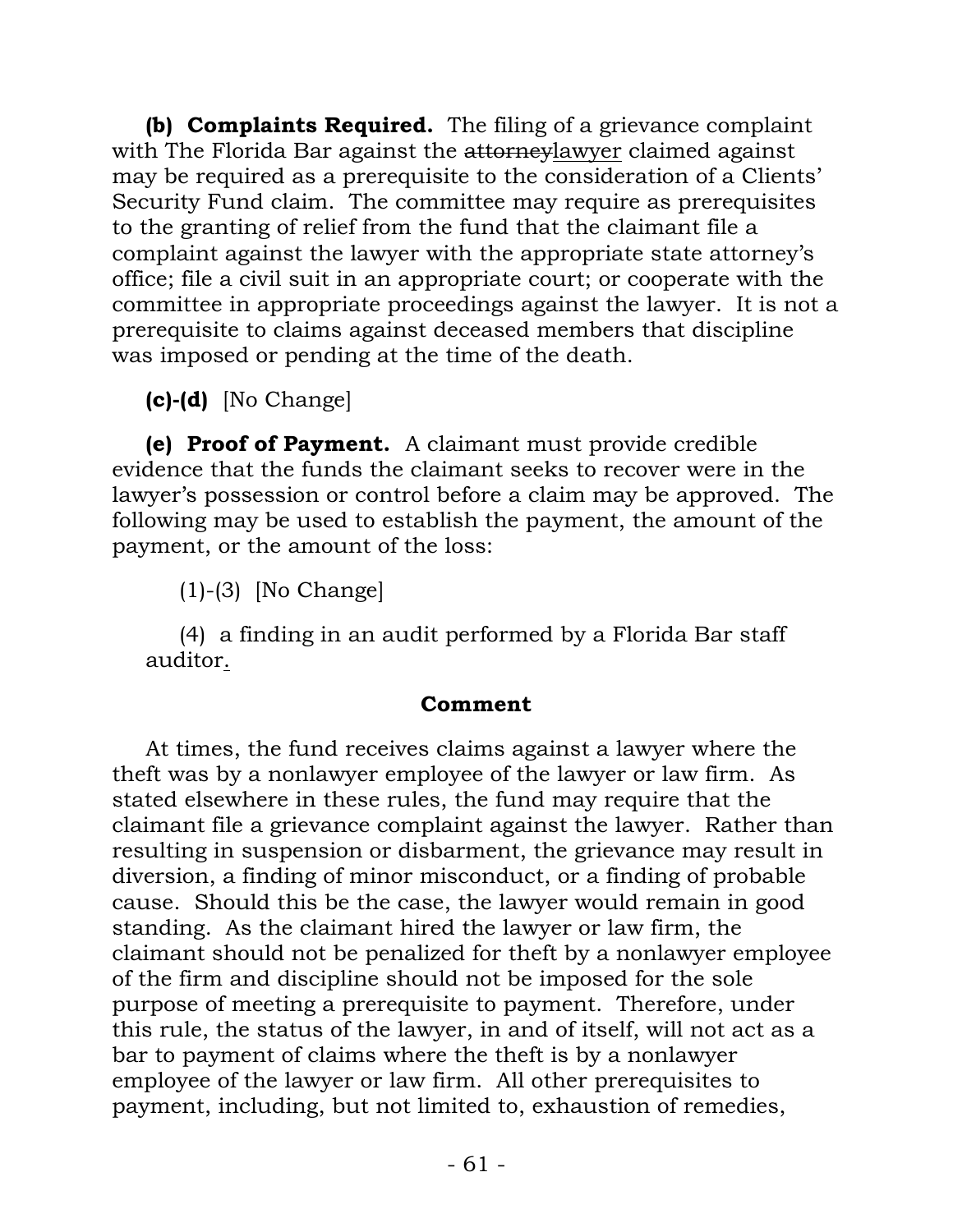**(b) Complaints Required.** The filing of a grievance complaint with The Florida Bar against the attorneylawyer claimed against may be required as a prerequisite to the consideration of a Clients' Security Fund claim. The committee may require as prerequisites to the granting of relief from the fund that the claimant file a complaint against the lawyer with the appropriate state attorney's office; file a civil suit in an appropriate court; or cooperate with the committee in appropriate proceedings against the lawyer. It is not a prerequisite to claims against deceased members that discipline was imposed or pending at the time of the death.

**(c)-(d)** [No Change]

**(e) Proof of Payment.** A claimant must provide credible evidence that the funds the claimant seeks to recover were in the lawyer's possession or control before a claim may be approved. The following may be used to establish the payment, the amount of the payment, or the amount of the loss:

(1)-(3) [No Change]

(4) a finding in an audit performed by a Florida Bar staff auditor.

## **Comment**

At times, the fund receives claims against a lawyer where the theft was by a nonlawyer employee of the lawyer or law firm. As stated elsewhere in these rules, the fund may require that the claimant file a grievance complaint against the lawyer. Rather than resulting in suspension or disbarment, the grievance may result in diversion, a finding of minor misconduct, or a finding of probable cause. Should this be the case, the lawyer would remain in good standing. As the claimant hired the lawyer or law firm, the claimant should not be penalized for theft by a nonlawyer employee of the firm and discipline should not be imposed for the sole purpose of meeting a prerequisite to payment. Therefore, under this rule, the status of the lawyer, in and of itself, will not act as a bar to payment of claims where the theft is by a nonlawyer employee of the lawyer or law firm. All other prerequisites to payment, including, but not limited to, exhaustion of remedies,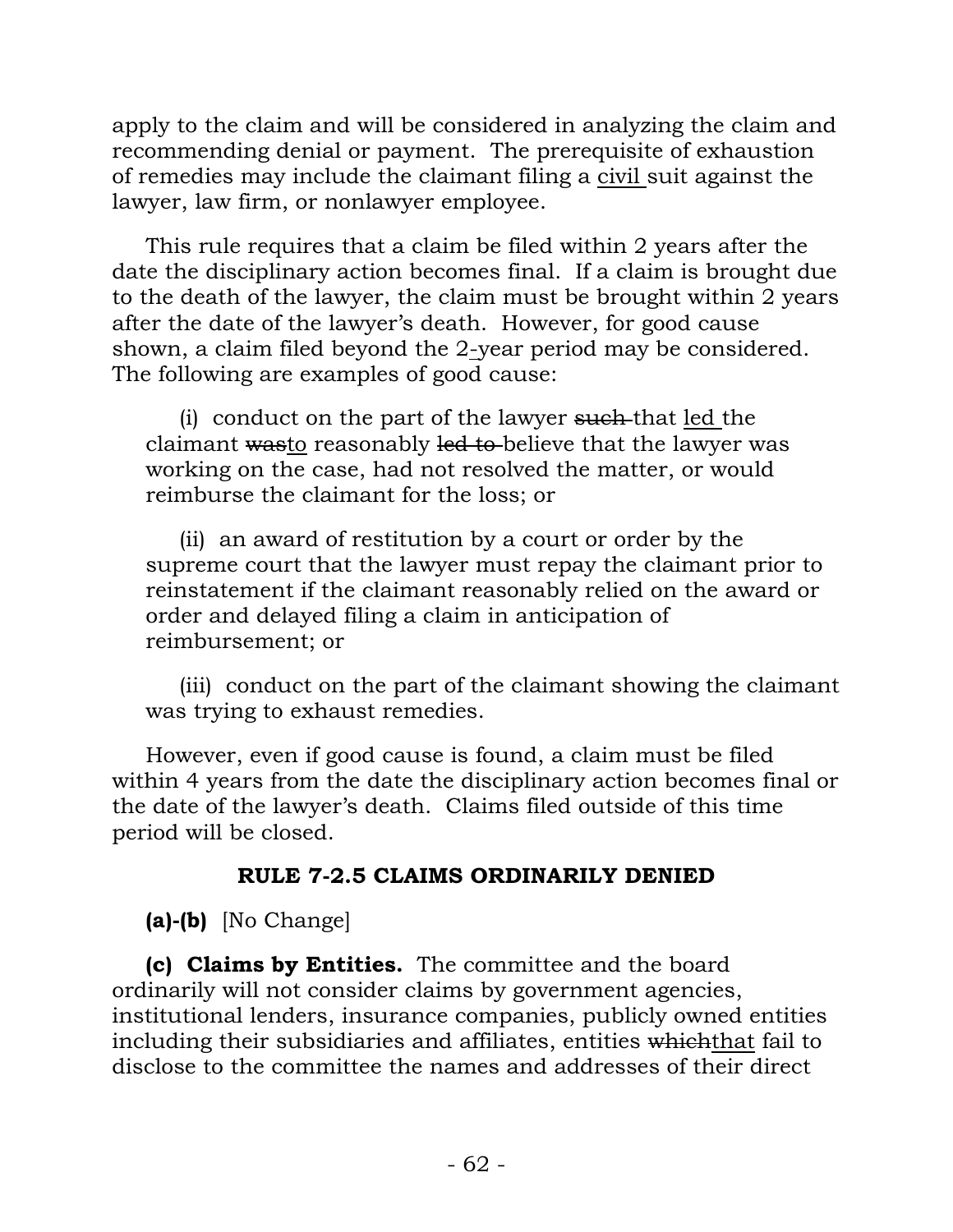apply to the claim and will be considered in analyzing the claim and recommending denial or payment. The prerequisite of exhaustion of remedies may include the claimant filing a civil suit against the lawyer, law firm, or nonlawyer employee.

This rule requires that a claim be filed within 2 years after the date the disciplinary action becomes final. If a claim is brought due to the death of the lawyer, the claim must be brought within 2 years after the date of the lawyer's death. However, for good cause shown, a claim filed beyond the 2-year period may be considered. The following are examples of good cause:

(i) conduct on the part of the lawyer such that led the claimant wasto reasonably led to believe that the lawyer was working on the case, had not resolved the matter, or would reimburse the claimant for the loss; or

(ii) an award of restitution by a court or order by the supreme court that the lawyer must repay the claimant prior to reinstatement if the claimant reasonably relied on the award or order and delayed filing a claim in anticipation of reimbursement; or

(iii) conduct on the part of the claimant showing the claimant was trying to exhaust remedies.

However, even if good cause is found, a claim must be filed within 4 years from the date the disciplinary action becomes final or the date of the lawyer's death. Claims filed outside of this time period will be closed.

## **RULE 7-2.5 CLAIMS ORDINARILY DENIED**

**(a)-(b)** [No Change]

**(c) Claims by Entities.** The committee and the board ordinarily will not consider claims by government agencies, institutional lenders, insurance companies, publicly owned entities including their subsidiaries and affiliates, entities whichthat fail to disclose to the committee the names and addresses of their direct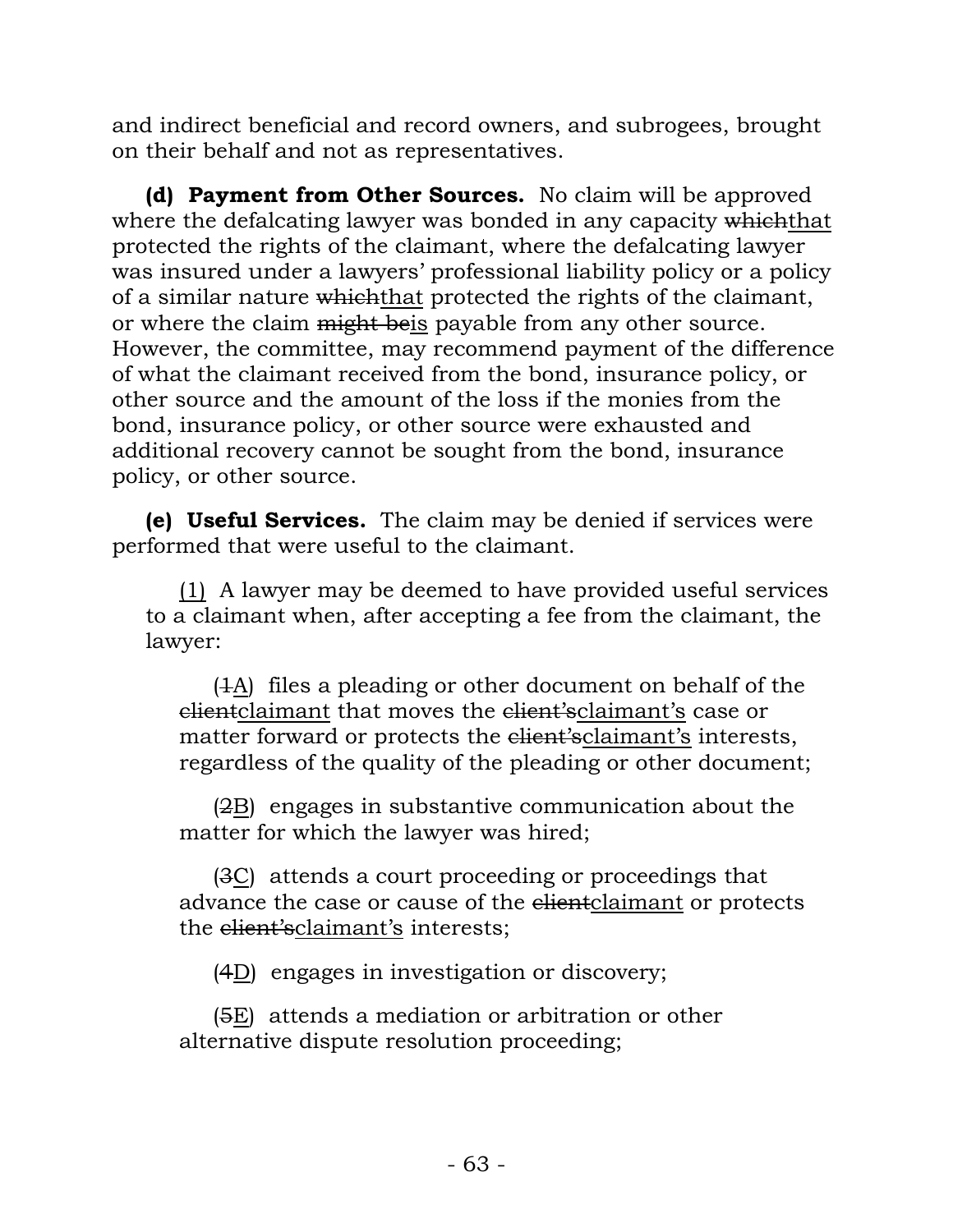and indirect beneficial and record owners, and subrogees, brought on their behalf and not as representatives.

**(d) Payment from Other Sources.** No claim will be approved where the defalcating lawyer was bonded in any capacity which that protected the rights of the claimant, where the defalcating lawyer was insured under a lawyers' professional liability policy or a policy of a similar nature whichthat protected the rights of the claimant, or where the claim might beis payable from any other source. However, the committee, may recommend payment of the difference of what the claimant received from the bond, insurance policy, or other source and the amount of the loss if the monies from the bond, insurance policy, or other source were exhausted and additional recovery cannot be sought from the bond, insurance policy, or other source.

**(e) Useful Services.** The claim may be denied if services were performed that were useful to the claimant.

(1) A lawyer may be deemed to have provided useful services to a claimant when, after accepting a fee from the claimant, the lawyer:

(1A) files a pleading or other document on behalf of the clientclaimant that moves the client'sclaimant's case or matter forward or protects the elient's claimant's interests, regardless of the quality of the pleading or other document;

(2B) engages in substantive communication about the matter for which the lawyer was hired;

(3C) attends a court proceeding or proceedings that advance the case or cause of the elient claimant or protects the elient's claimant's interests;

(4D) engages in investigation or discovery;

(5E) attends a mediation or arbitration or other alternative dispute resolution proceeding;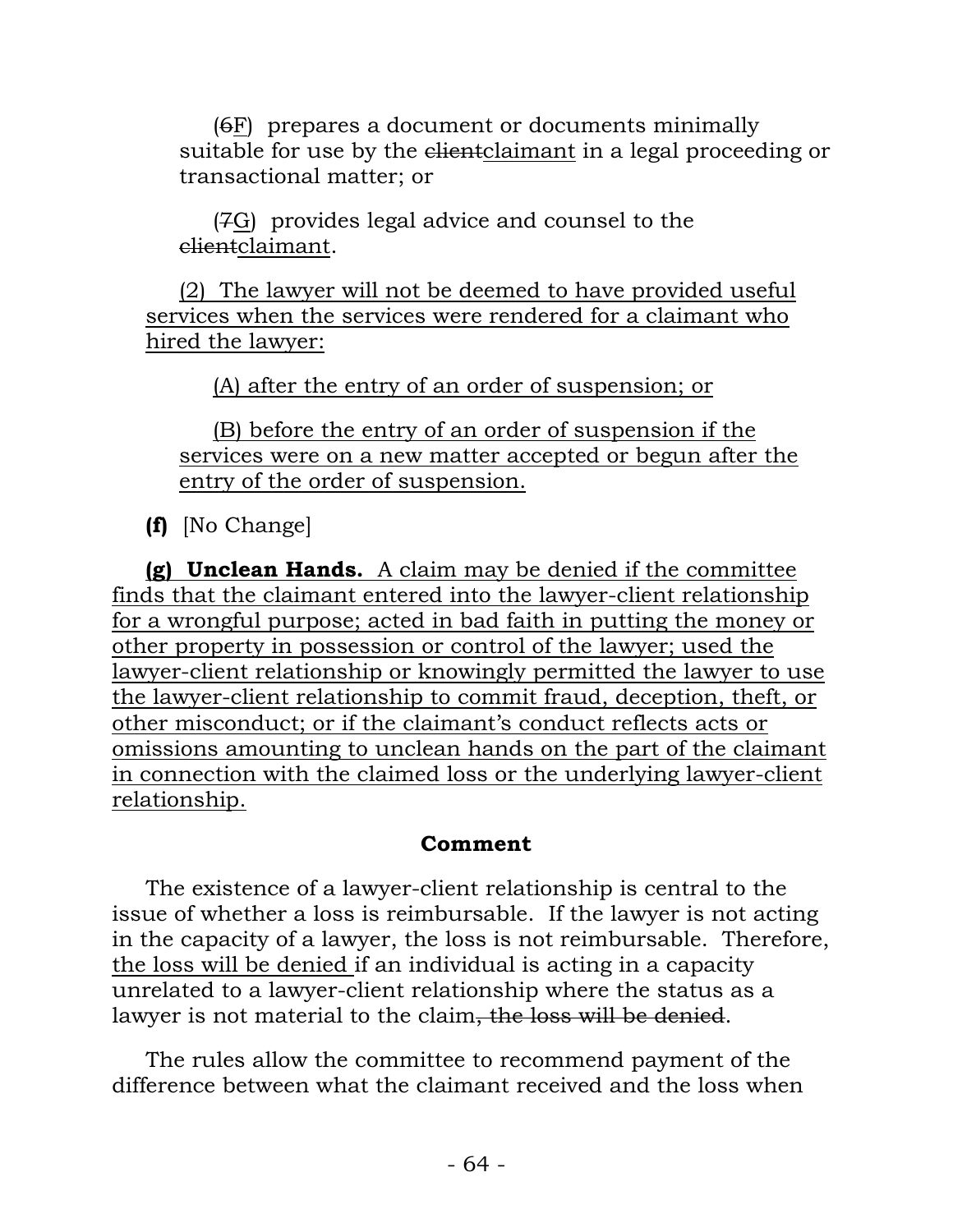(6F) prepares a document or documents minimally suitable for use by the elientclaimant in a legal proceeding or transactional matter; or

(7G) provides legal advice and counsel to the clientclaimant.

(2) The lawyer will not be deemed to have provided useful services when the services were rendered for a claimant who hired the lawyer:

(A) after the entry of an order of suspension; or

(B) before the entry of an order of suspension if the services were on a new matter accepted or begun after the entry of the order of suspension.

**(f)** [No Change]

**(g) Unclean Hands.** A claim may be denied if the committee finds that the claimant entered into the lawyer-client relationship for a wrongful purpose; acted in bad faith in putting the money or other property in possession or control of the lawyer; used the lawyer-client relationship or knowingly permitted the lawyer to use the lawyer-client relationship to commit fraud, deception, theft, or other misconduct; or if the claimant's conduct reflects acts or omissions amounting to unclean hands on the part of the claimant in connection with the claimed loss or the underlying lawyer-client relationship.

## **Comment**

The existence of a lawyer-client relationship is central to the issue of whether a loss is reimbursable. If the lawyer is not acting in the capacity of a lawyer, the loss is not reimbursable. Therefore, the loss will be denied if an individual is acting in a capacity unrelated to a lawyer-client relationship where the status as a lawyer is not material to the claim, the loss will be denied.

The rules allow the committee to recommend payment of the difference between what the claimant received and the loss when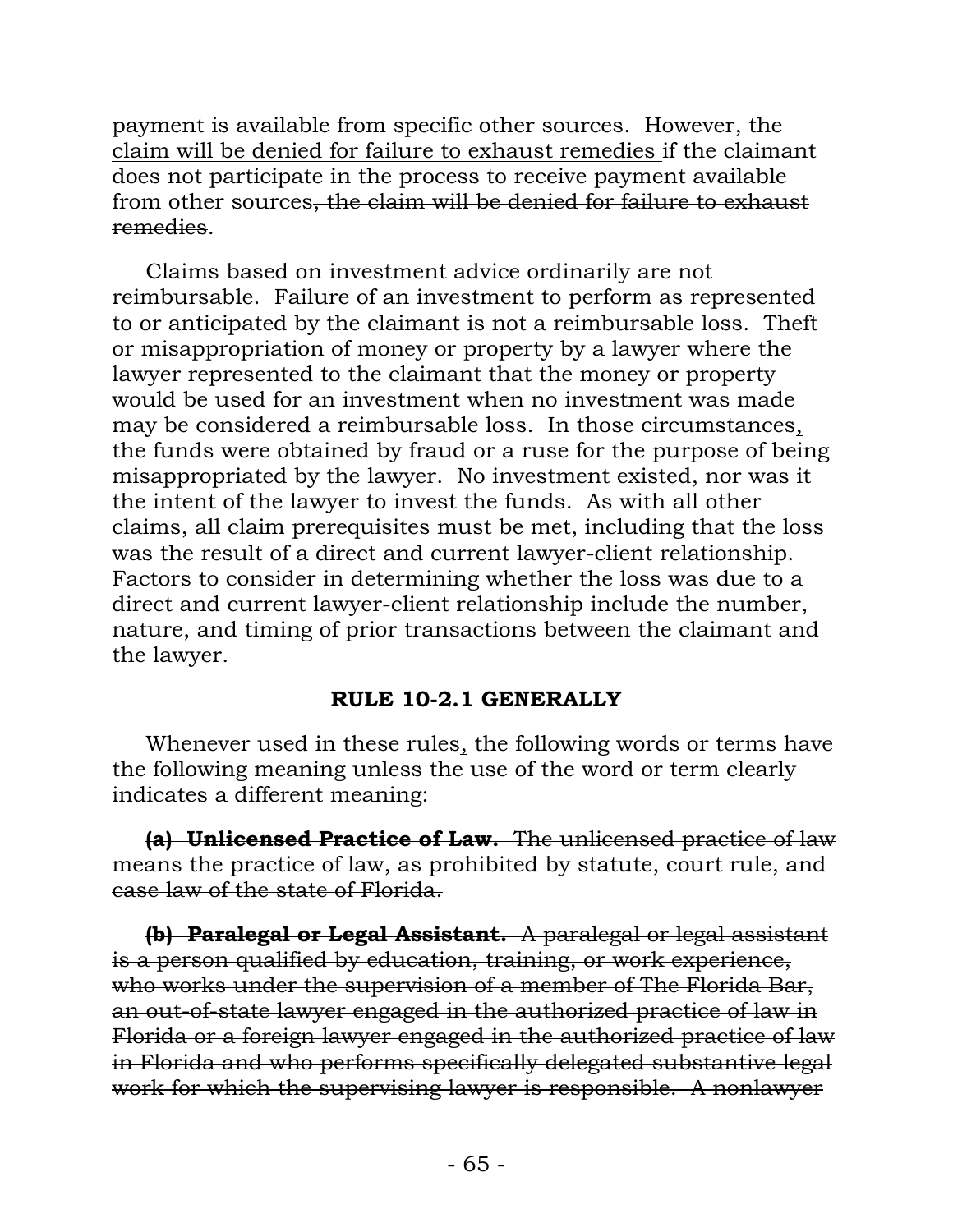payment is available from specific other sources. However, the claim will be denied for failure to exhaust remedies if the claimant does not participate in the process to receive payment available from other sources, the claim will be denied for failure to exhaust remedies.

Claims based on investment advice ordinarily are not reimbursable. Failure of an investment to perform as represented to or anticipated by the claimant is not a reimbursable loss. Theft or misappropriation of money or property by a lawyer where the lawyer represented to the claimant that the money or property would be used for an investment when no investment was made may be considered a reimbursable loss. In those circumstances, the funds were obtained by fraud or a ruse for the purpose of being misappropriated by the lawyer. No investment existed, nor was it the intent of the lawyer to invest the funds. As with all other claims, all claim prerequisites must be met, including that the loss was the result of a direct and current lawyer-client relationship. Factors to consider in determining whether the loss was due to a direct and current lawyer-client relationship include the number, nature, and timing of prior transactions between the claimant and the lawyer.

## **RULE 10-2.1 GENERALLY**

Whenever used in these rules, the following words or terms have the following meaning unless the use of the word or term clearly indicates a different meaning:

**(a) Unlicensed Practice of Law.** The unlicensed practice of law means the practice of law, as prohibited by statute, court rule, and case law of the state of Florida.

**(b) Paralegal or Legal Assistant.** A paralegal or legal assistant is a person qualified by education, training, or work experience, who works under the supervision of a member of The Florida Bar, an out-of-state lawyer engaged in the authorized practice of law in Florida or a foreign lawyer engaged in the authorized practice of law in Florida and who performs specifically delegated substantive legal work for which the supervising lawyer is responsible. A nonlawyer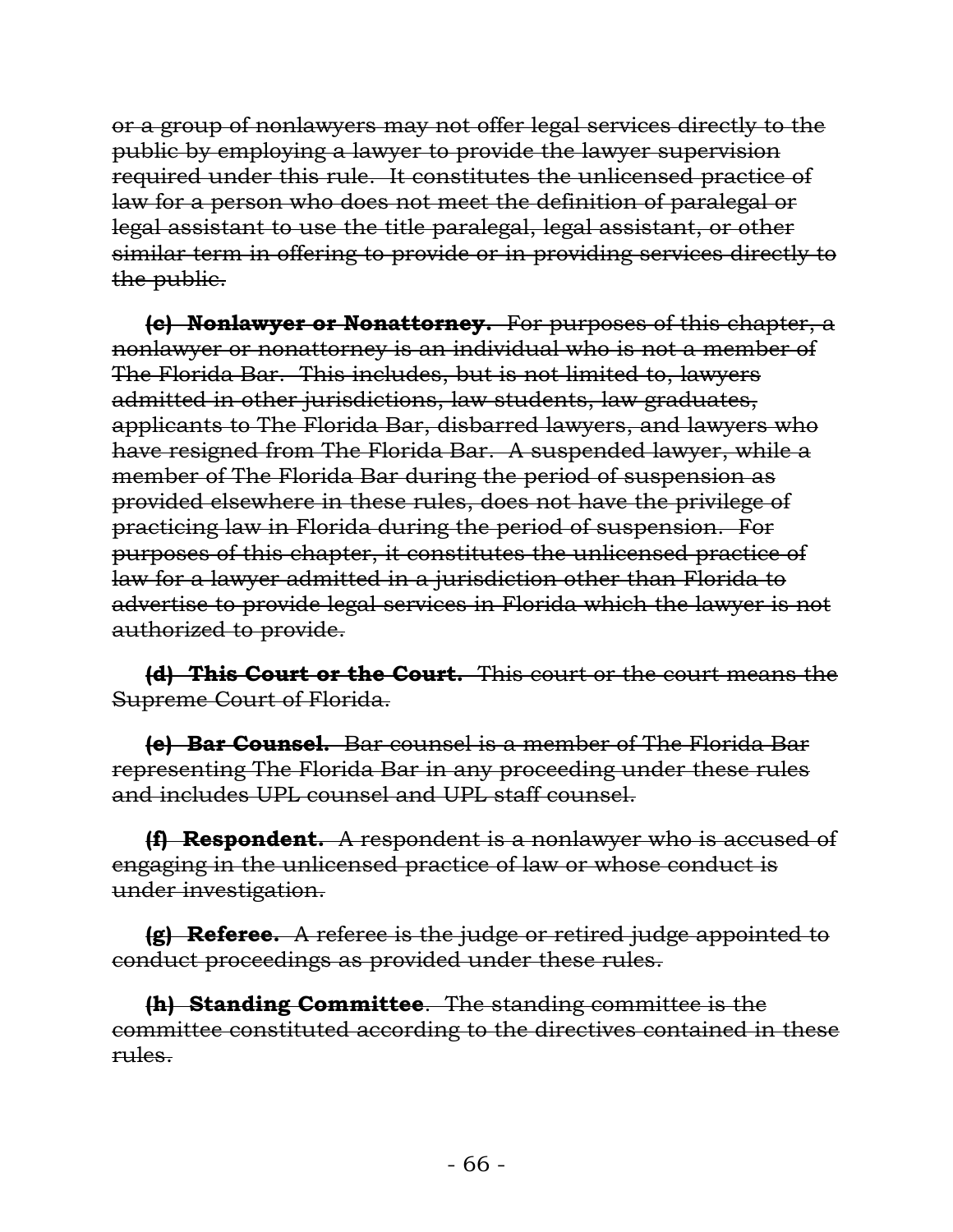or a group of nonlawyers may not offer legal services directly to the public by employing a lawyer to provide the lawyer supervision required under this rule. It constitutes the unlicensed practice of law for a person who does not meet the definition of paralegal or legal assistant to use the title paralegal, legal assistant, or other similar term in offering to provide or in providing services directly to the *public*.

**(c) Nonlawyer or Nonattorney.** For purposes of this chapter, a nonlawyer or nonattorney is an individual who is not a member of The Florida Bar. This includes, but is not limited to, lawyers admitted in other jurisdictions, law students, law graduates, applicants to The Florida Bar, disbarred lawyers, and lawyers who have resigned from The Florida Bar. A suspended lawyer, while a member of The Florida Bar during the period of suspension as provided elsewhere in these rules, does not have the privilege of practicing law in Florida during the period of suspension. For purposes of this chapter, it constitutes the unlicensed practice of law for a lawyer admitted in a jurisdiction other than Florida to advertise to provide legal services in Florida which the lawyer is not authorized to provide.

**(d) This Court or the Court.** This court or the court means the Supreme Court of Florida.

**(e) Bar Counsel.** Bar counsel is a member of The Florida Bar representing The Florida Bar in any proceeding under these rules and includes UPL counsel and UPL staff counsel.

**(f) Respondent.** A respondent is a nonlawyer who is accused of engaging in the unlicensed practice of law or whose conduct is under investigation.

**(g) Referee.** A referee is the judge or retired judge appointed to conduct proceedings as provided under these rules.

**(h) Standing Committee**. The standing committee is the committee constituted according to the directives contained in these rules.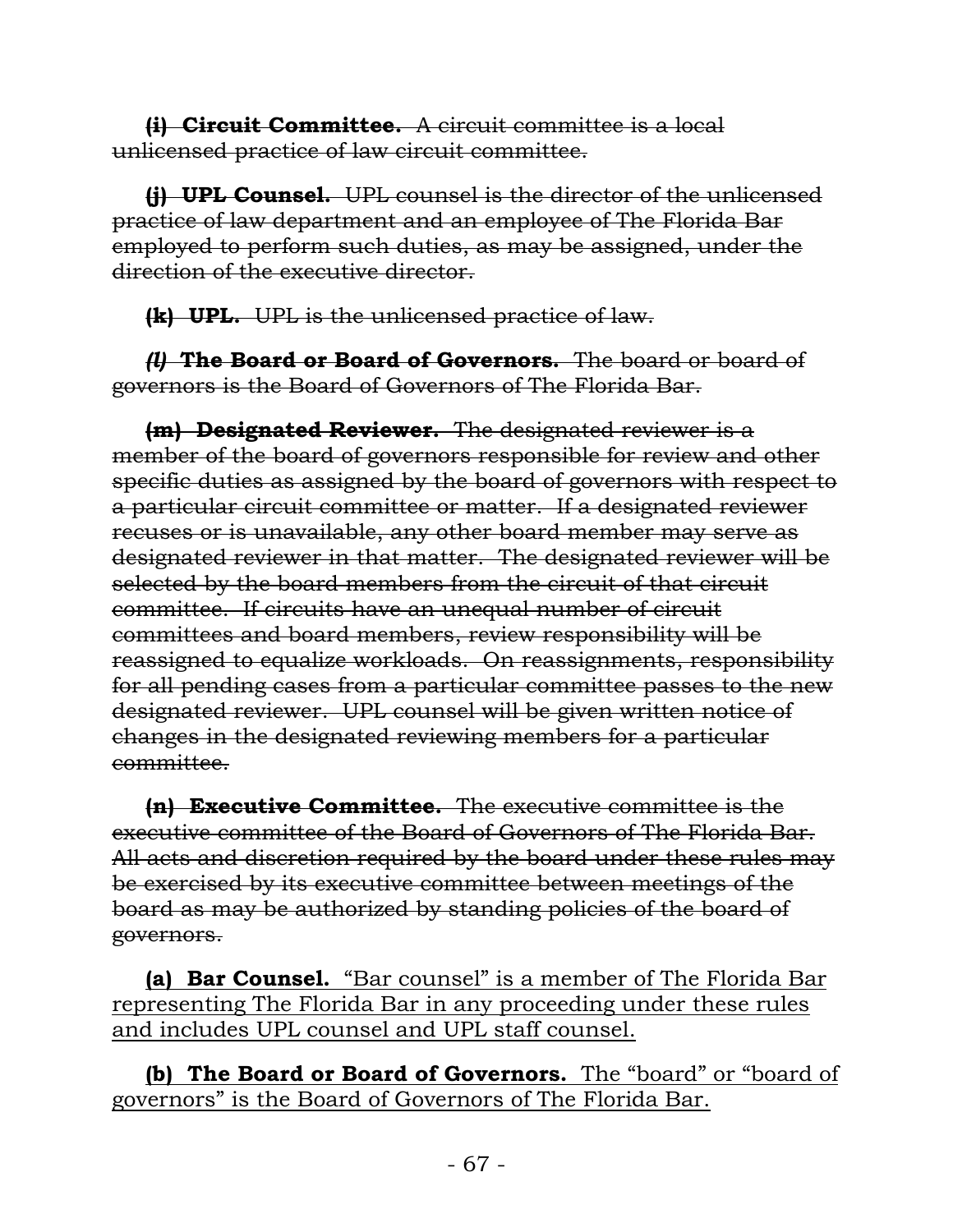**(i) Circuit Committee.** A circuit committee is a local unlicensed practice of law circuit committee.

**(j) UPL Counsel.** UPL counsel is the director of the unlicensed practice of law department and an employee of The Florida Bar employed to perform such duties, as may be assigned, under the direction of the executive director.

**(k) UPL.** UPL is the unlicensed practice of law.

*(l)* **The Board or Board of Governors.** The board or board of governors is the Board of Governors of The Florida Bar.

**(m) Designated Reviewer.** The designated reviewer is a member of the board of governors responsible for review and other specific duties as assigned by the board of governors with respect to a particular circuit committee or matter. If a designated reviewer recuses or is unavailable, any other board member may serve as designated reviewer in that matter. The designated reviewer will be selected by the board members from the circuit of that circuit committee. If circuits have an unequal number of circuit committees and board members, review responsibility will be reassigned to equalize workloads. On reassignments, responsibility for all pending cases from a particular committee passes to the new designated reviewer. UPL counsel will be given written notice of changes in the designated reviewing members for a particular committee.

**(n) Executive Committee.** The executive committee is the executive committee of the Board of Governors of The Florida Bar. All acts and discretion required by the board under these rules may be exercised by its executive committee between meetings of the board as may be authorized by standing policies of the board of governors.

**(a) Bar Counsel.** "Bar counsel" is a member of The Florida Bar representing The Florida Bar in any proceeding under these rules and includes UPL counsel and UPL staff counsel.

**(b) The Board or Board of Governors.** The "board" or "board of governors" is the Board of Governors of The Florida Bar.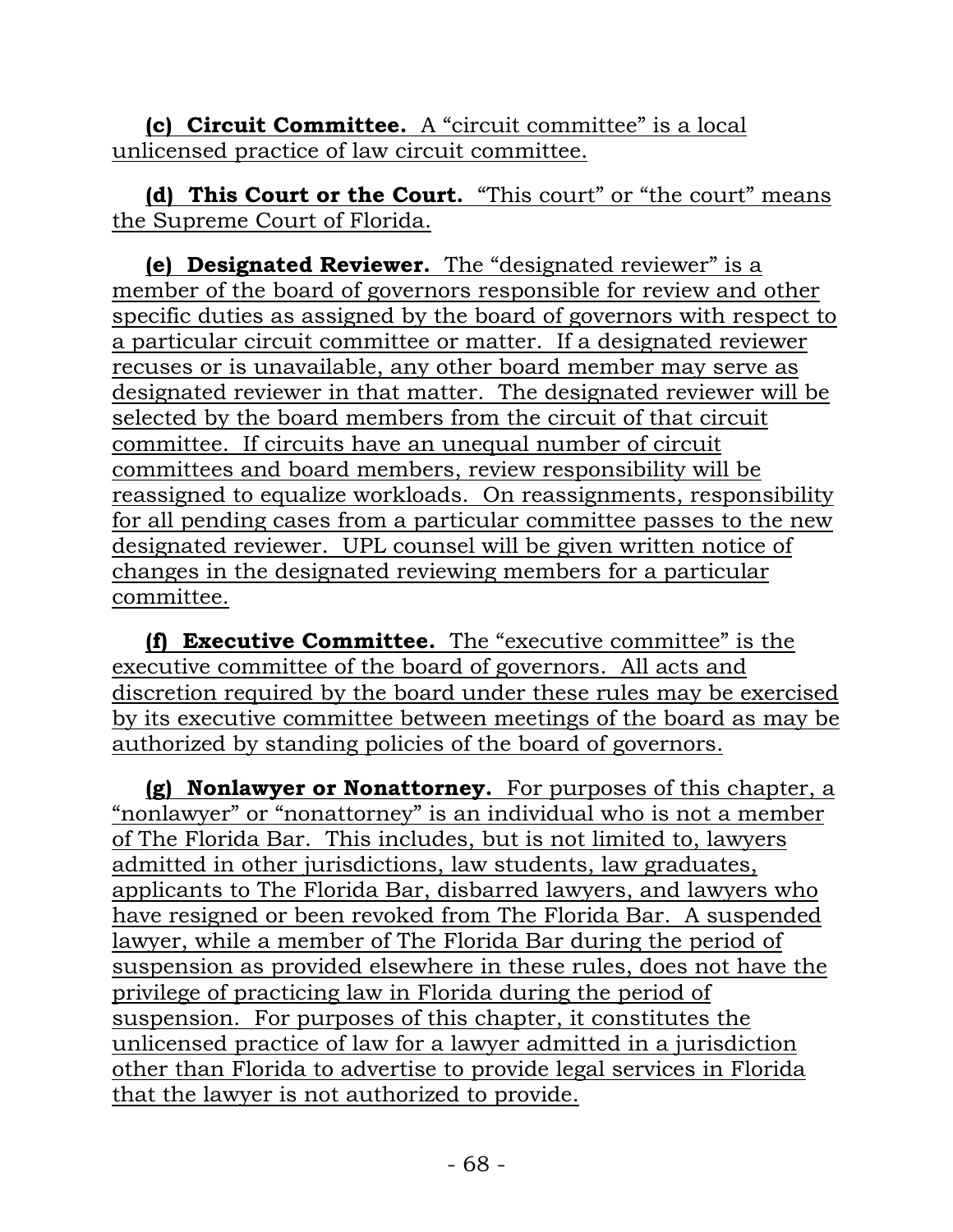**(c) Circuit Committee.** A "circuit committee" is a local unlicensed practice of law circuit committee.

**(d) This Court or the Court.** "This court" or "the court" means the Supreme Court of Florida.

**(e) Designated Reviewer.** The "designated reviewer" is a member of the board of governors responsible for review and other specific duties as assigned by the board of governors with respect to a particular circuit committee or matter. If a designated reviewer recuses or is unavailable, any other board member may serve as designated reviewer in that matter. The designated reviewer will be selected by the board members from the circuit of that circuit committee. If circuits have an unequal number of circuit committees and board members, review responsibility will be reassigned to equalize workloads. On reassignments, responsibility for all pending cases from a particular committee passes to the new designated reviewer. UPL counsel will be given written notice of changes in the designated reviewing members for a particular committee.

**(f) Executive Committee.** The "executive committee" is the executive committee of the board of governors. All acts and discretion required by the board under these rules may be exercised by its executive committee between meetings of the board as may be authorized by standing policies of the board of governors.

**(g) Nonlawyer or Nonattorney.** For purposes of this chapter, a "nonlawyer" or "nonattorney" is an individual who is not a member of The Florida Bar. This includes, but is not limited to, lawyers admitted in other jurisdictions, law students, law graduates, applicants to The Florida Bar, disbarred lawyers, and lawyers who have resigned or been revoked from The Florida Bar. A suspended lawyer, while a member of The Florida Bar during the period of suspension as provided elsewhere in these rules, does not have the privilege of practicing law in Florida during the period of suspension. For purposes of this chapter, it constitutes the unlicensed practice of law for a lawyer admitted in a jurisdiction other than Florida to advertise to provide legal services in Florida that the lawyer is not authorized to provide.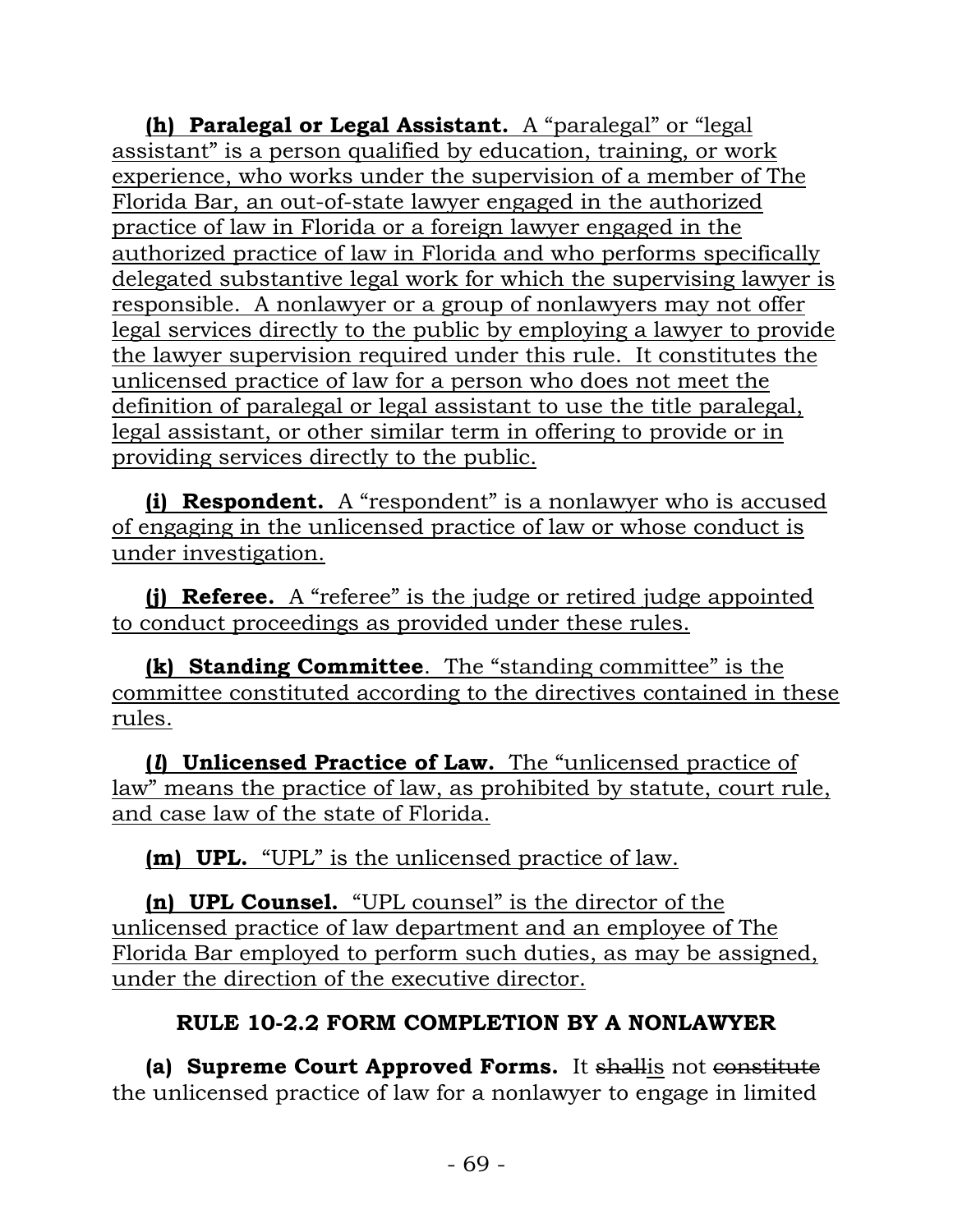**(h) Paralegal or Legal Assistant.** A "paralegal" or "legal assistant" is a person qualified by education, training, or work experience, who works under the supervision of a member of The Florida Bar, an out-of-state lawyer engaged in the authorized practice of law in Florida or a foreign lawyer engaged in the authorized practice of law in Florida and who performs specifically delegated substantive legal work for which the supervising lawyer is responsible. A nonlawyer or a group of nonlawyers may not offer legal services directly to the public by employing a lawyer to provide the lawyer supervision required under this rule. It constitutes the unlicensed practice of law for a person who does not meet the definition of paralegal or legal assistant to use the title paralegal, legal assistant, or other similar term in offering to provide or in providing services directly to the public.

**(i) Respondent.** A "respondent" is a nonlawyer who is accused of engaging in the unlicensed practice of law or whose conduct is under investigation.

**(j) Referee.** A "referee" is the judge or retired judge appointed to conduct proceedings as provided under these rules.

**(k) Standing Committee**. The "standing committee" is the committee constituted according to the directives contained in these rules.

**(***l***) Unlicensed Practice of Law.** The "unlicensed practice of law" means the practice of law, as prohibited by statute, court rule, and case law of the state of Florida.

**(m) UPL.** "UPL" is the unlicensed practice of law.

**(n) UPL Counsel.** "UPL counsel" is the director of the unlicensed practice of law department and an employee of The Florida Bar employed to perform such duties, as may be assigned, under the direction of the executive director.

# **RULE 10-2.2 FORM COMPLETION BY A NONLAWYER**

**(a) Supreme Court Approved Forms.** It shallis not constitute the unlicensed practice of law for a nonlawyer to engage in limited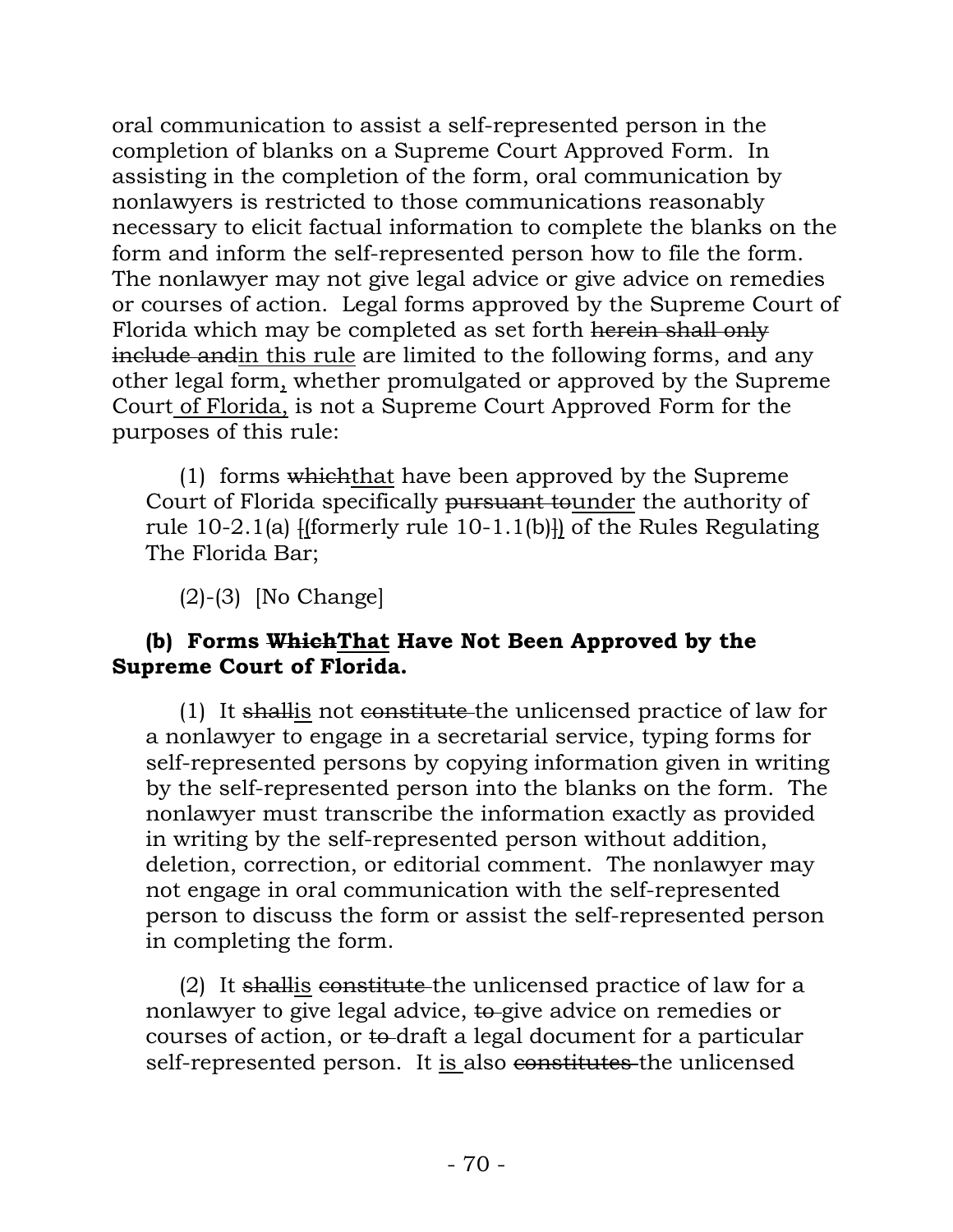oral communication to assist a self-represented person in the completion of blanks on a Supreme Court Approved Form. In assisting in the completion of the form, oral communication by nonlawyers is restricted to those communications reasonably necessary to elicit factual information to complete the blanks on the form and inform the self-represented person how to file the form. The nonlawyer may not give legal advice or give advice on remedies or courses of action. Legal forms approved by the Supreme Court of Florida which may be completed as set forth herein shall only include andin this rule are limited to the following forms, and any other legal form, whether promulgated or approved by the Supreme Court of Florida, is not a Supreme Court Approved Form for the purposes of this rule:

(1) forms whichthat have been approved by the Supreme Court of Florida specifically pursuant tounder the authority of rule  $10-2.1(a)$  {(formerly rule  $10-1.1(b)$ }) of the Rules Regulating The Florida Bar;

(2)-(3) [No Change]

## **(b) Forms WhichThat Have Not Been Approved by the Supreme Court of Florida.**

(1) It shallis not constitute the unlicensed practice of law for a nonlawyer to engage in a secretarial service, typing forms for self-represented persons by copying information given in writing by the self-represented person into the blanks on the form. The nonlawyer must transcribe the information exactly as provided in writing by the self-represented person without addition, deletion, correction, or editorial comment. The nonlawyer may not engage in oral communication with the self-represented person to discuss the form or assist the self-represented person in completing the form.

(2) It shallis constitute the unlicensed practice of law for a nonlawyer to give legal advice, to give advice on remedies or courses of action, or to draft a legal document for a particular self-represented person. It is also constitutes the unlicensed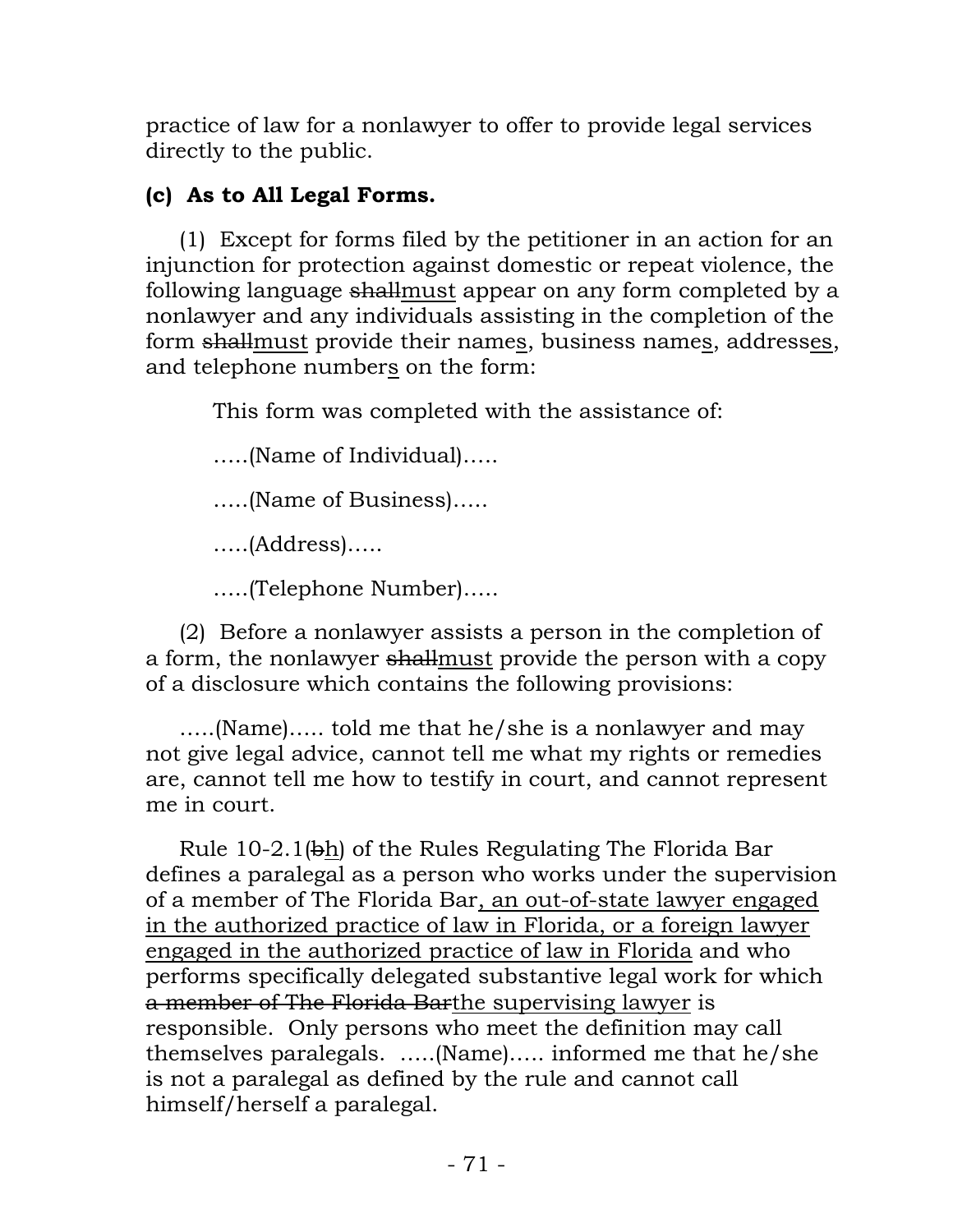practice of law for a nonlawyer to offer to provide legal services directly to the public.

# **(c) As to All Legal Forms.**

(1) Except for forms filed by the petitioner in an action for an injunction for protection against domestic or repeat violence, the following language shallmust appear on any form completed by a nonlawyer and any individuals assisting in the completion of the form shallmust provide their names, business names, addresses, and telephone numbers on the form:

This form was completed with the assistance of:

…..(Name of Individual)…..

…..(Name of Business)…..

…..(Address)…..

…..(Telephone Number)…..

(2) Before a nonlawyer assists a person in the completion of a form, the nonlawyer shallmust provide the person with a copy of a disclosure which contains the following provisions:

…..(Name)….. told me that he/she is a nonlawyer and may not give legal advice, cannot tell me what my rights or remedies are, cannot tell me how to testify in court, and cannot represent me in court.

Rule 10-2.1(bh) of the Rules Regulating The Florida Bar defines a paralegal as a person who works under the supervision of a member of The Florida Bar, an out-of-state lawyer engaged in the authorized practice of law in Florida, or a foreign lawyer engaged in the authorized practice of law in Florida and who performs specifically delegated substantive legal work for which a member of The Florida Barthe supervising lawyer is responsible. Only persons who meet the definition may call themselves paralegals. …..(Name)….. informed me that he/she is not a paralegal as defined by the rule and cannot call himself/herself a paralegal.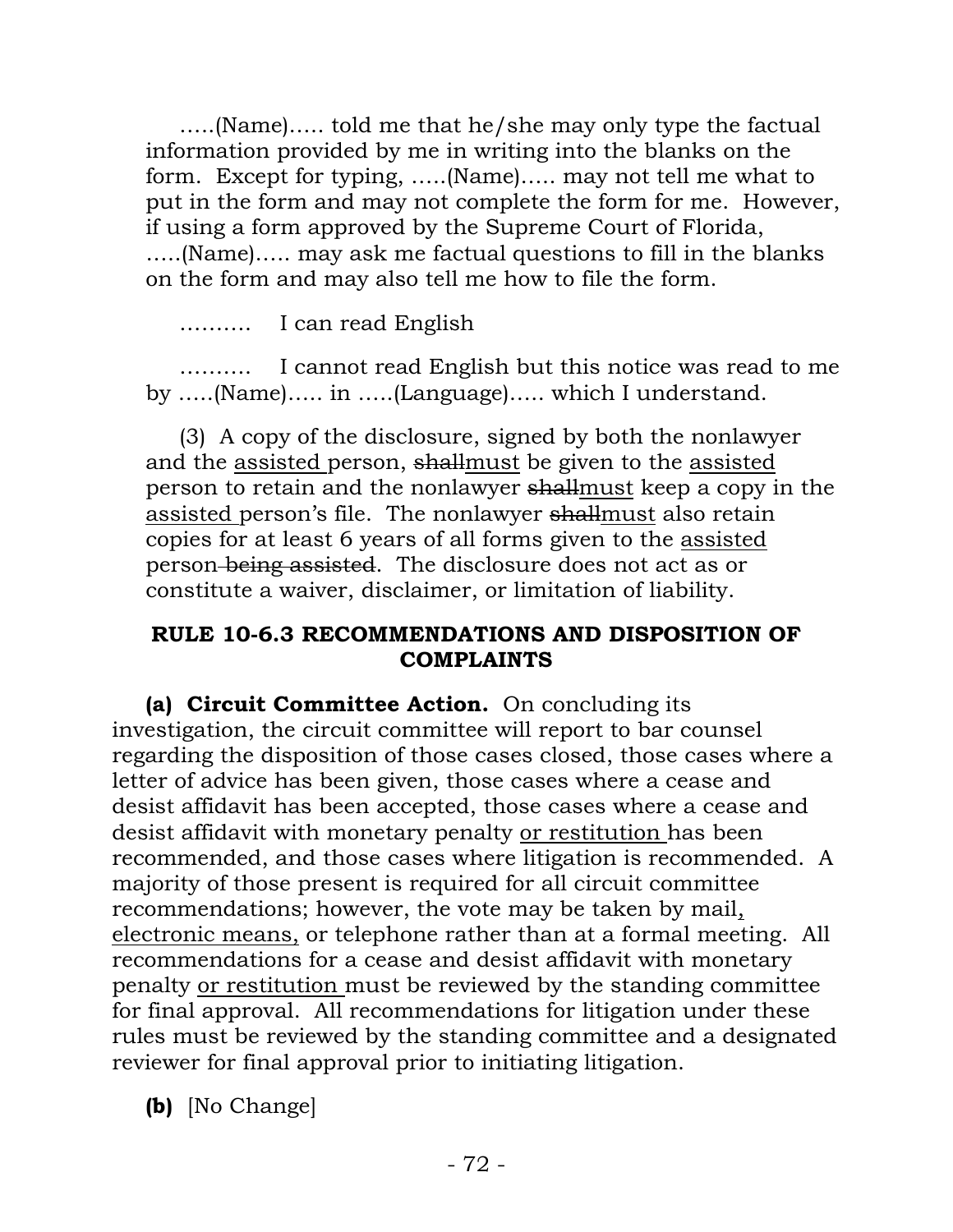…..(Name)….. told me that he/she may only type the factual information provided by me in writing into the blanks on the form. Except for typing, …..(Name)….. may not tell me what to put in the form and may not complete the form for me. However, if using a form approved by the Supreme Court of Florida, …..(Name)….. may ask me factual questions to fill in the blanks on the form and may also tell me how to file the form.

………. I can read English

………. I cannot read English but this notice was read to me by …..(Name)….. in …..(Language)….. which I understand.

(3) A copy of the disclosure, signed by both the nonlawyer and the assisted person, shallmust be given to the assisted person to retain and the nonlawyer shallmust keep a copy in the assisted person's file. The nonlawyer shallmust also retain copies for at least 6 years of all forms given to the assisted person being assisted. The disclosure does not act as or constitute a waiver, disclaimer, or limitation of liability.

#### **RULE 10-6.3 RECOMMENDATIONS AND DISPOSITION OF COMPLAINTS**

**(a) Circuit Committee Action.** On concluding its investigation, the circuit committee will report to bar counsel regarding the disposition of those cases closed, those cases where a letter of advice has been given, those cases where a cease and desist affidavit has been accepted, those cases where a cease and desist affidavit with monetary penalty or restitution has been recommended, and those cases where litigation is recommended. A majority of those present is required for all circuit committee recommendations; however, the vote may be taken by mail, electronic means, or telephone rather than at a formal meeting. All recommendations for a cease and desist affidavit with monetary penalty or restitution must be reviewed by the standing committee for final approval. All recommendations for litigation under these rules must be reviewed by the standing committee and a designated reviewer for final approval prior to initiating litigation.

**(b)** [No Change]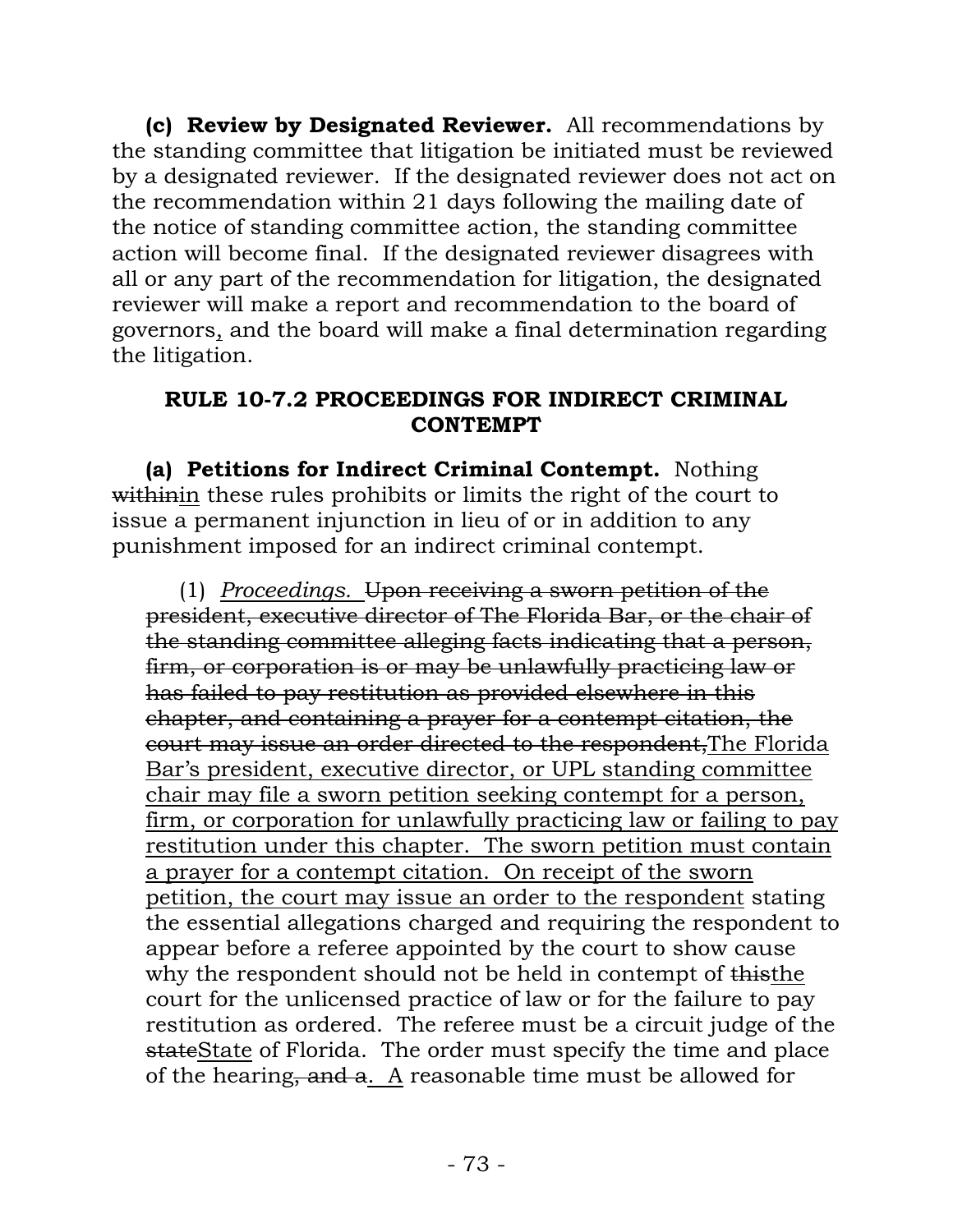**(c) Review by Designated Reviewer.** All recommendations by the standing committee that litigation be initiated must be reviewed by a designated reviewer. If the designated reviewer does not act on the recommendation within 21 days following the mailing date of the notice of standing committee action, the standing committee action will become final. If the designated reviewer disagrees with all or any part of the recommendation for litigation, the designated reviewer will make a report and recommendation to the board of governors, and the board will make a final determination regarding the litigation.

#### **RULE 10-7.2 PROCEEDINGS FOR INDIRECT CRIMINAL CONTEMPT**

**(a) Petitions for Indirect Criminal Contempt.** Nothing within these rules prohibits or limits the right of the court to issue a permanent injunction in lieu of or in addition to any punishment imposed for an indirect criminal contempt.

(1) *Proceedings.* Upon receiving a sworn petition of the president, executive director of The Florida Bar, or the chair of the standing committee alleging facts indicating that a person, firm, or corporation is or may be unlawfully practicing law or has failed to pay restitution as provided elsewhere in this chapter, and containing a prayer for a contempt citation, the court may issue an order directed to the respondent,The Florida Bar's president, executive director, or UPL standing committee chair may file a sworn petition seeking contempt for a person, firm, or corporation for unlawfully practicing law or failing to pay restitution under this chapter. The sworn petition must contain a prayer for a contempt citation. On receipt of the sworn petition, the court may issue an order to the respondent stating the essential allegations charged and requiring the respondent to appear before a referee appointed by the court to show cause why the respondent should not be held in contempt of thisthe court for the unlicensed practice of law or for the failure to pay restitution as ordered. The referee must be a circuit judge of the stateState of Florida. The order must specify the time and place of the hearing, and  $a_i$ . A reasonable time must be allowed for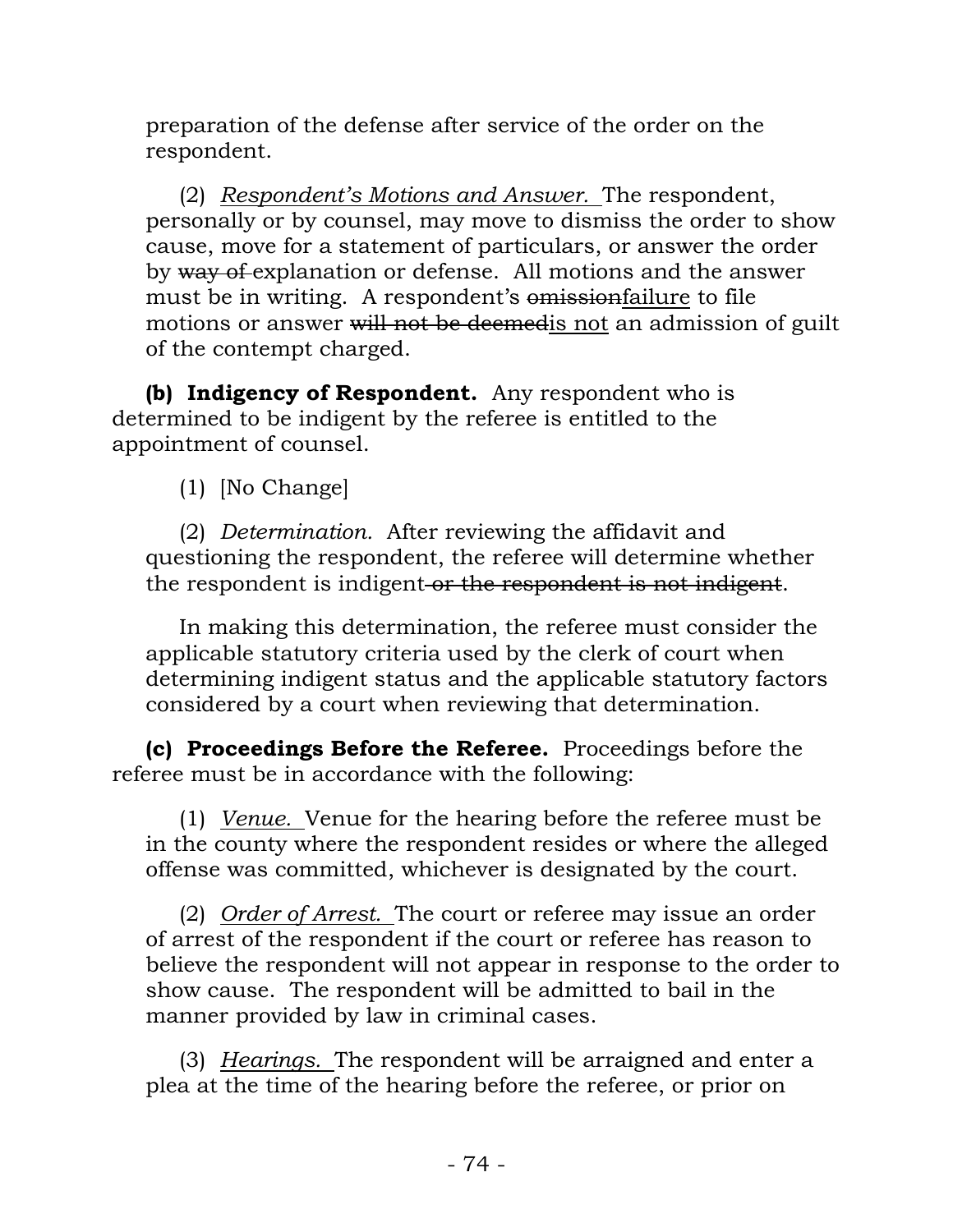preparation of the defense after service of the order on the respondent.

(2) *Respondent's Motions and Answer.* The respondent, personally or by counsel, may move to dismiss the order to show cause, move for a statement of particulars, or answer the order by way of explanation or defense. All motions and the answer must be in writing. A respondent's omissionfailure to file motions or answer will not be deemedis not an admission of guilt of the contempt charged.

**(b) Indigency of Respondent.** Any respondent who is determined to be indigent by the referee is entitled to the appointment of counsel.

(1) [No Change]

(2) *Determination.* After reviewing the affidavit and questioning the respondent, the referee will determine whether the respondent is indigent or the respondent is not indigent.

In making this determination, the referee must consider the applicable statutory criteria used by the clerk of court when determining indigent status and the applicable statutory factors considered by a court when reviewing that determination.

**(c) Proceedings Before the Referee.** Proceedings before the referee must be in accordance with the following:

(1) *Venue.* Venue for the hearing before the referee must be in the county where the respondent resides or where the alleged offense was committed, whichever is designated by the court.

(2) *Order of Arrest.* The court or referee may issue an order of arrest of the respondent if the court or referee has reason to believe the respondent will not appear in response to the order to show cause. The respondent will be admitted to bail in the manner provided by law in criminal cases.

(3) *Hearings.* The respondent will be arraigned and enter a plea at the time of the hearing before the referee, or prior on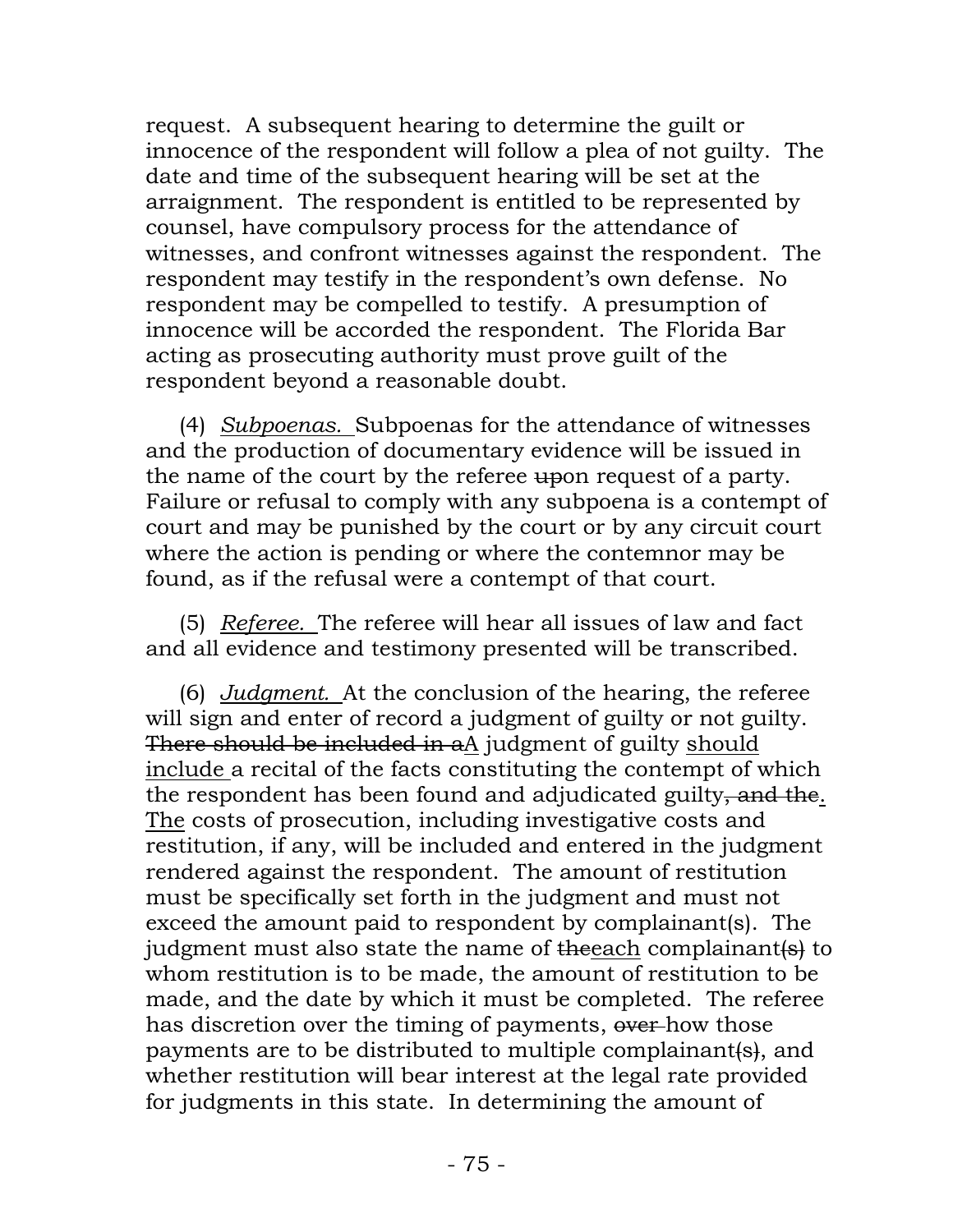request. A subsequent hearing to determine the guilt or innocence of the respondent will follow a plea of not guilty. The date and time of the subsequent hearing will be set at the arraignment. The respondent is entitled to be represented by counsel, have compulsory process for the attendance of witnesses, and confront witnesses against the respondent. The respondent may testify in the respondent's own defense. No respondent may be compelled to testify. A presumption of innocence will be accorded the respondent. The Florida Bar acting as prosecuting authority must prove guilt of the respondent beyond a reasonable doubt.

(4) *Subpoenas.* Subpoenas for the attendance of witnesses and the production of documentary evidence will be issued in the name of the court by the referee upon request of a party. Failure or refusal to comply with any subpoena is a contempt of court and may be punished by the court or by any circuit court where the action is pending or where the contemnor may be found, as if the refusal were a contempt of that court.

(5) *Referee.* The referee will hear all issues of law and fact and all evidence and testimony presented will be transcribed.

(6) *Judgment.* At the conclusion of the hearing, the referee will sign and enter of record a judgment of guilty or not guilty. There should be included in aA judgment of guilty should include a recital of the facts constituting the contempt of which the respondent has been found and adjudicated guilty, and the. The costs of prosecution, including investigative costs and restitution, if any, will be included and entered in the judgment rendered against the respondent. The amount of restitution must be specifically set forth in the judgment and must not exceed the amount paid to respondent by complainant(s). The judgment must also state the name of the each complainant (s) to whom restitution is to be made, the amount of restitution to be made, and the date by which it must be completed. The referee has discretion over the timing of payments, over how those payments are to be distributed to multiple complainant(s), and whether restitution will bear interest at the legal rate provided for judgments in this state. In determining the amount of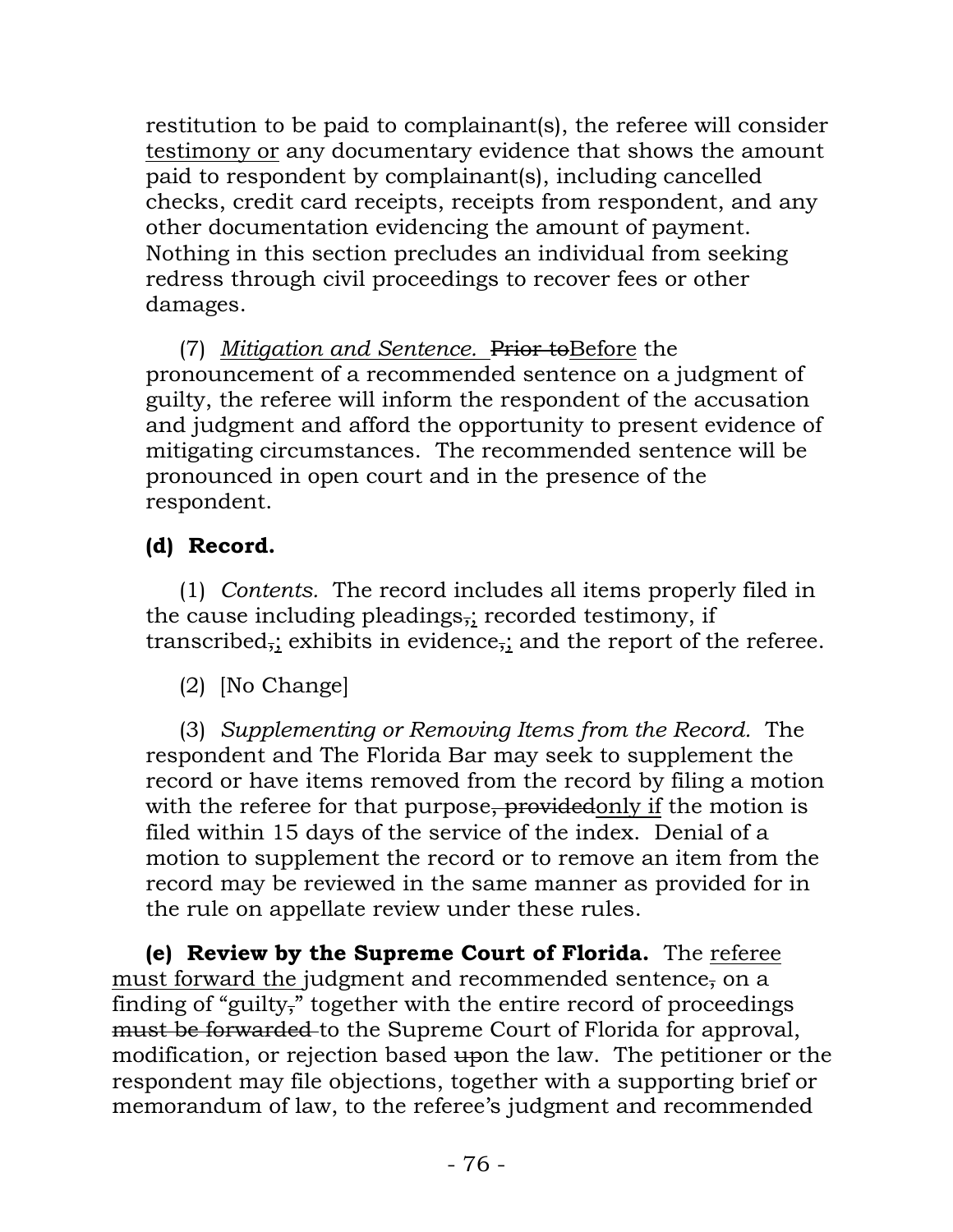restitution to be paid to complainant(s), the referee will consider testimony or any documentary evidence that shows the amount paid to respondent by complainant(s), including cancelled checks, credit card receipts, receipts from respondent, and any other documentation evidencing the amount of payment. Nothing in this section precludes an individual from seeking redress through civil proceedings to recover fees or other damages.

(7) *Mitigation and Sentence.* Prior toBefore the pronouncement of a recommended sentence on a judgment of guilty, the referee will inform the respondent of the accusation and judgment and afford the opportunity to present evidence of mitigating circumstances. The recommended sentence will be pronounced in open court and in the presence of the respondent.

# **(d) Record.**

(1) *Contents.* The record includes all items properly filed in the cause including pleadings,; recorded testimony, if transcribed<sub>5</sub>; exhibits in evidence<sub>5</sub>; and the report of the referee.

(2) [No Change]

(3) *Supplementing or Removing Items from the Record.* The respondent and The Florida Bar may seek to supplement the record or have items removed from the record by filing a motion with the referee for that purpose, provided only if the motion is filed within 15 days of the service of the index. Denial of a motion to supplement the record or to remove an item from the record may be reviewed in the same manner as provided for in the rule on appellate review under these rules.

**(e) Review by the Supreme Court of Florida.** The referee must forward the judgment and recommended sentence, on a finding of "guilty," together with the entire record of proceedings must be forwarded to the Supreme Court of Florida for approval, modification, or rejection based upon the law. The petitioner or the respondent may file objections, together with a supporting brief or memorandum of law, to the referee's judgment and recommended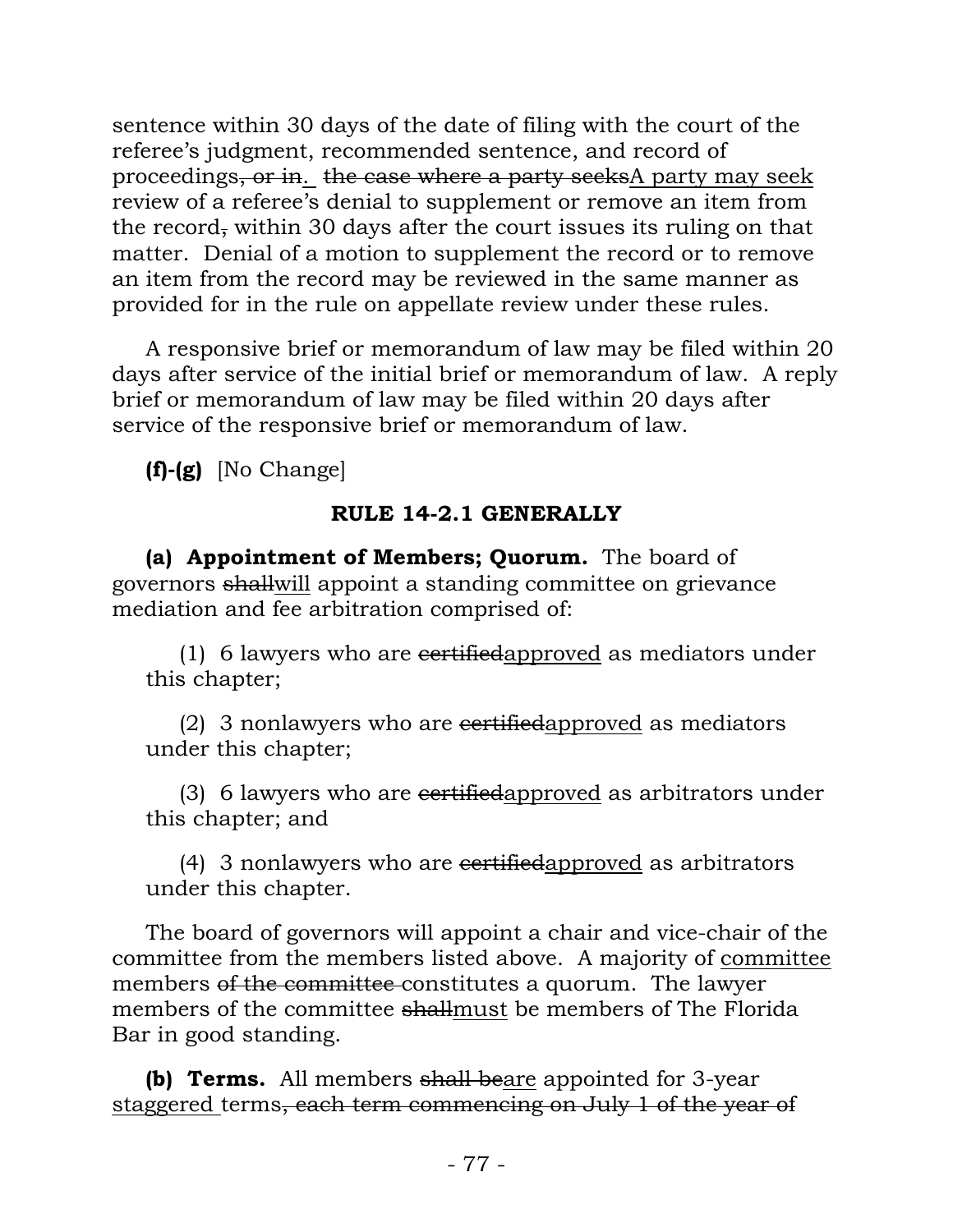sentence within 30 days of the date of filing with the court of the referee's judgment, recommended sentence, and record of proceedings, or in. the case where a party seeksA party may seek review of a referee's denial to supplement or remove an item from the record, within 30 days after the court issues its ruling on that matter. Denial of a motion to supplement the record or to remove an item from the record may be reviewed in the same manner as provided for in the rule on appellate review under these rules.

A responsive brief or memorandum of law may be filed within 20 days after service of the initial brief or memorandum of law. A reply brief or memorandum of law may be filed within 20 days after service of the responsive brief or memorandum of law.

**(f)-(g)** [No Change]

### **RULE 14-2.1 GENERALLY**

**(a) Appointment of Members; Quorum.** The board of governors shallwill appoint a standing committee on grievance mediation and fee arbitration comprised of:

(1) 6 lawyers who are certifiedapproved as mediators under this chapter;

(2) 3 nonlawyers who are  $\frac{c}{c}$  ertified approved as mediators under this chapter;

(3) 6 lawyers who are eertified approved as arbitrators under this chapter; and

 $(4)$  3 nonlawyers who are certified approved as arbitrators under this chapter.

The board of governors will appoint a chair and vice-chair of the committee from the members listed above. A majority of committee members of the committee constitutes a quorum. The lawyer members of the committee shallmust be members of The Florida Bar in good standing.

**(b) Terms.** All members shall beare appointed for 3-year staggered terms, each term commencing on July 1 of the year of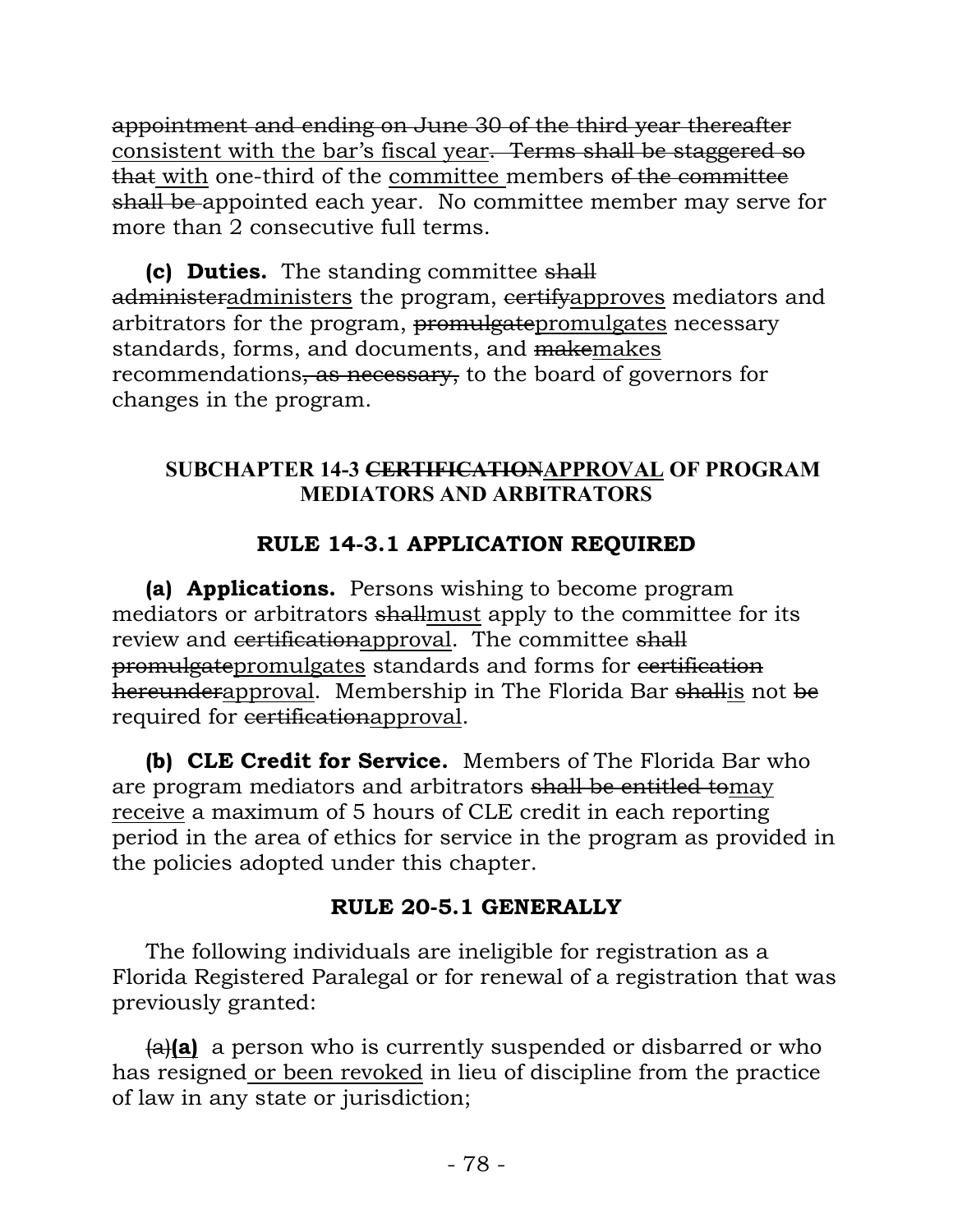appointment and ending on June 30 of the third year thereafter consistent with the bar's fiscal year. Terms shall be staggered so that with one-third of the committee members of the committee shall be appointed each year. No committee member may serve for more than 2 consecutive full terms.

**(c) Duties.** The standing committee shall administeradministers the program, certifyapproves mediators and arbitrators for the program, promulgatepromulgates necessary standards, forms, and documents, and makemakes recommendations, as necessary, to the board of governors for changes in the program.

### **SUBCHAPTER 14-3 CERTIFICATIONAPPROVAL OF PROGRAM MEDIATORS AND ARBITRATORS**

## **RULE 14-3.1 APPLICATION REQUIRED**

**(a) Applications.** Persons wishing to become program mediators or arbitrators shallmust apply to the committee for its review and certificationapproval. The committee shall promulgatepromulgates standards and forms for certification hereunderapproval. Membership in The Florida Bar shallis not be required for certificationapproval.

**(b) CLE Credit for Service.** Members of The Florida Bar who are program mediators and arbitrators shall be entitled tomay receive a maximum of 5 hours of CLE credit in each reporting period in the area of ethics for service in the program as provided in the policies adopted under this chapter.

# **RULE 20-5.1 GENERALLY**

The following individuals are ineligible for registration as a Florida Registered Paralegal or for renewal of a registration that was previously granted:

(a)**(a)** a person who is currently suspended or disbarred or who has resigned or been revoked in lieu of discipline from the practice of law in any state or jurisdiction;